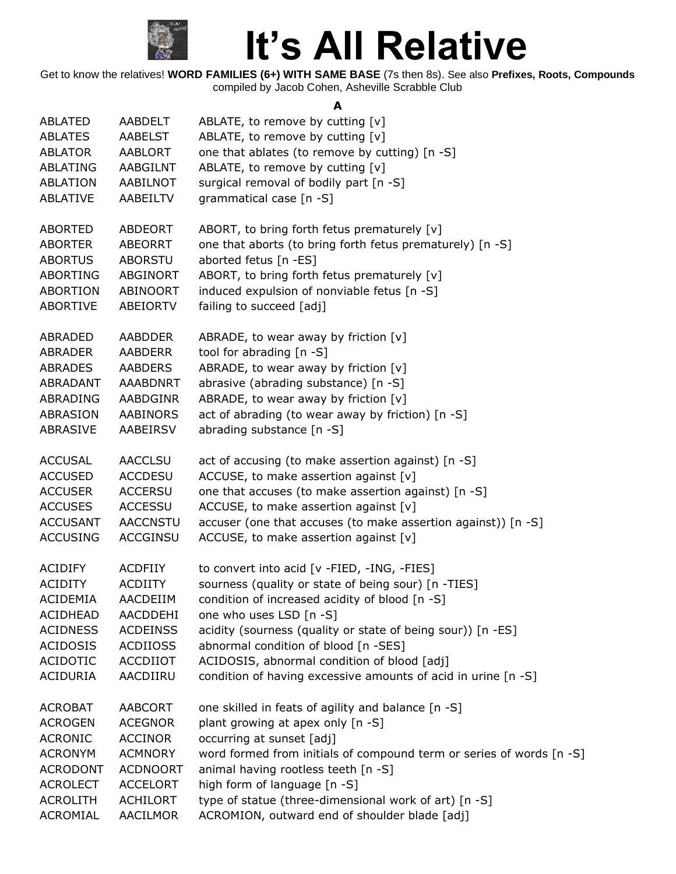

Get to know the relatives! **WORD FAMILIES (6+) WITH SAME BASE** (7s then 8s). See also **Prefixes, Roots, Compounds** compiled by Jacob Cohen, Asheville Scrabble Club

**A**

| <b>ABLATED</b>  | AABDELT         | ABLATE, to remove by cutting [v]                                     |
|-----------------|-----------------|----------------------------------------------------------------------|
| <b>ABLATES</b>  | <b>AABELST</b>  | ABLATE, to remove by cutting [v]                                     |
| <b>ABLATOR</b>  | AABLORT         | one that ablates (to remove by cutting) [n -S]                       |
| ABLATING        | AABGILNT        | ABLATE, to remove by cutting [v]                                     |
| ABLATION        | AABILNOT        | surgical removal of bodily part [n -S]                               |
| <b>ABLATIVE</b> | AABEILTV        | grammatical case [n -S]                                              |
| <b>ABORTED</b>  | ABDEORT         | ABORT, to bring forth fetus prematurely [v]                          |
| <b>ABORTER</b>  | <b>ABEORRT</b>  | one that aborts (to bring forth fetus prematurely) [n -S]            |
| <b>ABORTUS</b>  | <b>ABORSTU</b>  | aborted fetus [n -ES]                                                |
| <b>ABORTING</b> | ABGINORT        | ABORT, to bring forth fetus prematurely [v]                          |
| <b>ABORTION</b> | ABINOORT        | induced expulsion of nonviable fetus [n -S]                          |
| ABORTIVE        | ABEIORTV        | failing to succeed [adj]                                             |
| ABRADED         | <b>AABDDER</b>  | ABRADE, to wear away by friction $[v]$                               |
| <b>ABRADER</b>  | <b>AABDERR</b>  | tool for abrading [n -S]                                             |
| <b>ABRADES</b>  | <b>AABDERS</b>  | ABRADE, to wear away by friction [v]                                 |
| ABRADANT        | <b>AAABDNRT</b> | abrasive (abrading substance) [n -S]                                 |
| ABRADING        | <b>AABDGINR</b> | ABRADE, to wear away by friction [v]                                 |
| ABRASION        | <b>AABINORS</b> | act of abrading (to wear away by friction) [n -S]                    |
| ABRASIVE        | AABEIRSV        | abrading substance [n -S]                                            |
| <b>ACCUSAL</b>  | <b>AACCLSU</b>  | act of accusing (to make assertion against) [n -S]                   |
| <b>ACCUSED</b>  | <b>ACCDESU</b>  | ACCUSE, to make assertion against [v]                                |
| <b>ACCUSER</b>  | <b>ACCERSU</b>  | one that accuses (to make assertion against) [n -S]                  |
| <b>ACCUSES</b>  | <b>ACCESSU</b>  | ACCUSE, to make assertion against [v]                                |
| <b>ACCUSANT</b> | <b>AACCNSTU</b> | accuser (one that accuses (to make assertion against)) [n -S]        |
| <b>ACCUSING</b> | <b>ACCGINSU</b> | ACCUSE, to make assertion against [v]                                |
| <b>ACIDIFY</b>  | <b>ACDFIIY</b>  | to convert into acid [v -FIED, -ING, -FIES]                          |
| <b>ACIDITY</b>  | <b>ACDIITY</b>  | sourness (quality or state of being sour) [n -TIES]                  |
| <b>ACIDEMIA</b> | AACDEIIM        | condition of increased acidity of blood [n -S]                       |
| <b>ACIDHEAD</b> | AACDDEHI        | one who uses LSD [n -S]                                              |
| <b>ACIDNESS</b> | <b>ACDEINSS</b> | acidity (sourness (quality or state of being sour)) [n -ES]          |
| <b>ACIDOSIS</b> | <b>ACDIIOSS</b> | abnormal condition of blood [n -SES]                                 |
| <b>ACIDOTIC</b> | <b>ACCDIIOT</b> | ACIDOSIS, abnormal condition of blood [adj]                          |
| <b>ACIDURIA</b> | AACDIIRU        | condition of having excessive amounts of acid in urine [n -S]        |
| <b>ACROBAT</b>  | AABCORT         | one skilled in feats of agility and balance [n -S]                   |
| <b>ACROGEN</b>  | <b>ACEGNOR</b>  | plant growing at apex only [n -S]                                    |
| <b>ACRONIC</b>  | <b>ACCINOR</b>  | occurring at sunset [adj]                                            |
| <b>ACRONYM</b>  | <b>ACMNORY</b>  | word formed from initials of compound term or series of words [n -S] |
| <b>ACRODONT</b> | <b>ACDNOORT</b> | animal having rootless teeth [n -S]                                  |
| <b>ACROLECT</b> | <b>ACCELORT</b> | high form of language [n -S]                                         |
| <b>ACROLITH</b> | <b>ACHILORT</b> | type of statue (three-dimensional work of art) [n -S]                |
| ACROMIAL        | AACILMOR        | ACROMION, outward end of shoulder blade [adj]                        |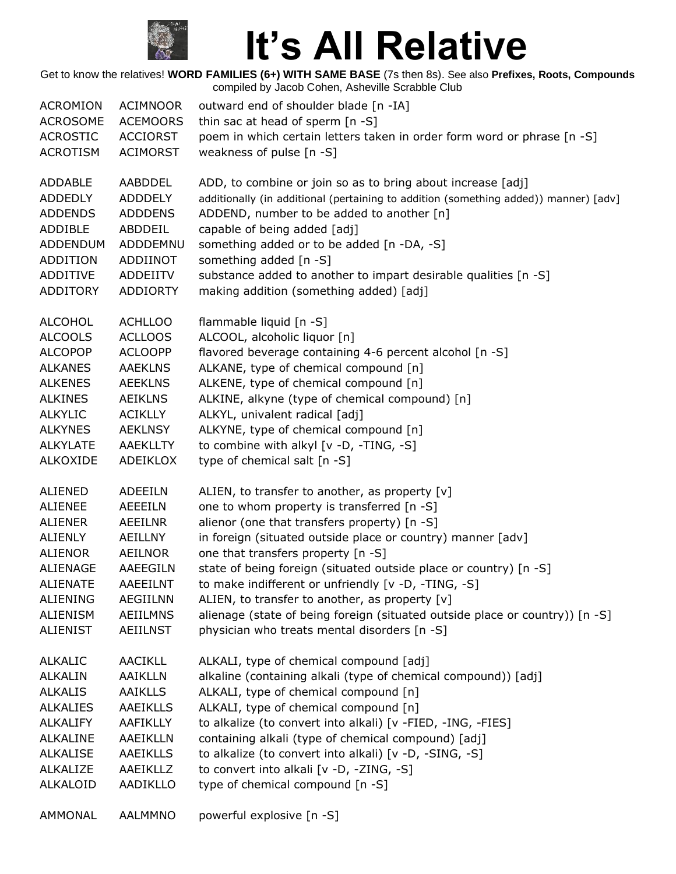

| <b>ACROMION</b> | <b>ACIMNOOR</b> | outward end of shoulder blade [n -IA]                                                |
|-----------------|-----------------|--------------------------------------------------------------------------------------|
| <b>ACROSOME</b> | <b>ACEMOORS</b> | thin sac at head of sperm $[n -S]$                                                   |
| <b>ACROSTIC</b> | <b>ACCIORST</b> | poem in which certain letters taken in order form word or phrase [n -S]              |
| <b>ACROTISM</b> | <b>ACIMORST</b> | weakness of pulse [n -S]                                                             |
| ADDABLE         | AABDDEL         | ADD, to combine or join so as to bring about increase [adj]                          |
| <b>ADDEDLY</b>  | <b>ADDDELY</b>  | additionally (in additional (pertaining to addition (something added)) manner) [adv] |
| <b>ADDENDS</b>  | <b>ADDDENS</b>  | ADDEND, number to be added to another [n]                                            |
| ADDIBLE         | ABDDEIL         | capable of being added [adj]                                                         |
| <b>ADDENDUM</b> | ADDDEMNU        | something added or to be added [n -DA, -S]                                           |
| ADDITION        | ADDIINOT        | something added [n -S]                                                               |
| ADDITIVE        | ADDEIITV        | substance added to another to impart desirable qualities [n -S]                      |
| <b>ADDITORY</b> | <b>ADDIORTY</b> | making addition (something added) [adj]                                              |
| <b>ALCOHOL</b>  | <b>ACHLLOO</b>  | flammable liquid [n -S]                                                              |
| <b>ALCOOLS</b>  | <b>ACLLOOS</b>  | ALCOOL, alcoholic liquor [n]                                                         |
| <b>ALCOPOP</b>  | <b>ACLOOPP</b>  | flavored beverage containing 4-6 percent alcohol [n -S]                              |
| <b>ALKANES</b>  | <b>AAEKLNS</b>  | ALKANE, type of chemical compound [n]                                                |
| <b>ALKENES</b>  | <b>AEEKLNS</b>  | ALKENE, type of chemical compound [n]                                                |
| <b>ALKINES</b>  | <b>AEIKLNS</b>  | ALKINE, alkyne (type of chemical compound) [n]                                       |
| <b>ALKYLIC</b>  | <b>ACIKLLY</b>  | ALKYL, univalent radical [adj]                                                       |
| <b>ALKYNES</b>  | <b>AEKLNSY</b>  | ALKYNE, type of chemical compound [n]                                                |
| <b>ALKYLATE</b> | AAEKLLTY        | to combine with alkyl [v -D, -TING, -S]                                              |
| <b>ALKOXIDE</b> | ADEIKLOX        | type of chemical salt [n -S]                                                         |
| ALIENED         | <b>ADEEILN</b>  | ALIEN, to transfer to another, as property [v]                                       |
| <b>ALIENEE</b>  | AEEEILN         | one to whom property is transferred [n -S]                                           |
| <b>ALIENER</b>  | <b>AEEILNR</b>  | alienor (one that transfers property) [n -S]                                         |
| <b>ALIENLY</b>  | AEILLNY         | in foreign (situated outside place or country) manner [adv]                          |
| <b>ALIENOR</b>  | AEILNOR         | one that transfers property [n -S]                                                   |
| <b>ALIENAGE</b> | AAEEGILN        | state of being foreign (situated outside place or country) [n -S]                    |
| <b>ALIENATE</b> | <b>AAEEILNT</b> | to make indifferent or unfriendly [v -D, -TING, -S]                                  |
| <b>ALIENING</b> | <b>AEGIILNN</b> | ALIEN, to transfer to another, as property $[v]$                                     |
| <b>ALIENISM</b> | <b>AEIILMNS</b> | alienage (state of being foreign (situated outside place or country)) [n -S]         |
| <b>ALIENIST</b> | <b>AEIILNST</b> | physician who treats mental disorders [n -S]                                         |
| <b>ALKALIC</b>  | <b>AACIKLL</b>  | ALKALI, type of chemical compound [adj]                                              |
| <b>ALKALIN</b>  | <b>AAIKLLN</b>  | alkaline (containing alkali (type of chemical compound)) [adj]                       |
| <b>ALKALIS</b>  | <b>AAIKLLS</b>  | ALKALI, type of chemical compound [n]                                                |
| <b>ALKALIES</b> | <b>AAEIKLLS</b> | ALKALI, type of chemical compound [n]                                                |
| <b>ALKALIFY</b> | <b>AAFIKLLY</b> | to alkalize (to convert into alkali) [v -FIED, -ING, -FIES]                          |
| <b>ALKALINE</b> | <b>AAEIKLLN</b> | containing alkali (type of chemical compound) [adj]                                  |
| <b>ALKALISE</b> | AAEIKLLS        | to alkalize (to convert into alkali) [v -D, -SING, -S]                               |
| <b>ALKALIZE</b> | AAEIKLLZ        | to convert into alkali [v -D, -ZING, -S]                                             |
| <b>ALKALOID</b> | <b>AADIKLLO</b> | type of chemical compound [n -S]                                                     |
| AMMONAL         | <b>AALMMNO</b>  | powerful explosive [n -S]                                                            |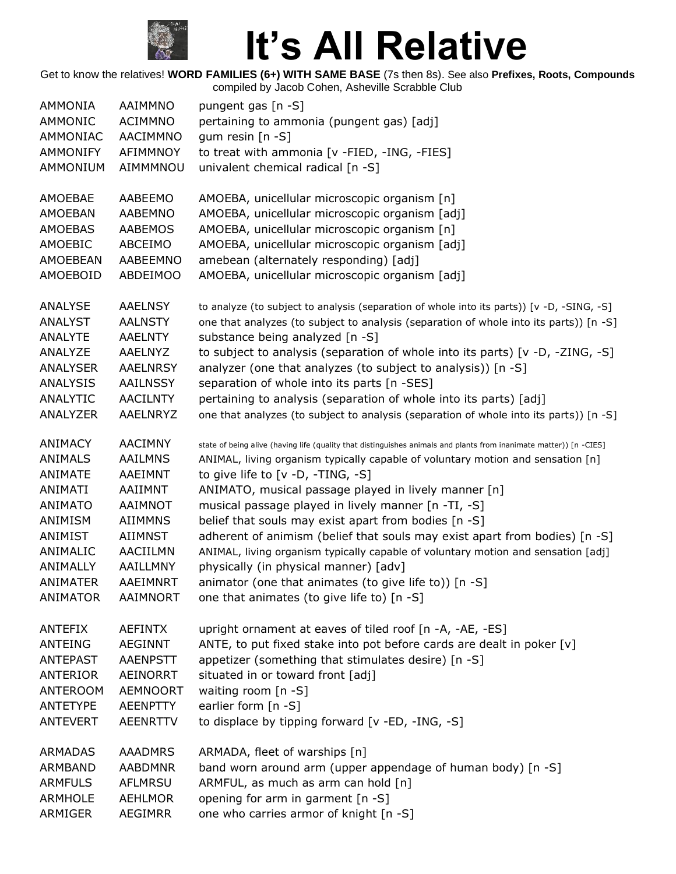

| <b>AMMONIA</b>            | AAIMMNO                          | pungent gas [n -S]                                                                                                                            |
|---------------------------|----------------------------------|-----------------------------------------------------------------------------------------------------------------------------------------------|
| AMMONIC                   | <b>ACIMMNO</b>                   | pertaining to ammonia (pungent gas) [adj]                                                                                                     |
| AMMONIAC                  | AACIMMNO                         | gum resin $[n -S]$                                                                                                                            |
| <b>AMMONIFY</b>           | AFIMMNOY                         | to treat with ammonia [v -FIED, -ING, -FIES]                                                                                                  |
| AMMONIUM                  | AIMMMNOU                         | univalent chemical radical [n -S]                                                                                                             |
|                           |                                  |                                                                                                                                               |
| AMOEBAE                   | AABEEMO                          | AMOEBA, unicellular microscopic organism [n]                                                                                                  |
| AMOEBAN                   | AABEMNO                          | AMOEBA, unicellular microscopic organism [adj]                                                                                                |
| <b>AMOEBAS</b>            | AABEMOS                          | AMOEBA, unicellular microscopic organism [n]                                                                                                  |
| AMOEBIC                   | ABCEIMO                          | AMOEBA, unicellular microscopic organism [adj]                                                                                                |
| AMOEBEAN                  | AABEEMNO                         | amebean (alternately responding) [adj]                                                                                                        |
| AMOEBOID                  | ABDEIMOO                         | AMOEBA, unicellular microscopic organism [adj]                                                                                                |
|                           |                                  |                                                                                                                                               |
| ANALYSE                   | <b>AAELNSY</b>                   | to analyze (to subject to analysis (separation of whole into its parts)) [v -D, -SING, -S]                                                    |
| <b>ANALYST</b>            | <b>AALNSTY</b>                   | one that analyzes (to subject to analysis (separation of whole into its parts)) [n -S]                                                        |
| <b>ANALYTE</b><br>ANALYZE | <b>AAELNTY</b><br><b>AAELNYZ</b> | substance being analyzed [n -S]                                                                                                               |
| <b>ANALYSER</b>           | <b>AAELNRSY</b>                  | to subject to analysis (separation of whole into its parts) [v -D, -ZING, -S]<br>analyzer (one that analyzes (to subject to analysis)) [n -S] |
| ANALYSIS                  |                                  | separation of whole into its parts [n -SES]                                                                                                   |
|                           | <b>AAILNSSY</b>                  |                                                                                                                                               |
| ANALYTIC                  | <b>AACILNTY</b>                  | pertaining to analysis (separation of whole into its parts) [adj]                                                                             |
| ANALYZER                  | AAELNRYZ                         | one that analyzes (to subject to analysis (separation of whole into its parts)) [n -S]                                                        |
| ANIMACY                   | <b>AACIMNY</b>                   | state of being alive (having life (quality that distinguishes animals and plants from inanimate matter)) [n -CIES]                            |
| <b>ANIMALS</b>            | <b>AAILMNS</b>                   | ANIMAL, living organism typically capable of voluntary motion and sensation [n]                                                               |
| <b>ANIMATE</b>            | AAEIMNT                          | to give life to [v -D, -TING, -S]                                                                                                             |
| ANIMATI                   | AAIIMNT                          | ANIMATO, musical passage played in lively manner [n]                                                                                          |
| <b>ANIMATO</b>            | AAIMNOT                          | musical passage played in lively manner [n -TI, -S]                                                                                           |
| ANIMISM                   | <b>AIIMMNS</b>                   | belief that souls may exist apart from bodies [n -S]                                                                                          |
| ANIMIST                   | <b>AIIMNST</b>                   | adherent of animism (belief that souls may exist apart from bodies) [n -S]                                                                    |
| ANIMALIC                  | AACIILMN                         | ANIMAL, living organism typically capable of voluntary motion and sensation [adj]                                                             |
| ANIMALLY                  | AAILLMNY                         | physically (in physical manner) [adv]                                                                                                         |
| ANIMATER                  | AAEIMNRT                         | animator (one that animates (to give life to)) [n -S]                                                                                         |
| <b>ANIMATOR</b>           | AAIMNORT                         | one that animates (to give life to) [n -S]                                                                                                    |
| <b>ANTEFIX</b>            | <b>AEFINTX</b>                   | upright ornament at eaves of tiled roof [n -A, -AE, -ES]                                                                                      |
| <b>ANTEING</b>            | <b>AEGINNT</b>                   | ANTE, to put fixed stake into pot before cards are dealt in poker [v]                                                                         |
| <b>ANTEPAST</b>           | <b>AAENPSTT</b>                  | appetizer (something that stimulates desire) [n -S]                                                                                           |
| <b>ANTERIOR</b>           | AEINORRT                         | situated in or toward front [adj]                                                                                                             |
| <b>ANTEROOM</b>           | <b>AEMNOORT</b>                  | waiting room [n -S]                                                                                                                           |
| ANTETYPE                  | <b>AEENPTTY</b>                  | earlier form [n -S]                                                                                                                           |
|                           |                                  |                                                                                                                                               |
| <b>ANTEVERT</b>           | <b>AEENRTTV</b>                  | to displace by tipping forward [v -ED, -ING, -S]                                                                                              |
| <b>ARMADAS</b>            | <b>AAADMRS</b>                   | ARMADA, fleet of warships [n]                                                                                                                 |
| <b>ARMBAND</b>            | <b>AABDMNR</b>                   | band worn around arm (upper appendage of human body) [n -S]                                                                                   |
| <b>ARMFULS</b>            | AFLMRSU                          | ARMFUL, as much as arm can hold [n]                                                                                                           |
| <b>ARMHOLE</b>            | <b>AEHLMOR</b>                   | opening for arm in garment [n -S]                                                                                                             |
| ARMIGER                   | AEGIMRR                          | one who carries armor of knight [n -S]                                                                                                        |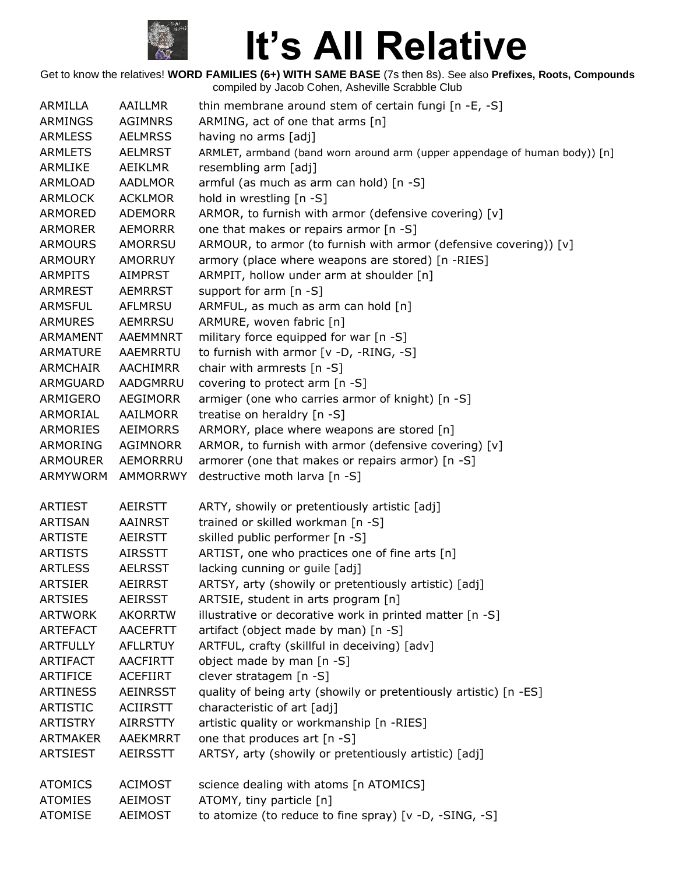

| ARMILLA         | <b>AAILLMR</b>  | thin membrane around stem of certain fungi [n -E, -S]                      |
|-----------------|-----------------|----------------------------------------------------------------------------|
| <b>ARMINGS</b>  | <b>AGIMNRS</b>  | ARMING, act of one that arms [n]                                           |
| <b>ARMLESS</b>  | <b>AELMRSS</b>  | having no arms [adj]                                                       |
| <b>ARMLETS</b>  | <b>AELMRST</b>  | ARMLET, armband (band worn around arm (upper appendage of human body)) [n] |
| ARMLIKE         | <b>AEIKLMR</b>  | resembling arm [adj]                                                       |
| ARMLOAD         | <b>AADLMOR</b>  | armful (as much as arm can hold) [n -S]                                    |
| <b>ARMLOCK</b>  | <b>ACKLMOR</b>  | hold in wrestling [n -S]                                                   |
| ARMORED         | <b>ADEMORR</b>  | ARMOR, to furnish with armor (defensive covering) [v]                      |
| <b>ARMORER</b>  | <b>AEMORRR</b>  | one that makes or repairs armor [n -S]                                     |
| <b>ARMOURS</b>  | <b>AMORRSU</b>  | ARMOUR, to armor (to furnish with armor (defensive covering)) [v]          |
| <b>ARMOURY</b>  | <b>AMORRUY</b>  | armory (place where weapons are stored) [n -RIES]                          |
| <b>ARMPITS</b>  | <b>AIMPRST</b>  | ARMPIT, hollow under arm at shoulder [n]                                   |
| <b>ARMREST</b>  | <b>AEMRRST</b>  | support for arm [n -S]                                                     |
| <b>ARMSFUL</b>  | AFLMRSU         | ARMFUL, as much as arm can hold [n]                                        |
| <b>ARMURES</b>  | <b>AEMRRSU</b>  | ARMURE, woven fabric [n]                                                   |
| ARMAMENT        | AAEMMNRT        | military force equipped for war [n -S]                                     |
| ARMATURE        | AAEMRRTU        | to furnish with armor [v -D, -RING, -S]                                    |
| ARMCHAIR        | AACHIMRR        | chair with armrests [n -S]                                                 |
| ARMGUARD        | AADGMRRU        | covering to protect arm [n -S]                                             |
| ARMIGERO        | <b>AEGIMORR</b> | armiger (one who carries armor of knight) [n -S]                           |
| ARMORIAL        | AAILMORR        | treatise on heraldry [n -S]                                                |
| ARMORIES        | <b>AEIMORRS</b> | ARMORY, place where weapons are stored [n]                                 |
| ARMORING        | AGIMNORR        | ARMOR, to furnish with armor (defensive covering) [v]                      |
| <b>ARMOURER</b> | AEMORRRU        | armorer (one that makes or repairs armor) [n -S]                           |
| ARMYWORM        | <b>AMMORRWY</b> | destructive moth larva [n -S]                                              |
| <b>ARTIEST</b>  | <b>AEIRSTT</b>  | ARTY, showily or pretentiously artistic [adj]                              |
| <b>ARTISAN</b>  | <b>AAINRST</b>  | trained or skilled workman [n -S]                                          |
| <b>ARTISTE</b>  | AEIRSTT         | skilled public performer [n -S]                                            |
| <b>ARTISTS</b>  | <b>AIRSSTT</b>  | ARTIST, one who practices one of fine arts [n]                             |
| <b>ARTLESS</b>  | <b>AELRSST</b>  | lacking cunning or guile [adj]                                             |
| <b>ARTSIER</b>  | <b>AEIRRST</b>  | ARTSY, arty (showily or pretentiously artistic) [adj]                      |
| <b>ARTSIES</b>  | <b>AEIRSST</b>  | ARTSIE, student in arts program [n]                                        |
| <b>ARTWORK</b>  | <b>AKORRTW</b>  | illustrative or decorative work in printed matter [n -S]                   |
| <b>ARTEFACT</b> | <b>AACEFRTT</b> | artifact (object made by man) [n -S]                                       |
| <b>ARTFULLY</b> | <b>AFLLRTUY</b> | ARTFUL, crafty (skillful in deceiving) [adv]                               |
| <b>ARTIFACT</b> | <b>AACFIRTT</b> | object made by man [n -S]                                                  |
| <b>ARTIFICE</b> | <b>ACEFIIRT</b> | clever stratagem [n -S]                                                    |
| <b>ARTINESS</b> | <b>AEINRSST</b> | quality of being arty (showily or pretentiously artistic) [n -ES]          |
| <b>ARTISTIC</b> | <b>ACIIRSTT</b> | characteristic of art [adj]                                                |
| <b>ARTISTRY</b> | <b>AIRRSTTY</b> | artistic quality or workmanship [n -RIES]                                  |
| <b>ARTMAKER</b> | <b>AAEKMRRT</b> | one that produces art [n -S]                                               |
| <b>ARTSIEST</b> | <b>AEIRSSTT</b> | ARTSY, arty (showily or pretentiously artistic) [adj]                      |
| <b>ATOMICS</b>  | <b>ACIMOST</b>  | science dealing with atoms [n ATOMICS]                                     |
| <b>ATOMIES</b>  | <b>AEIMOST</b>  | ATOMY, tiny particle [n]                                                   |
| <b>ATOMISE</b>  | <b>AEIMOST</b>  | to atomize (to reduce to fine spray) [v -D, -SING, -S]                     |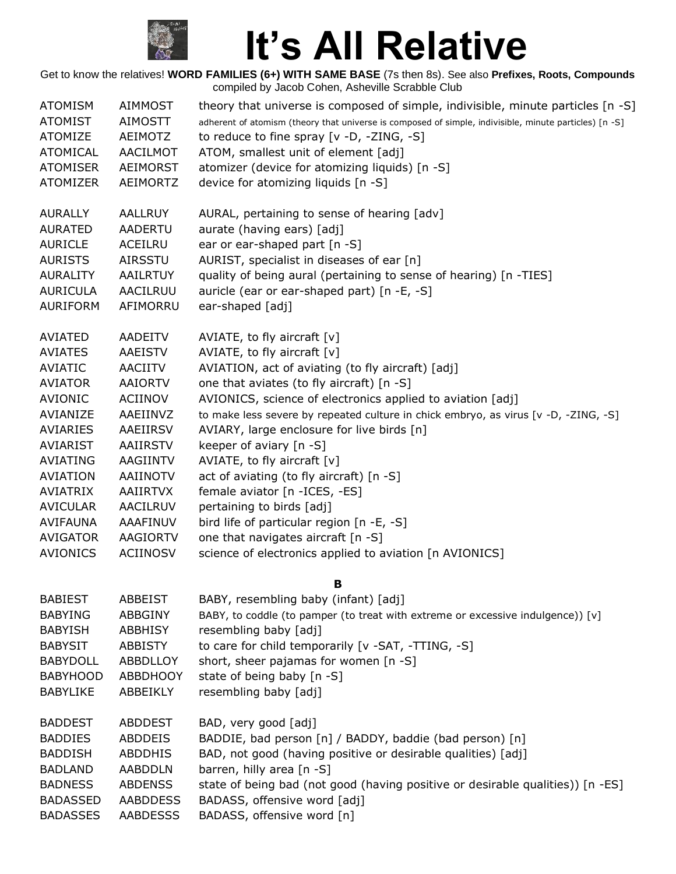

| <b>ATOMISM</b>  | <b>AIMMOST</b>  | theory that universe is composed of simple, indivisible, minute particles [n -S]                       |
|-----------------|-----------------|--------------------------------------------------------------------------------------------------------|
| <b>ATOMIST</b>  | AIMOSTT         | adherent of atomism (theory that universe is composed of simple, indivisible, minute particles) [n -S] |
| <b>ATOMIZE</b>  | AEIMOTZ         | to reduce to fine spray $[v -D, -ZING, -S]$                                                            |
| ATOMICAL        | AACILMOT        | ATOM, smallest unit of element [adj]                                                                   |
| <b>ATOMISER</b> | <b>AEIMORST</b> | atomizer (device for atomizing liquids) [n -S]                                                         |
| <b>ATOMIZER</b> | <b>AEIMORTZ</b> | device for atomizing liquids [n -S]                                                                    |
| <b>AURALLY</b>  | AALLRUY         | AURAL, pertaining to sense of hearing [adv]                                                            |
| <b>AURATED</b>  | <b>AADERTU</b>  | aurate (having ears) [adj]                                                                             |
| <b>AURICLE</b>  | ACEILRU         | ear or ear-shaped part [n -S]                                                                          |
| <b>AURISTS</b>  | AIRSSTU         | AURIST, specialist in diseases of ear [n]                                                              |
| <b>AURALITY</b> | AAILRTUY        | quality of being aural (pertaining to sense of hearing) [n -TIES]                                      |
| <b>AURICULA</b> | AACILRUU        | auricle (ear or ear-shaped part) [n -E, -S]                                                            |
| AURIFORM        | AFIMORRU        | ear-shaped [adj]                                                                                       |
| AVIATED         | AADEITV         | AVIATE, to fly aircraft $[v]$                                                                          |
| <b>AVIATES</b>  | <b>AAEISTV</b>  | AVIATE, to fly aircraft $[v]$                                                                          |
| <b>AVIATIC</b>  | AACIITV         | AVIATION, act of aviating (to fly aircraft) [adj]                                                      |
| <b>AVIATOR</b>  | <b>AAIORTV</b>  | one that aviates (to fly aircraft) [n -S]                                                              |
| <b>AVIONIC</b>  | ACIINOV         | AVIONICS, science of electronics applied to aviation [adj]                                             |
| AVIANIZE        | AAEIINVZ        | to make less severe by repeated culture in chick embryo, as virus [v -D, -ZING, -S]                    |
| AVIARIES        | AAEIIRSV        | AVIARY, large enclosure for live birds [n]                                                             |
| <b>AVIARIST</b> | AAIIRSTV        | keeper of aviary [n -S]                                                                                |
| <b>AVIATING</b> | AAGIINTV        | AVIATE, to fly aircraft $[v]$                                                                          |
| <b>AVIATION</b> | AAIINOTV        | act of aviating (to fly aircraft) [n -S]                                                               |
| AVIATRIX        | <b>AAIIRTVX</b> | female aviator [n -ICES, -ES]                                                                          |
| <b>AVICULAR</b> | AACILRUV        | pertaining to birds [adj]                                                                              |
| AVIFAUNA        | AAAFINUV        | bird life of particular region [n -E, -S]                                                              |
| <b>AVIGATOR</b> | AAGIORTV        | one that navigates aircraft [n -S]                                                                     |
| <b>AVIONICS</b> | <b>ACIINOSV</b> | science of electronics applied to aviation [n AVIONICS]                                                |
|                 |                 | B                                                                                                      |
| <b>BABIEST</b>  | <b>ABBEIST</b>  | BABY, resembling baby (infant) [adj]                                                                   |
| <b>BABYING</b>  | <b>ABBGINY</b>  | BABY, to coddle (to pamper (to treat with extreme or excessive indulgence)) [v]                        |
| <b>BABYISH</b>  | ABBHISY         | resembling baby [adj]                                                                                  |
| <b>BABYSIT</b>  | ABBISTY         | to care for child temporarily [v -SAT, -TTING, -S]                                                     |
| <b>BABYDOLL</b> | ABBDLLOY        | short, sheer pajamas for women [n -S]                                                                  |
| <b>BABYHOOD</b> | <b>ABBDHOOY</b> | state of being baby [n -S]                                                                             |
| <b>BABYLIKE</b> | ABBEIKLY        | resembling baby [adj]                                                                                  |
| <b>BADDEST</b>  | <b>ABDDEST</b>  | BAD, very good [adj]                                                                                   |
| <b>BADDIES</b>  | ABDDEIS         | BADDIE, bad person [n] / BADDY, baddie (bad person) [n]                                                |
| <b>BADDISH</b>  | ABDDHIS         | BAD, not good (having positive or desirable qualities) [adj]                                           |
| <b>BADLAND</b>  | <b>AABDDLN</b>  | barren, hilly area [n -S]                                                                              |
| <b>BADNESS</b>  | <b>ABDENSS</b>  | state of being bad (not good (having positive or desirable qualities)) [n -ES]                         |
| <b>BADASSED</b> | <b>AABDDESS</b> | BADASS, offensive word [adj]                                                                           |
| <b>BADASSES</b> | <b>AABDESSS</b> | BADASS, offensive word [n]                                                                             |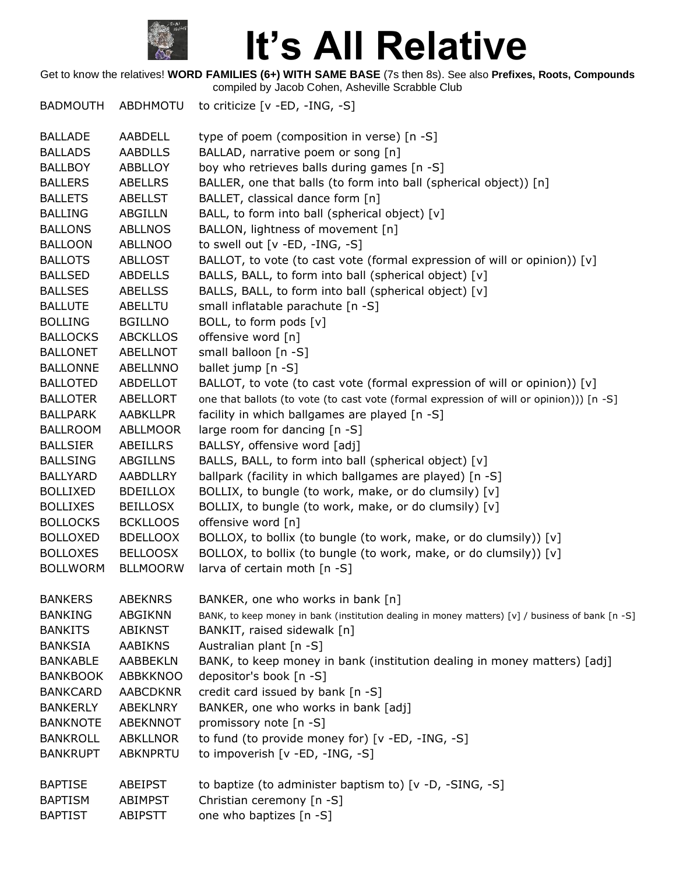

Get to know the relatives! **WORD FAMILIES (6+) WITH SAME BASE** (7s then 8s). See also **Prefixes, Roots, Compounds** compiled by Jacob Cohen, Asheville Scrabble Club

BADMOUTH ABDHMOTU to criticize [v -ED, -ING, -S]

| <b>BALLADE</b>  | AABDELL         | type of poem (composition in verse) [n -S]                                                       |
|-----------------|-----------------|--------------------------------------------------------------------------------------------------|
| <b>BALLADS</b>  | <b>AABDLLS</b>  | BALLAD, narrative poem or song [n]                                                               |
| <b>BALLBOY</b>  | ABBLLOY         | boy who retrieves balls during games [n -S]                                                      |
| <b>BALLERS</b>  | ABELLRS         | BALLER, one that balls (to form into ball (spherical object)) [n]                                |
| <b>BALLETS</b>  | <b>ABELLST</b>  | BALLET, classical dance form [n]                                                                 |
| <b>BALLING</b>  | <b>ABGILLN</b>  | BALL, to form into ball (spherical object) [v]                                                   |
| <b>BALLONS</b>  | <b>ABLLNOS</b>  | BALLON, lightness of movement [n]                                                                |
| <b>BALLOON</b>  | <b>ABLLNOO</b>  | to swell out [v -ED, -ING, -S]                                                                   |
| <b>BALLOTS</b>  | <b>ABLLOST</b>  | BALLOT, to vote (to cast vote (formal expression of will or opinion)) [v]                        |
| <b>BALLSED</b>  | <b>ABDELLS</b>  | BALLS, BALL, to form into ball (spherical object) [v]                                            |
| <b>BALLSES</b>  | <b>ABELLSS</b>  | BALLS, BALL, to form into ball (spherical object) [v]                                            |
| <b>BALLUTE</b>  | ABELLTU         | small inflatable parachute [n -S]                                                                |
| <b>BOLLING</b>  | <b>BGILLNO</b>  | BOLL, to form pods [v]                                                                           |
| <b>BALLOCKS</b> | <b>ABCKLLOS</b> | offensive word [n]                                                                               |
| <b>BALLONET</b> | ABELLNOT        | small balloon [n -S]                                                                             |
| <b>BALLONNE</b> | <b>ABELLNNO</b> | ballet jump [n -S]                                                                               |
| <b>BALLOTED</b> | ABDELLOT        | BALLOT, to vote (to cast vote (formal expression of will or opinion)) [v]                        |
| <b>BALLOTER</b> | <b>ABELLORT</b> | one that ballots (to vote (to cast vote (formal expression of will or opinion))) [n -S]          |
| <b>BALLPARK</b> | <b>AABKLLPR</b> | facility in which ballgames are played [n -S]                                                    |
| <b>BALLROOM</b> | <b>ABLLMOOR</b> | large room for dancing [n -S]                                                                    |
| <b>BALLSIER</b> | <b>ABEILLRS</b> | BALLSY, offensive word [adj]                                                                     |
| <b>BALLSING</b> | <b>ABGILLNS</b> | BALLS, BALL, to form into ball (spherical object) [v]                                            |
| <b>BALLYARD</b> | AABDLLRY        | ballpark (facility in which ballgames are played) [n -S]                                         |
| <b>BOLLIXED</b> | <b>BDEILLOX</b> | BOLLIX, to bungle (to work, make, or do clumsily) [v]                                            |
| <b>BOLLIXES</b> | <b>BEILLOSX</b> | BOLLIX, to bungle (to work, make, or do clumsily) [v]                                            |
| <b>BOLLOCKS</b> | <b>BCKLLOOS</b> | offensive word [n]                                                                               |
| <b>BOLLOXED</b> | <b>BDELLOOX</b> | BOLLOX, to bollix (to bungle (to work, make, or do clumsily)) [v]                                |
| <b>BOLLOXES</b> | <b>BELLOOSX</b> | BOLLOX, to bollix (to bungle (to work, make, or do clumsily)) [v]                                |
| <b>BOLLWORM</b> | <b>BLLMOORW</b> | larva of certain moth [n -S]                                                                     |
| <b>BANKERS</b>  | <b>ABEKNRS</b>  | BANKER, one who works in bank [n]                                                                |
| <b>BANKING</b>  | <b>ABGIKNN</b>  | BANK, to keep money in bank (institution dealing in money matters) [v] / business of bank [n -S] |
| <b>BANKITS</b>  | ABIKNST         | BANKIT, raised sidewalk [n]                                                                      |
| <b>BANKSIA</b>  | <b>AABIKNS</b>  | Australian plant [n -S]                                                                          |
| <b>BANKABLE</b> | AABBEKLN        | BANK, to keep money in bank (institution dealing in money matters) [adj]                         |
| <b>BANKBOOK</b> | <b>ABBKKNOO</b> | depositor's book [n -S]                                                                          |
| <b>BANKCARD</b> | <b>AABCDKNR</b> | credit card issued by bank [n -S]                                                                |
| <b>BANKERLY</b> | ABEKLNRY        | BANKER, one who works in bank [adj]                                                              |
| <b>BANKNOTE</b> | <b>ABEKNNOT</b> | promissory note [n -S]                                                                           |
| <b>BANKROLL</b> | <b>ABKLLNOR</b> | to fund (to provide money for) [v -ED, -ING, -S]                                                 |
| <b>BANKRUPT</b> | ABKNPRTU        | to impoverish [v -ED, -ING, -S]                                                                  |
|                 |                 |                                                                                                  |
| <b>BAPTISE</b>  | ABEIPST         | to baptize (to administer baptism to) [v -D, -SING, -S]                                          |
| <b>BAPTISM</b>  | ABIMPST         | Christian ceremony [n -S]                                                                        |
| <b>BAPTIST</b>  | <b>ABIPSTT</b>  | one who baptizes [n -S]                                                                          |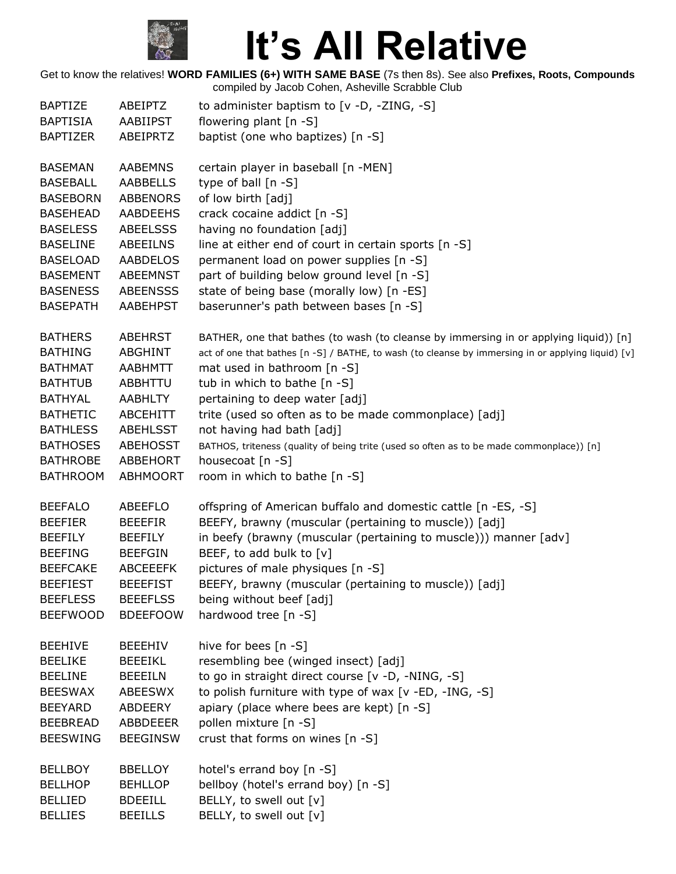

| <b>BAPTIZE</b>  | ABEIPTZ         | to administer baptism to [v -D, -ZING, -S]                                                         |
|-----------------|-----------------|----------------------------------------------------------------------------------------------------|
| <b>BAPTISIA</b> | AABIIPST        | flowering plant [n -S]                                                                             |
| <b>BAPTIZER</b> | ABEIPRTZ        | baptist (one who baptizes) [n -S]                                                                  |
| <b>BASEMAN</b>  | <b>AABEMNS</b>  | certain player in baseball [n -MEN]                                                                |
| <b>BASEBALL</b> | AABBELLS        | type of ball $[n - S]$                                                                             |
| <b>BASEBORN</b> | <b>ABBENORS</b> | of low birth [adj]                                                                                 |
| <b>BASEHEAD</b> | <b>AABDEEHS</b> | crack cocaine addict [n -S]                                                                        |
| <b>BASELESS</b> | <b>ABEELSSS</b> | having no foundation [adj]                                                                         |
| <b>BASELINE</b> | <b>ABEEILNS</b> | line at either end of court in certain sports [n -S]                                               |
| <b>BASELOAD</b> | <b>AABDELOS</b> | permanent load on power supplies [n -S]                                                            |
| <b>BASEMENT</b> | <b>ABEEMNST</b> | part of building below ground level [n -S]                                                         |
| <b>BASENESS</b> | <b>ABEENSSS</b> | state of being base (morally low) [n -ES]                                                          |
| <b>BASEPATH</b> | AABEHPST        | baserunner's path between bases [n -S]                                                             |
| <b>BATHERS</b>  | <b>ABEHRST</b>  | BATHER, one that bathes (to wash (to cleanse by immersing in or applying liquid)) [n]              |
| <b>BATHING</b>  | <b>ABGHINT</b>  | act of one that bathes [n -S] / BATHE, to wash (to cleanse by immersing in or applying liquid) [v] |
| <b>BATHMAT</b>  | <b>AABHMTT</b>  | mat used in bathroom [n -S]                                                                        |
| <b>BATHTUB</b>  | ABBHTTU         | tub in which to bathe [n -S]                                                                       |
| <b>BATHYAL</b>  | <b>AABHLTY</b>  | pertaining to deep water [adj]                                                                     |
| <b>BATHETIC</b> | <b>ABCEHITT</b> | trite (used so often as to be made commonplace) [adj]                                              |
| <b>BATHLESS</b> | ABEHLSST        | not having had bath [adj]                                                                          |
| <b>BATHOSES</b> | <b>ABEHOSST</b> | BATHOS, triteness (quality of being trite (used so often as to be made commonplace)) [n]           |
| <b>BATHROBE</b> | <b>ABBEHORT</b> | housecoat [n -S]                                                                                   |
| <b>BATHROOM</b> | <b>ABHMOORT</b> | room in which to bathe [n -S]                                                                      |
| <b>BEEFALO</b>  | ABEEFLO         | offspring of American buffalo and domestic cattle [n -ES, -S]                                      |
| <b>BEEFIER</b>  | <b>BEEEFIR</b>  | BEEFY, brawny (muscular (pertaining to muscle)) [adj]                                              |
| <b>BEEFILY</b>  | <b>BEEFILY</b>  | in beefy (brawny (muscular (pertaining to muscle))) manner [adv]                                   |
| <b>BEEFING</b>  | <b>BEEFGIN</b>  | BEEF, to add bulk to [v]                                                                           |
| <b>BEEFCAKE</b> | <b>ABCEEEFK</b> | pictures of male physiques [n -S]                                                                  |
| <b>BEEFIEST</b> | <b>BEEEFIST</b> | BEEFY, brawny (muscular (pertaining to muscle)) [adj]                                              |
| <b>BEEFLESS</b> | <b>BEEEFLSS</b> | being without beef [adj]                                                                           |
| <b>BEEFWOOD</b> | <b>BDEEFOOW</b> | hardwood tree [n -S]                                                                               |
| <b>BEEHIVE</b>  | <b>BEEEHIV</b>  | hive for bees [n -S]                                                                               |
| <b>BEELIKE</b>  | <b>BEEEIKL</b>  | resembling bee (winged insect) [adj]                                                               |
| <b>BEELINE</b>  | <b>BEEEILN</b>  | to go in straight direct course [v -D, -NING, -S]                                                  |
| <b>BEESWAX</b>  | <b>ABEESWX</b>  | to polish furniture with type of wax [v -ED, -ING, -S]                                             |
| <b>BEEYARD</b>  | ABDEERY         | apiary (place where bees are kept) [n -S]                                                          |
| <b>BEEBREAD</b> | <b>ABBDEEER</b> | pollen mixture [n -S]                                                                              |
| <b>BEESWING</b> | <b>BEEGINSW</b> | crust that forms on wines [n -S]                                                                   |
| <b>BELLBOY</b>  | <b>BBELLOY</b>  | hotel's errand boy [n -S]                                                                          |
| <b>BELLHOP</b>  | <b>BEHLLOP</b>  | bellboy (hotel's errand boy) [n -S]                                                                |
| <b>BELLIED</b>  | <b>BDEEILL</b>  | BELLY, to swell out [v]                                                                            |
| <b>BELLIES</b>  | <b>BEEILLS</b>  | BELLY, to swell out [v]                                                                            |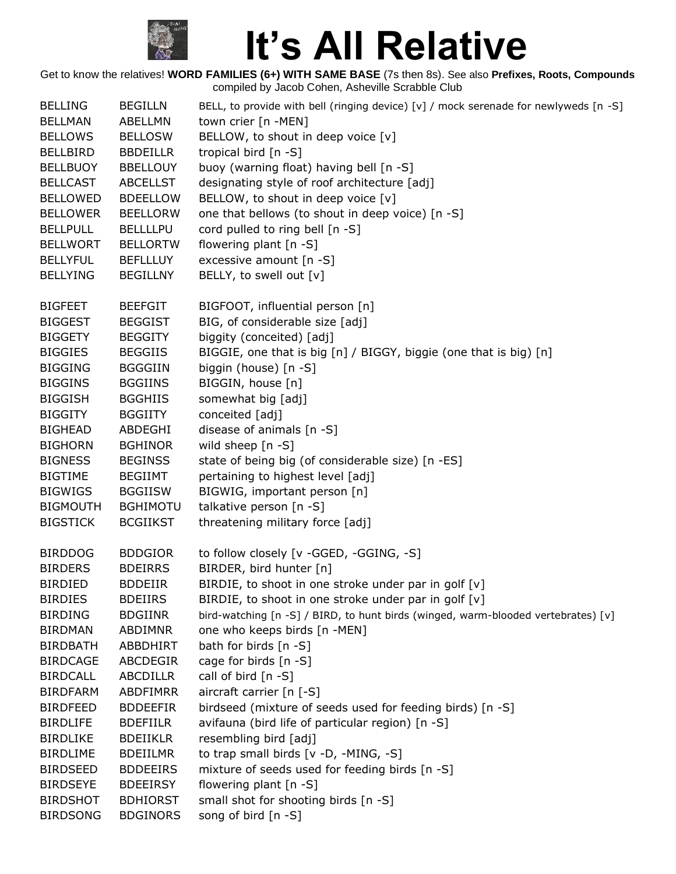

| <b>BELLING</b>  | <b>BEGILLN</b>  | BELL, to provide with bell (ringing device) [v] / mock serenade for newlyweds [n -S] |
|-----------------|-----------------|--------------------------------------------------------------------------------------|
| <b>BELLMAN</b>  | ABELLMN         | town crier [n -MEN]                                                                  |
| <b>BELLOWS</b>  | <b>BELLOSW</b>  | BELLOW, to shout in deep voice [v]                                                   |
| <b>BELLBIRD</b> | <b>BBDEILLR</b> | tropical bird [n -S]                                                                 |
| <b>BELLBUOY</b> | <b>BBELLOUY</b> | buoy (warning float) having bell [n -S]                                              |
| <b>BELLCAST</b> | <b>ABCELLST</b> | designating style of roof architecture [adj]                                         |
| <b>BELLOWED</b> | <b>BDEELLOW</b> | BELLOW, to shout in deep voice [v]                                                   |
| <b>BELLOWER</b> | <b>BEELLORW</b> | one that bellows (to shout in deep voice) [n -S]                                     |
| <b>BELLPULL</b> | <b>BELLLLPU</b> | cord pulled to ring bell [n -S]                                                      |
| <b>BELLWORT</b> | <b>BELLORTW</b> | flowering plant [n -S]                                                               |
| <b>BELLYFUL</b> | <b>BEFLLLUY</b> | excessive amount [n -S]                                                              |
| <b>BELLYING</b> | <b>BEGILLNY</b> | BELLY, to swell out [v]                                                              |
| <b>BIGFEET</b>  | <b>BEEFGIT</b>  | BIGFOOT, influential person [n]                                                      |
| <b>BIGGEST</b>  | <b>BEGGIST</b>  | BIG, of considerable size [adj]                                                      |
| <b>BIGGETY</b>  | <b>BEGGITY</b>  | biggity (conceited) [adj]                                                            |
| <b>BIGGIES</b>  | <b>BEGGIIS</b>  | BIGGIE, one that is big [n] / BIGGY, biggie (one that is big) [n]                    |
| <b>BIGGING</b>  | <b>BGGGIIN</b>  | biggin (house) [n -S]                                                                |
| <b>BIGGINS</b>  | <b>BGGIINS</b>  | BIGGIN, house [n]                                                                    |
| <b>BIGGISH</b>  | <b>BGGHIIS</b>  | somewhat big [adj]                                                                   |
| <b>BIGGITY</b>  | <b>BGGIITY</b>  | conceited [adj]                                                                      |
| <b>BIGHEAD</b>  | ABDEGHI         | disease of animals [n -S]                                                            |
| <b>BIGHORN</b>  | <b>BGHINOR</b>  | wild sheep [n -S]                                                                    |
| <b>BIGNESS</b>  | <b>BEGINSS</b>  | state of being big (of considerable size) [n -ES]                                    |
| <b>BIGTIME</b>  | <b>BEGIIMT</b>  | pertaining to highest level [adj]                                                    |
| <b>BIGWIGS</b>  | <b>BGGIISW</b>  | BIGWIG, important person [n]                                                         |
| <b>BIGMOUTH</b> | <b>BGHIMOTU</b> | talkative person [n -S]                                                              |
| <b>BIGSTICK</b> | <b>BCGIIKST</b> | threatening military force [adj]                                                     |
| <b>BIRDDOG</b>  | <b>BDDGIOR</b>  | to follow closely [v -GGED, -GGING, -S]                                              |
| <b>BIRDERS</b>  | <b>BDEIRRS</b>  | BIRDER, bird hunter [n]                                                              |
| <b>BIRDIED</b>  | <b>BDDEIIR</b>  | BIRDIE, to shoot in one stroke under par in golf [v]                                 |
| <b>BIRDIES</b>  | <b>BDEIIRS</b>  | BIRDIE, to shoot in one stroke under par in golf [v]                                 |
| <b>BIRDING</b>  | <b>BDGIINR</b>  | bird-watching [n -S] / BIRD, to hunt birds (winged, warm-blooded vertebrates) [v]    |
| <b>BIRDMAN</b>  | <b>ABDIMNR</b>  | one who keeps birds [n -MEN]                                                         |
| <b>BIRDBATH</b> | ABBDHIRT        | bath for birds [n -S]                                                                |
| <b>BIRDCAGE</b> | ABCDEGIR        | cage for birds $[n - S]$                                                             |
| <b>BIRDCALL</b> | <b>ABCDILLR</b> | call of bird $[n -S]$                                                                |
| <b>BIRDFARM</b> | ABDFIMRR        | aircraft carrier [n [-S]                                                             |
| <b>BIRDFEED</b> | <b>BDDEEFIR</b> | birdseed (mixture of seeds used for feeding birds) [n -S]                            |
| <b>BIRDLIFE</b> | <b>BDEFIILR</b> | avifauna (bird life of particular region) [n -S]                                     |
| <b>BIRDLIKE</b> | <b>BDEIIKLR</b> | resembling bird [adj]                                                                |
| <b>BIRDLIME</b> | <b>BDEIILMR</b> | to trap small birds [v -D, -MING, -S]                                                |
| <b>BIRDSEED</b> | <b>BDDEEIRS</b> | mixture of seeds used for feeding birds [n -S]                                       |
| <b>BIRDSEYE</b> | <b>BDEEIRSY</b> | flowering plant [n -S]                                                               |
| <b>BIRDSHOT</b> | <b>BDHIORST</b> | small shot for shooting birds [n -S]                                                 |
| <b>BIRDSONG</b> | <b>BDGINORS</b> | song of bird [n -S]                                                                  |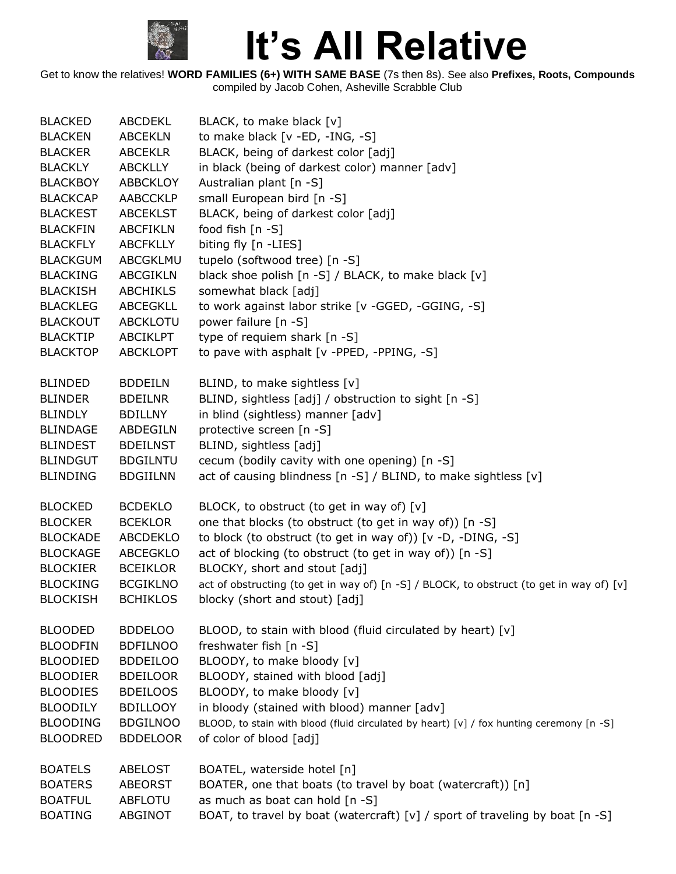

| <b>BLACKED</b>  | ABCDEKL         | BLACK, to make black [v]                                                                 |
|-----------------|-----------------|------------------------------------------------------------------------------------------|
| <b>BLACKEN</b>  | <b>ABCEKLN</b>  | to make black [v -ED, -ING, -S]                                                          |
| <b>BLACKER</b>  | <b>ABCEKLR</b>  | BLACK, being of darkest color [adj]                                                      |
| <b>BLACKLY</b>  | <b>ABCKLLY</b>  | in black (being of darkest color) manner [adv]                                           |
| <b>BLACKBOY</b> | <b>ABBCKLOY</b> | Australian plant [n -S]                                                                  |
| <b>BLACKCAP</b> | <b>AABCCKLP</b> | small European bird [n -S]                                                               |
| <b>BLACKEST</b> | <b>ABCEKLST</b> | BLACK, being of darkest color [adj]                                                      |
| <b>BLACKFIN</b> | <b>ABCFIKLN</b> | food fish [n -S]                                                                         |
| <b>BLACKFLY</b> | <b>ABCFKLLY</b> | biting fly [n -LIES]                                                                     |
| <b>BLACKGUM</b> | ABCGKLMU        | tupelo (softwood tree) [n -S]                                                            |
| <b>BLACKING</b> | <b>ABCGIKLN</b> | black shoe polish [n -S] / BLACK, to make black [v]                                      |
| <b>BLACKISH</b> | <b>ABCHIKLS</b> | somewhat black [adj]                                                                     |
| <b>BLACKLEG</b> | ABCEGKLL        | to work against labor strike [v -GGED, -GGING, -S]                                       |
| <b>BLACKOUT</b> | ABCKLOTU        | power failure [n -S]                                                                     |
| <b>BLACKTIP</b> | <b>ABCIKLPT</b> | type of requiem shark [n -S]                                                             |
| <b>BLACKTOP</b> | <b>ABCKLOPT</b> | to pave with asphalt [v -PPED, -PPING, -S]                                               |
|                 |                 |                                                                                          |
| <b>BLINDED</b>  | <b>BDDEILN</b>  | BLIND, to make sightless [v]                                                             |
| <b>BLINDER</b>  | <b>BDEILNR</b>  | BLIND, sightless [adj] / obstruction to sight [n -S]                                     |
| <b>BLINDLY</b>  | <b>BDILLNY</b>  | in blind (sightless) manner [adv]                                                        |
| <b>BLINDAGE</b> | ABDEGILN        | protective screen [n -S]                                                                 |
| <b>BLINDEST</b> | <b>BDEILNST</b> | BLIND, sightless [adj]                                                                   |
| <b>BLINDGUT</b> | <b>BDGILNTU</b> | cecum (bodily cavity with one opening) [n -S]                                            |
| <b>BLINDING</b> | <b>BDGIILNN</b> | act of causing blindness [n -S] / BLIND, to make sightless [v]                           |
|                 |                 |                                                                                          |
| <b>BLOCKED</b>  | <b>BCDEKLO</b>  | BLOCK, to obstruct (to get in way of) [v]                                                |
| <b>BLOCKER</b>  | <b>BCEKLOR</b>  | one that blocks (to obstruct (to get in way of)) [n -S]                                  |
| <b>BLOCKADE</b> | ABCDEKLO        | to block (to obstruct (to get in way of)) [v -D, -DING, -S]                              |
| <b>BLOCKAGE</b> | ABCEGKLO        | act of blocking (to obstruct (to get in way of)) [n -S]                                  |
| <b>BLOCKIER</b> | <b>BCEIKLOR</b> | BLOCKY, short and stout [adj]                                                            |
| <b>BLOCKING</b> | <b>BCGIKLNO</b> | act of obstructing (to get in way of) [n -S] / BLOCK, to obstruct (to get in way of) [v] |
| <b>BLOCKISH</b> | <b>BCHIKLOS</b> | blocky (short and stout) [adj]                                                           |
|                 |                 |                                                                                          |
| <b>BLOODED</b>  | <b>BDDELOO</b>  | BLOOD, to stain with blood (fluid circulated by heart) [v]                               |
| <b>BLOODFIN</b> | <b>BDFILNOO</b> | freshwater fish [n -S]                                                                   |
| <b>BLOODIED</b> | <b>BDDEILOO</b> | BLOODY, to make bloody [v]                                                               |
| <b>BLOODIER</b> | <b>BDEILOOR</b> | BLOODY, stained with blood [adj]                                                         |
| <b>BLOODIES</b> | <b>BDEILOOS</b> | BLOODY, to make bloody [v]                                                               |
| <b>BLOODILY</b> | <b>BDILLOOY</b> | in bloody (stained with blood) manner [adv]                                              |
| <b>BLOODING</b> | <b>BDGILNOO</b> | BLOOD, to stain with blood (fluid circulated by heart) [v] / fox hunting ceremony [n -S] |
| <b>BLOODRED</b> | <b>BDDELOOR</b> | of color of blood [adj]                                                                  |
|                 |                 |                                                                                          |
| <b>BOATELS</b>  | <b>ABELOST</b>  | BOATEL, waterside hotel [n]                                                              |
| <b>BOATERS</b>  | <b>ABEORST</b>  | BOATER, one that boats (to travel by boat (watercraft)) [n]                              |
| <b>BOATFUL</b>  | <b>ABFLOTU</b>  | as much as boat can hold [n -S]                                                          |
| <b>BOATING</b>  | ABGINOT         | BOAT, to travel by boat (watercraft) [v] / sport of traveling by boat [n -S]             |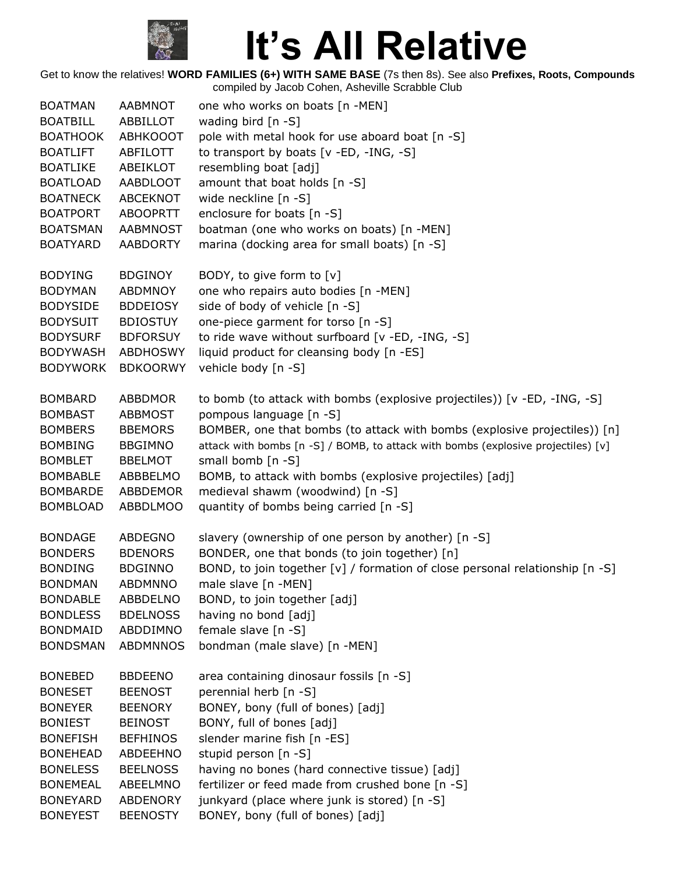

| <b>BOATMAN</b>  | <b>AABMNOT</b>  | one who works on boats [n -MEN]                                                   |
|-----------------|-----------------|-----------------------------------------------------------------------------------|
| <b>BOATBILL</b> | ABBILLOT        | wading bird [n -S]                                                                |
| <b>BOATHOOK</b> | <b>ABHKOOOT</b> | pole with metal hook for use aboard boat [n -S]                                   |
| <b>BOATLIFT</b> | ABFILOTT        | to transport by boats [v -ED, -ING, -S]                                           |
| <b>BOATLIKE</b> | ABEIKLOT        | resembling boat [adj]                                                             |
| <b>BOATLOAD</b> | AABDLOOT        | amount that boat holds [n -S]                                                     |
| <b>BOATNECK</b> | ABCEKNOT        | wide neckline [n -S]                                                              |
| <b>BOATPORT</b> | <b>ABOOPRTT</b> | enclosure for boats [n -S]                                                        |
| <b>BOATSMAN</b> | <b>AABMNOST</b> | boatman (one who works on boats) [n -MEN]                                         |
| <b>BOATYARD</b> | <b>AABDORTY</b> | marina (docking area for small boats) [n -S]                                      |
| <b>BODYING</b>  | <b>BDGINOY</b>  | BODY, to give form to [v]                                                         |
| <b>BODYMAN</b>  | ABDMNOY         | one who repairs auto bodies [n -MEN]                                              |
| <b>BODYSIDE</b> | <b>BDDEIOSY</b> | side of body of vehicle [n -S]                                                    |
| <b>BODYSUIT</b> | <b>BDIOSTUY</b> | one-piece garment for torso [n -S]                                                |
| <b>BODYSURF</b> | <b>BDFORSUY</b> | to ride wave without surfboard [v -ED, -ING, -S]                                  |
| <b>BODYWASH</b> | <b>ABDHOSWY</b> | liquid product for cleansing body [n -ES]                                         |
| <b>BODYWORK</b> | <b>BDKOORWY</b> | vehicle body [n -S]                                                               |
| <b>BOMBARD</b>  | <b>ABBDMOR</b>  | to bomb (to attack with bombs (explosive projectiles)) [v -ED, -ING, -S]          |
| <b>BOMBAST</b>  | <b>ABBMOST</b>  | pompous language [n -S]                                                           |
| <b>BOMBERS</b>  | <b>BBEMORS</b>  | BOMBER, one that bombs (to attack with bombs (explosive projectiles)) [n]         |
| <b>BOMBING</b>  | <b>BBGIMNO</b>  | attack with bombs [n -S] / BOMB, to attack with bombs (explosive projectiles) [v] |
| <b>BOMBLET</b>  | <b>BBELMOT</b>  | small bomb [n -S]                                                                 |
| <b>BOMBABLE</b> | ABBBELMO        | BOMB, to attack with bombs (explosive projectiles) [adj]                          |
| <b>BOMBARDE</b> | ABBDEMOR        | medieval shawm (woodwind) [n -S]                                                  |
| <b>BOMBLOAD</b> | <b>ABBDLMOO</b> | quantity of bombs being carried [n -S]                                            |
| <b>BONDAGE</b>  | <b>ABDEGNO</b>  | slavery (ownership of one person by another) [n -S]                               |
| <b>BONDERS</b>  | <b>BDENORS</b>  | BONDER, one that bonds (to join together) [n]                                     |
| <b>BONDING</b>  | <b>BDGINNO</b>  | BOND, to join together $[v]$ / formation of close personal relationship $[n -S]$  |
| <b>BONDMAN</b>  | <b>ABDMNNO</b>  | male slave [n -MEN]                                                               |
| <b>BONDABLE</b> | ABBDELNO        | BOND, to join together [adj]                                                      |
| <b>BONDLESS</b> | <b>BDELNOSS</b> | having no bond [adj]                                                              |
| <b>BONDMAID</b> | ABDDIMNO        | female slave $[n -S]$                                                             |
| <b>BONDSMAN</b> | <b>ABDMNNOS</b> | bondman (male slave) [n -MEN]                                                     |
| <b>BONEBED</b>  | <b>BBDEENO</b>  | area containing dinosaur fossils [n -S]                                           |
| <b>BONESET</b>  | <b>BEENOST</b>  | perennial herb [n -S]                                                             |
| <b>BONEYER</b>  | <b>BEENORY</b>  | BONEY, bony (full of bones) [adj]                                                 |
| <b>BONIEST</b>  | <b>BEINOST</b>  | BONY, full of bones [adj]                                                         |
| <b>BONEFISH</b> | <b>BEFHINOS</b> | slender marine fish [n -ES]                                                       |
| <b>BONEHEAD</b> | ABDEEHNO        | stupid person [n -S]                                                              |
| <b>BONELESS</b> | <b>BEELNOSS</b> | having no bones (hard connective tissue) [adj]                                    |
| <b>BONEMEAL</b> | ABEELMNO        | fertilizer or feed made from crushed bone [n -S]                                  |
| <b>BONEYARD</b> | <b>ABDENORY</b> | junkyard (place where junk is stored) [n -S]                                      |
| <b>BONEYEST</b> | <b>BEENOSTY</b> | BONEY, bony (full of bones) [adj]                                                 |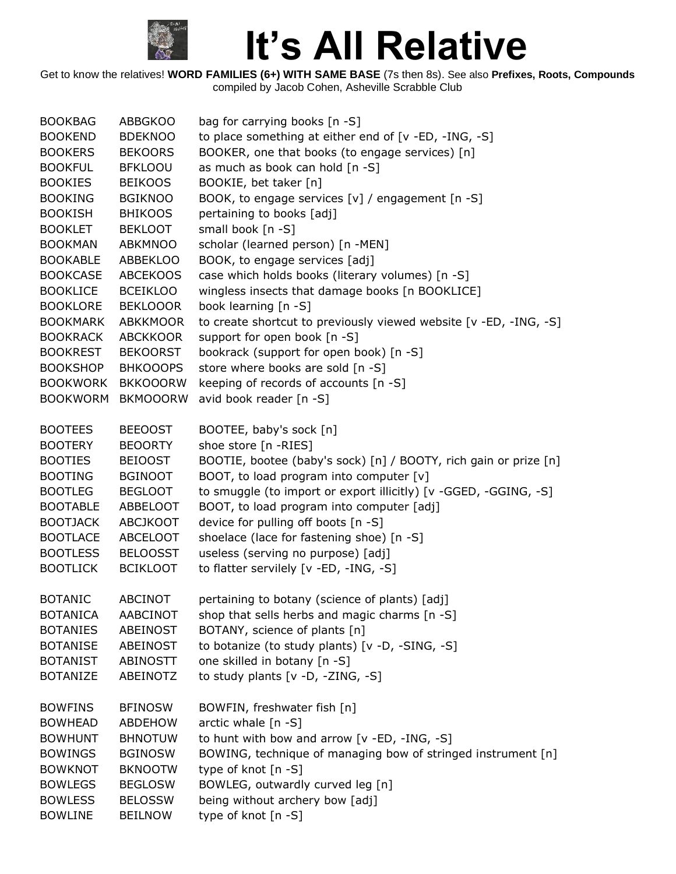

| to place something at either end of [v -ED, -ING, -S]<br><b>BOOKEND</b><br><b>BDEKNOO</b><br>BOOKER, one that books (to engage services) [n]<br><b>BOOKERS</b><br><b>BEKOORS</b> |  |
|----------------------------------------------------------------------------------------------------------------------------------------------------------------------------------|--|
|                                                                                                                                                                                  |  |
|                                                                                                                                                                                  |  |
| as much as book can hold [n -S]<br><b>BOOKFUL</b><br><b>BFKLOOU</b>                                                                                                              |  |
| <b>BOOKIES</b><br>BOOKIE, bet taker [n]<br><b>BEIKOOS</b>                                                                                                                        |  |
| BOOK, to engage services [v] / engagement [n -S]<br><b>BOOKING</b><br><b>BGIKNOO</b>                                                                                             |  |
| <b>BOOKISH</b><br><b>BHIKOOS</b><br>pertaining to books [adj]                                                                                                                    |  |
| small book [n -S]<br><b>BOOKLET</b><br><b>BEKLOOT</b>                                                                                                                            |  |
| scholar (learned person) [n -MEN]<br><b>BOOKMAN</b><br><b>ABKMNOO</b>                                                                                                            |  |
| <b>BOOKABLE</b><br><b>ABBEKLOO</b><br>BOOK, to engage services [adj]                                                                                                             |  |
| case which holds books (literary volumes) [n -S]<br><b>BOOKCASE</b><br><b>ABCEKOOS</b>                                                                                           |  |
| wingless insects that damage books [n BOOKLICE]<br><b>BOOKLICE</b><br><b>BCEIKLOO</b>                                                                                            |  |
| <b>BOOKLORE</b><br><b>BEKLOOOR</b><br>book learning [n -S]                                                                                                                       |  |
| to create shortcut to previously viewed website [v -ED, -ING, -S]<br><b>BOOKMARK</b><br><b>ABKKMOOR</b>                                                                          |  |
| <b>ABCKKOOR</b><br>support for open book [n -S]<br><b>BOOKRACK</b>                                                                                                               |  |
| <b>BOOKREST</b><br><b>BEKOORST</b><br>bookrack (support for open book) [n -S]                                                                                                    |  |
| store where books are sold [n -S]<br><b>BOOKSHOP</b><br><b>BHKOOOPS</b>                                                                                                          |  |
| <b>BOOKWORK</b><br><b>BKKOOORW</b><br>keeping of records of accounts [n -S]                                                                                                      |  |
| avid book reader [n -S]<br><b>BOOKWORM</b><br><b>BKMOOORW</b>                                                                                                                    |  |
|                                                                                                                                                                                  |  |
| <b>BEEOOST</b><br>BOOTEE, baby's sock [n]<br><b>BOOTEES</b>                                                                                                                      |  |
| shoe store [n -RIES]<br><b>BOOTERY</b><br><b>BEOORTY</b>                                                                                                                         |  |
| BOOTIE, bootee (baby's sock) [n] / BOOTY, rich gain or prize [n]<br><b>BOOTIES</b><br><b>BEIOOST</b>                                                                             |  |
| BOOT, to load program into computer [v]<br><b>BOOTING</b><br><b>BGINOOT</b>                                                                                                      |  |
| to smuggle (to import or export illicitly) [v -GGED, -GGING, -S]<br><b>BOOTLEG</b><br><b>BEGLOOT</b>                                                                             |  |
| BOOT, to load program into computer [adj]<br><b>BOOTABLE</b><br>ABBELOOT                                                                                                         |  |
| device for pulling off boots [n -S]<br><b>BOOTJACK</b><br><b>ABCJKOOT</b>                                                                                                        |  |
| shoelace (lace for fastening shoe) [n -S]<br><b>BOOTLACE</b><br><b>ABCELOOT</b>                                                                                                  |  |
| useless (serving no purpose) [adj]<br><b>BOOTLESS</b><br><b>BELOOSST</b>                                                                                                         |  |
| <b>BOOTLICK</b><br><b>BCIKLOOT</b><br>to flatter servilely [v -ED, -ING, -S]                                                                                                     |  |
|                                                                                                                                                                                  |  |
| <b>ABCINOT</b><br>pertaining to botany (science of plants) [adj]<br><b>BOTANIC</b>                                                                                               |  |
| <b>BOTANICA</b><br>AABCINOT<br>shop that sells herbs and magic charms [n -S]                                                                                                     |  |
| BOTANY, science of plants [n]<br><b>BOTANIES</b><br>ABEINOST                                                                                                                     |  |
| to botanize (to study plants) [v -D, -SING, -S]<br><b>BOTANISE</b><br>ABEINOST                                                                                                   |  |
| one skilled in botany [n -S]<br><b>BOTANIST</b><br><b>ABINOSTT</b>                                                                                                               |  |
| <b>BOTANIZE</b><br>ABEINOTZ<br>to study plants $[v -D, -ZING, -S]$                                                                                                               |  |
|                                                                                                                                                                                  |  |
| BOWFIN, freshwater fish [n]<br><b>BOWFINS</b><br><b>BFINOSW</b>                                                                                                                  |  |
| arctic whale $[n -S]$<br><b>BOWHEAD</b><br><b>ABDEHOW</b>                                                                                                                        |  |
| to hunt with bow and arrow [v -ED, -ING, -S]<br><b>BOWHUNT</b><br><b>BHNOTUW</b>                                                                                                 |  |
| BOWING, technique of managing bow of stringed instrument [n]<br><b>BOWINGS</b><br><b>BGINOSW</b>                                                                                 |  |
| type of knot [n -S]<br><b>BOWKNOT</b><br><b>BKNOOTW</b>                                                                                                                          |  |
| BOWLEG, outwardly curved leg [n]<br><b>BOWLEGS</b><br><b>BEGLOSW</b>                                                                                                             |  |
| being without archery bow [adj]<br><b>BOWLESS</b><br><b>BELOSSW</b>                                                                                                              |  |
| type of knot [n -S]<br><b>BOWLINE</b><br><b>BEILNOW</b>                                                                                                                          |  |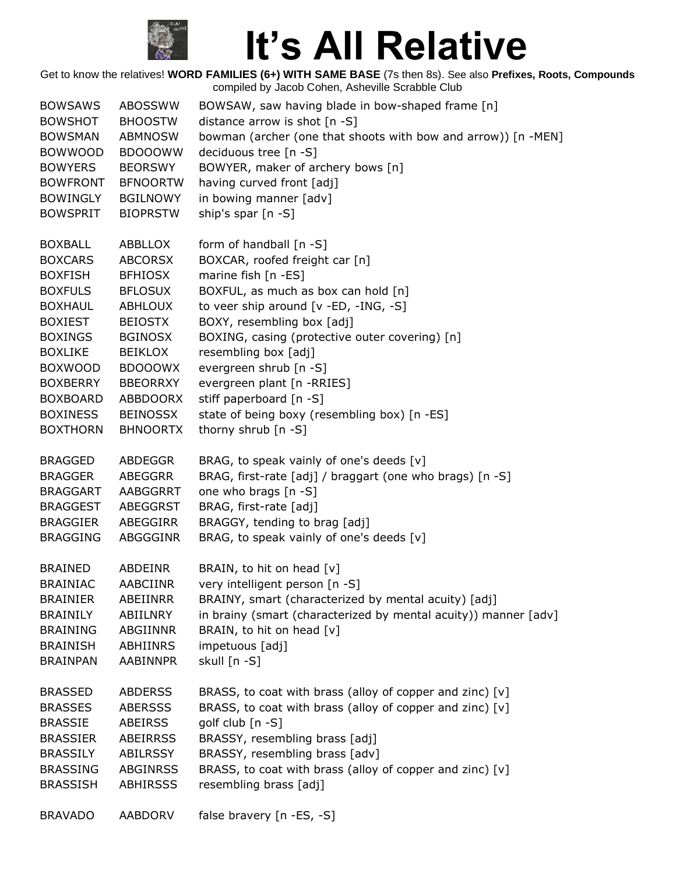

| <b>BOWSAWS</b>                                                                                                             | <b>ABOSSWW</b>                                                                                                                        | BOWSAW, saw having blade in bow-shaped frame [n]                                                                                                                                                                                                 |
|----------------------------------------------------------------------------------------------------------------------------|---------------------------------------------------------------------------------------------------------------------------------------|--------------------------------------------------------------------------------------------------------------------------------------------------------------------------------------------------------------------------------------------------|
| <b>BOWSHOT</b>                                                                                                             | <b>BHOOSTW</b>                                                                                                                        | distance arrow is shot $[n -S]$                                                                                                                                                                                                                  |
| <b>BOWSMAN</b>                                                                                                             | <b>ABMNOSW</b>                                                                                                                        | bowman (archer (one that shoots with bow and arrow)) [n -MEN]                                                                                                                                                                                    |
| <b>BOWWOOD</b>                                                                                                             | <b>BDOOOWW</b>                                                                                                                        | deciduous tree [n -S]                                                                                                                                                                                                                            |
| <b>BOWYERS</b>                                                                                                             | <b>BEORSWY</b>                                                                                                                        | BOWYER, maker of archery bows [n]                                                                                                                                                                                                                |
| <b>BOWFRONT</b>                                                                                                            | <b>BFNOORTW</b>                                                                                                                       | having curved front [adj]                                                                                                                                                                                                                        |
| <b>BOWINGLY</b>                                                                                                            | <b>BGILNOWY</b>                                                                                                                       | in bowing manner [adv]                                                                                                                                                                                                                           |
| <b>BOWSPRIT</b>                                                                                                            | <b>BIOPRSTW</b>                                                                                                                       | ship's spar $[n -S]$                                                                                                                                                                                                                             |
| <b>BOXBALL</b><br><b>BOXCARS</b><br><b>BOXFISH</b><br><b>BOXFULS</b><br><b>BOXHAUL</b><br><b>BOXIEST</b><br><b>BOXINGS</b> | ABBLLOX<br><b>ABCORSX</b><br><b>BFHIOSX</b><br><b>BFLOSUX</b><br><b>ABHLOUX</b><br><b>BEIOSTX</b><br><b>BGINOSX</b><br><b>BEIKLOX</b> | form of handball [n -S]<br>BOXCAR, roofed freight car [n]<br>marine fish [n -ES]<br>BOXFUL, as much as box can hold [n]<br>to veer ship around [v -ED, -ING, -S]<br>BOXY, resembling box [adj]<br>BOXING, casing (protective outer covering) [n] |
| <b>BOXLIKE</b><br><b>BOXWOOD</b><br><b>BOXBERRY</b><br><b>BOXBOARD</b><br><b>BOXINESS</b><br><b>BOXTHORN</b>               | <b>BDOOOWX</b><br><b>BBEORRXY</b><br>ABBDOORX<br><b>BEINOSSX</b><br><b>BHNOORTX</b>                                                   | resembling box [adj]<br>evergreen shrub [n -S]<br>evergreen plant [n -RRIES]<br>stiff paperboard [n -S]<br>state of being boxy (resembling box) [n -ES]<br>thorny shrub [n -S]                                                                   |
| <b>BRAGGED</b>                                                                                                             | ABDEGGR                                                                                                                               | BRAG, to speak vainly of one's deeds [v]                                                                                                                                                                                                         |
| <b>BRAGGER</b>                                                                                                             | <b>ABEGGRR</b>                                                                                                                        | BRAG, first-rate [adj] / braggart (one who brags) [n -S]                                                                                                                                                                                         |
| <b>BRAGGART</b>                                                                                                            | AABGGRRT                                                                                                                              | one who brags [n -S]                                                                                                                                                                                                                             |
| <b>BRAGGEST</b>                                                                                                            | ABEGGRST                                                                                                                              | BRAG, first-rate [adj]                                                                                                                                                                                                                           |
| <b>BRAGGIER</b>                                                                                                            | ABEGGIRR                                                                                                                              | BRAGGY, tending to brag [adj]                                                                                                                                                                                                                    |
| <b>BRAGGING</b>                                                                                                            | <b>ABGGGINR</b>                                                                                                                       | BRAG, to speak vainly of one's deeds [v]                                                                                                                                                                                                         |
| <b>BRAINED</b>                                                                                                             | <b>ABDEINR</b>                                                                                                                        | BRAIN, to hit on head [v]                                                                                                                                                                                                                        |
| <b>BRAINIAC</b>                                                                                                            | AABCIINR                                                                                                                              | very intelligent person [n -S]                                                                                                                                                                                                                   |
| <b>BRAINIER</b>                                                                                                            | <b>ABEIINRR</b>                                                                                                                       | BRAINY, smart (characterized by mental acuity) [adj]                                                                                                                                                                                             |
| <b>BRAINILY</b>                                                                                                            | ABIILNRY                                                                                                                              | in brainy (smart (characterized by mental acuity)) manner [adv]                                                                                                                                                                                  |
| <b>BRAINING</b>                                                                                                            | <b>ABGIINNR</b>                                                                                                                       | BRAIN, to hit on head [v]                                                                                                                                                                                                                        |
| <b>BRAINISH</b>                                                                                                            | ABHIINRS                                                                                                                              | impetuous [adj]                                                                                                                                                                                                                                  |
| <b>BRAINPAN</b>                                                                                                            | <b>AABINNPR</b>                                                                                                                       | skull [n -S]                                                                                                                                                                                                                                     |
| <b>BRASSED</b>                                                                                                             | <b>ABDERSS</b>                                                                                                                        | BRASS, to coat with brass (alloy of copper and zinc) [v]                                                                                                                                                                                         |
| <b>BRASSES</b>                                                                                                             | <b>ABERSSS</b>                                                                                                                        | BRASS, to coat with brass (alloy of copper and zinc) [v]                                                                                                                                                                                         |
| <b>BRASSIE</b>                                                                                                             | <b>ABEIRSS</b>                                                                                                                        | golf club [n -S]                                                                                                                                                                                                                                 |
| <b>BRASSIER</b>                                                                                                            | <b>ABEIRRSS</b>                                                                                                                       | BRASSY, resembling brass [adj]                                                                                                                                                                                                                   |
| <b>BRASSILY</b>                                                                                                            | ABILRSSY                                                                                                                              | BRASSY, resembling brass [adv]                                                                                                                                                                                                                   |
| <b>BRASSING</b>                                                                                                            | <b>ABGINRSS</b>                                                                                                                       | BRASS, to coat with brass (alloy of copper and zinc) [v]                                                                                                                                                                                         |
| <b>BRASSISH</b>                                                                                                            | <b>ABHIRSSS</b>                                                                                                                       | resembling brass [adj]                                                                                                                                                                                                                           |
| <b>BRAVADO</b>                                                                                                             | <b>AABDORV</b>                                                                                                                        | false bravery [n -ES, -S]                                                                                                                                                                                                                        |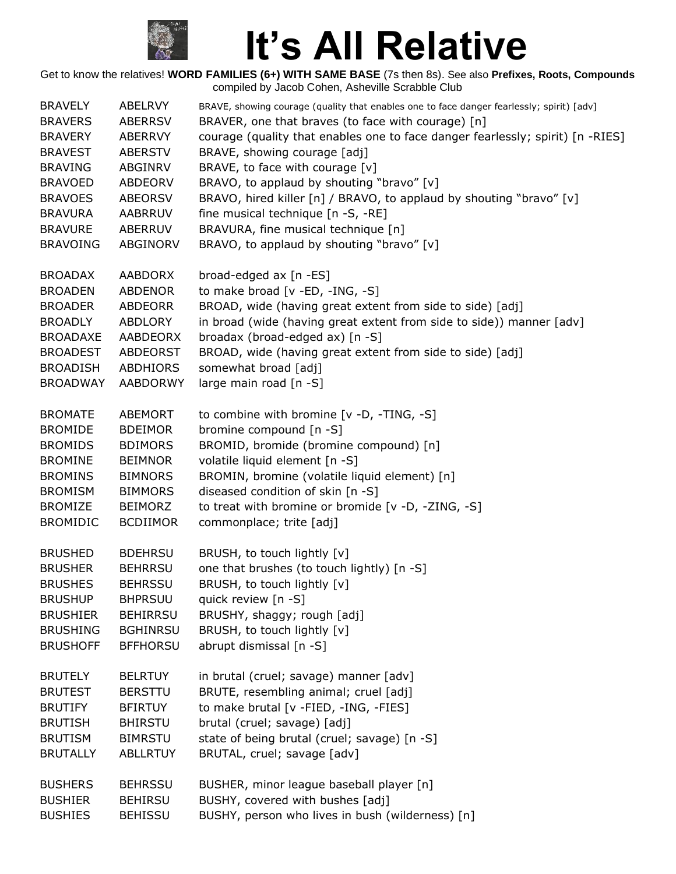

| <b>BRAVELY</b>  | ABELRVY         | BRAVE, showing courage (quality that enables one to face danger fearlessly; spirit) [adv] |
|-----------------|-----------------|-------------------------------------------------------------------------------------------|
| <b>BRAVERS</b>  | <b>ABERRSV</b>  | BRAVER, one that braves (to face with courage) [n]                                        |
| <b>BRAVERY</b>  | <b>ABERRVY</b>  | courage (quality that enables one to face danger fearlessly; spirit) [n -RIES]            |
| <b>BRAVEST</b>  | <b>ABERSTV</b>  | BRAVE, showing courage [adj]                                                              |
| <b>BRAVING</b>  | ABGINRV         | BRAVE, to face with courage [v]                                                           |
| <b>BRAVOED</b>  | ABDEORV         | BRAVO, to applaud by shouting "bravo" [v]                                                 |
| <b>BRAVOES</b>  | <b>ABEORSV</b>  | BRAVO, hired killer [n] / BRAVO, to applaud by shouting "bravo" [v]                       |
| <b>BRAVURA</b>  | AABRRUV         | fine musical technique [n -S, -RE]                                                        |
| <b>BRAVURE</b>  | <b>ABERRUV</b>  | BRAVURA, fine musical technique [n]                                                       |
| <b>BRAVOING</b> | ABGINORV        | BRAVO, to applaud by shouting "bravo" [v]                                                 |
|                 |                 |                                                                                           |
| <b>BROADAX</b>  | <b>AABDORX</b>  | broad-edged ax [n -ES]                                                                    |
| <b>BROADEN</b>  | <b>ABDENOR</b>  | to make broad [v -ED, -ING, -S]                                                           |
| <b>BROADER</b>  | <b>ABDEORR</b>  | BROAD, wide (having great extent from side to side) [adj]                                 |
| <b>BROADLY</b>  | <b>ABDLORY</b>  | in broad (wide (having great extent from side to side)) manner [adv]                      |
| <b>BROADAXE</b> | AABDEORX        | broadax (broad-edged ax) [n -S]                                                           |
| <b>BROADEST</b> | ABDEORST        | BROAD, wide (having great extent from side to side) [adj]                                 |
| <b>BROADISH</b> | <b>ABDHIORS</b> | somewhat broad [adj]                                                                      |
| <b>BROADWAY</b> | <b>AABDORWY</b> | large main road [n -S]                                                                    |
|                 |                 |                                                                                           |
| <b>BROMATE</b>  | <b>ABEMORT</b>  | to combine with bromine [v -D, -TING, -S]                                                 |
| <b>BROMIDE</b>  | <b>BDEIMOR</b>  | bromine compound [n -S]                                                                   |
| <b>BROMIDS</b>  | <b>BDIMORS</b>  | BROMID, bromide (bromine compound) [n]                                                    |
| <b>BROMINE</b>  | <b>BEIMNOR</b>  | volatile liquid element [n -S]                                                            |
| <b>BROMINS</b>  | <b>BIMNORS</b>  | BROMIN, bromine (volatile liquid element) [n]                                             |
| <b>BROMISM</b>  | <b>BIMMORS</b>  | diseased condition of skin [n -S]                                                         |
| <b>BROMIZE</b>  | <b>BEIMORZ</b>  | to treat with bromine or bromide [v -D, -ZING, -S]                                        |
| <b>BROMIDIC</b> | <b>BCDIIMOR</b> | commonplace; trite [adj]                                                                  |
|                 |                 |                                                                                           |
| <b>BRUSHED</b>  | <b>BDEHRSU</b>  | BRUSH, to touch lightly [v]                                                               |
| <b>BRUSHER</b>  | <b>BEHRRSU</b>  | one that brushes (to touch lightly) [n -S]                                                |
| <b>BRUSHES</b>  | <b>BEHRSSU</b>  | BRUSH, to touch lightly [v]                                                               |
| <b>BRUSHUP</b>  | <b>BHPRSUU</b>  | quick review [n -S]                                                                       |
| <b>BRUSHIER</b> | <b>BEHIRRSU</b> | BRUSHY, shaggy; rough [adj]                                                               |
| <b>BRUSHING</b> | <b>BGHINRSU</b> | BRUSH, to touch lightly [v]                                                               |
| <b>BRUSHOFF</b> | <b>BFFHORSU</b> | abrupt dismissal [n -S]                                                                   |
|                 |                 |                                                                                           |
| <b>BRUTELY</b>  | <b>BELRTUY</b>  | in brutal (cruel; savage) manner [adv]                                                    |
| <b>BRUTEST</b>  | <b>BERSTTU</b>  | BRUTE, resembling animal; cruel [adj]                                                     |
| <b>BRUTIFY</b>  | <b>BFIRTUY</b>  | to make brutal [v -FIED, -ING, -FIES]                                                     |
| <b>BRUTISH</b>  | <b>BHIRSTU</b>  | brutal (cruel; savage) [adj]                                                              |
| <b>BRUTISM</b>  | <b>BIMRSTU</b>  | state of being brutal (cruel; savage) [n -S]                                              |
| <b>BRUTALLY</b> | <b>ABLLRTUY</b> | BRUTAL, cruel; savage [adv]                                                               |
|                 |                 |                                                                                           |
| <b>BUSHERS</b>  | <b>BEHRSSU</b>  | BUSHER, minor league baseball player [n]                                                  |
| <b>BUSHIER</b>  | <b>BEHIRSU</b>  | BUSHY, covered with bushes [adj]                                                          |
| <b>BUSHIES</b>  | <b>BEHISSU</b>  | BUSHY, person who lives in bush (wilderness) [n]                                          |
|                 |                 |                                                                                           |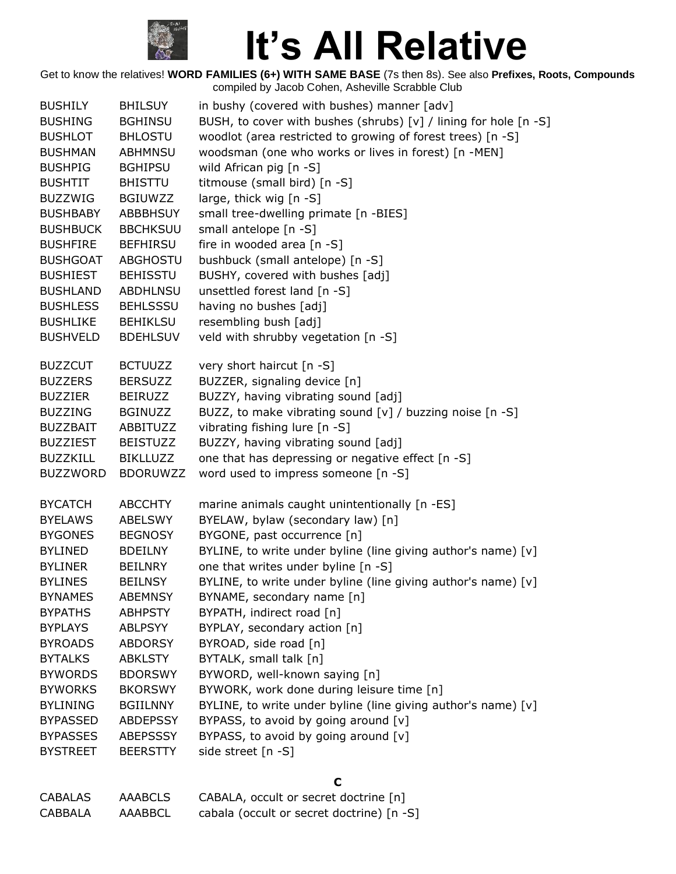

| <b>BUSHILY</b>  | <b>BHILSUY</b>  | in bushy (covered with bushes) manner [adv]                      |
|-----------------|-----------------|------------------------------------------------------------------|
| <b>BUSHING</b>  | <b>BGHINSU</b>  | BUSH, to cover with bushes (shrubs) [v] / lining for hole [n -S] |
| <b>BUSHLOT</b>  | <b>BHLOSTU</b>  | woodlot (area restricted to growing of forest trees) [n -S]      |
| <b>BUSHMAN</b>  | <b>ABHMNSU</b>  | woodsman (one who works or lives in forest) [n -MEN]             |
| <b>BUSHPIG</b>  | <b>BGHIPSU</b>  | wild African pig [n -S]                                          |
| <b>BUSHTIT</b>  | <b>BHISTTU</b>  | titmouse (small bird) [n -S]                                     |
| <b>BUZZWIG</b>  | <b>BGIUWZZ</b>  | large, thick wig [n -S]                                          |
| <b>BUSHBABY</b> | ABBBHSUY        | small tree-dwelling primate [n -BIES]                            |
| <b>BUSHBUCK</b> | <b>BBCHKSUU</b> | small antelope [n -S]                                            |
| <b>BUSHFIRE</b> | <b>BEFHIRSU</b> | fire in wooded area [n -S]                                       |
| <b>BUSHGOAT</b> | ABGHOSTU        | bushbuck (small antelope) [n -S]                                 |
| <b>BUSHIEST</b> | <b>BEHISSTU</b> | BUSHY, covered with bushes [adj]                                 |
| <b>BUSHLAND</b> | <b>ABDHLNSU</b> | unsettled forest land [n -S]                                     |
| <b>BUSHLESS</b> | <b>BEHLSSSU</b> | having no bushes [adj]                                           |
| <b>BUSHLIKE</b> | <b>BEHIKLSU</b> | resembling bush [adj]                                            |
| <b>BUSHVELD</b> | <b>BDEHLSUV</b> | veld with shrubby vegetation [n -S]                              |
|                 |                 |                                                                  |
| <b>BUZZCUT</b>  | <b>BCTUUZZ</b>  | very short haircut [n -S]                                        |
| <b>BUZZERS</b>  | <b>BERSUZZ</b>  | BUZZER, signaling device [n]                                     |
| <b>BUZZIER</b>  | <b>BEIRUZZ</b>  | BUZZY, having vibrating sound [adj]                              |
| <b>BUZZING</b>  | <b>BGINUZZ</b>  | BUZZ, to make vibrating sound [v] / buzzing noise [n -S]         |
| <b>BUZZBAIT</b> | ABBITUZZ        | vibrating fishing lure [n -S]                                    |
| <b>BUZZIEST</b> | <b>BEISTUZZ</b> | BUZZY, having vibrating sound [adj]                              |
| <b>BUZZKILL</b> | <b>BIKLLUZZ</b> | one that has depressing or negative effect [n -S]                |
| <b>BUZZWORD</b> | <b>BDORUWZZ</b> | word used to impress someone [n -S]                              |
|                 |                 |                                                                  |
| <b>BYCATCH</b>  | <b>ABCCHTY</b>  | marine animals caught unintentionally [n -ES]                    |
| <b>BYELAWS</b>  | <b>ABELSWY</b>  | BYELAW, bylaw (secondary law) [n]                                |
| <b>BYGONES</b>  | <b>BEGNOSY</b>  | BYGONE, past occurrence [n]                                      |
| <b>BYLINED</b>  | <b>BDEILNY</b>  | BYLINE, to write under byline (line giving author's name) [v]    |
| <b>BYLINER</b>  | <b>BEILNRY</b>  | one that writes under byline [n -S]                              |
| <b>BYLINES</b>  | <b>BEILNSY</b>  | BYLINE, to write under byline (line giving author's name) [v]    |
| <b>BYNAMES</b>  | <b>ABEMNSY</b>  | BYNAME, secondary name [n]                                       |
| <b>BYPATHS</b>  | <b>ABHPSTY</b>  | BYPATH, indirect road [n]                                        |
| <b>BYPLAYS</b>  | <b>ABLPSYY</b>  | BYPLAY, secondary action [n]                                     |
| <b>BYROADS</b>  | <b>ABDORSY</b>  | BYROAD, side road [n]                                            |
| <b>BYTALKS</b>  | <b>ABKLSTY</b>  | BYTALK, small talk [n]                                           |
| <b>BYWORDS</b>  | <b>BDORSWY</b>  | BYWORD, well-known saying [n]                                    |
| <b>BYWORKS</b>  | <b>BKORSWY</b>  | BYWORK, work done during leisure time [n]                        |
| <b>BYLINING</b> | <b>BGIILNNY</b> | BYLINE, to write under byline (line giving author's name) [v]    |
| <b>BYPASSED</b> | <b>ABDEPSSY</b> | BYPASS, to avoid by going around [v]                             |
| <b>BYPASSES</b> | ABEPSSSY        | BYPASS, to avoid by going around [v]                             |
| <b>BYSTREET</b> | <b>BEERSTTY</b> | side street [n -S]                                               |
|                 |                 |                                                                  |
|                 |                 | С                                                                |
| <b>CABALAS</b>  | <b>AAABCLS</b>  | CABALA, occult or secret doctrine [n]                            |
| <b>CABBALA</b>  | AAABBCL         | cabala (occult or secret doctrine) [n -S]                        |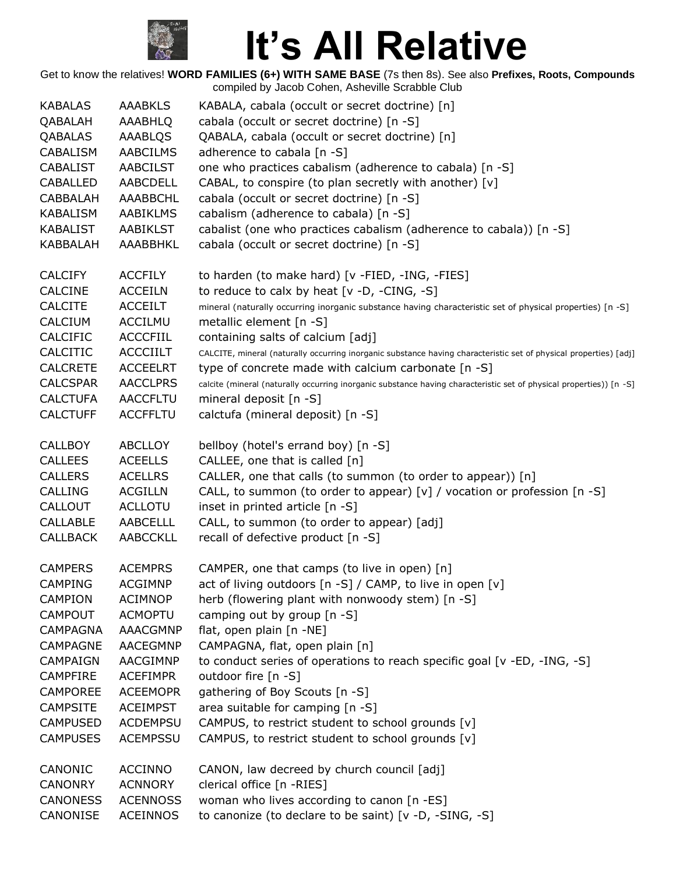

| <b>KABALAS</b>  | <b>AAABKLS</b>  | KABALA, cabala (occult or secret doctrine) [n]                                                                      |
|-----------------|-----------------|---------------------------------------------------------------------------------------------------------------------|
| QABALAH         | AAABHLQ         | cabala (occult or secret doctrine) [n -S]                                                                           |
| QABALAS         | AAABLQS         | QABALA, cabala (occult or secret doctrine) [n]                                                                      |
| CABALISM        | <b>AABCILMS</b> | adherence to cabala [n -S]                                                                                          |
| <b>CABALIST</b> | <b>AABCILST</b> | one who practices cabalism (adherence to cabala) [n -S]                                                             |
| CABALLED        | AABCDELL        | CABAL, to conspire (to plan secretly with another) [v]                                                              |
| <b>CABBALAH</b> | AAABBCHL        | cabala (occult or secret doctrine) [n -S]                                                                           |
| KABALISM        | <b>AABIKLMS</b> | cabalism (adherence to cabala) [n -S]                                                                               |
| <b>KABALIST</b> | <b>AABIKLST</b> | cabalist (one who practices cabalism (adherence to cabala)) [n -S]                                                  |
|                 |                 |                                                                                                                     |
| KABBALAH        | AAABBHKL        | cabala (occult or secret doctrine) [n -S]                                                                           |
| <b>CALCIFY</b>  | <b>ACCFILY</b>  | to harden (to make hard) [v -FIED, -ING, -FIES]                                                                     |
| <b>CALCINE</b>  | <b>ACCEILN</b>  | to reduce to calx by heat $[v -D, -CING, -S]$                                                                       |
| <b>CALCITE</b>  | <b>ACCEILT</b>  | mineral (naturally occurring inorganic substance having characteristic set of physical properties) [n -S]           |
| CALCIUM         | <b>ACCILMU</b>  | metallic element [n -S]                                                                                             |
| CALCIFIC        | <b>ACCCFIIL</b> | containing salts of calcium [adj]                                                                                   |
|                 |                 |                                                                                                                     |
| <b>CALCITIC</b> | <b>ACCCIILT</b> | CALCITE, mineral (naturally occurring inorganic substance having characteristic set of physical properties) [adj]   |
| <b>CALCRETE</b> | <b>ACCEELRT</b> | type of concrete made with calcium carbonate [n -S]                                                                 |
| <b>CALCSPAR</b> | <b>AACCLPRS</b> | calcite (mineral (naturally occurring inorganic substance having characteristic set of physical properties)) [n -S] |
| <b>CALCTUFA</b> | <b>AACCFLTU</b> | mineral deposit [n -S]                                                                                              |
| <b>CALCTUFF</b> | <b>ACCFFLTU</b> | calctufa (mineral deposit) [n -S]                                                                                   |
| <b>CALLBOY</b>  | <b>ABCLLOY</b>  | bellboy (hotel's errand boy) [n -S]                                                                                 |
| <b>CALLEES</b>  | <b>ACEELLS</b>  | CALLEE, one that is called [n]                                                                                      |
| <b>CALLERS</b>  | <b>ACELLRS</b>  | CALLER, one that calls (to summon (to order to appear)) [n]                                                         |
| <b>CALLING</b>  | <b>ACGILLN</b>  | CALL, to summon (to order to appear) [v] / vocation or profession $[n - S]$                                         |
| CALLOUT         | <b>ACLLOTU</b>  | inset in printed article [n -S]                                                                                     |
|                 |                 |                                                                                                                     |
| <b>CALLABLE</b> | <b>AABCELLL</b> | CALL, to summon (to order to appear) [adj]                                                                          |
| <b>CALLBACK</b> | <b>AABCCKLL</b> | recall of defective product [n -S]                                                                                  |
| <b>CAMPERS</b>  | <b>ACEMPRS</b>  | CAMPER, one that camps (to live in open) [n]                                                                        |
| <b>CAMPING</b>  | <b>ACGIMNP</b>  | act of living outdoors [n -S] / CAMP, to live in open [v]                                                           |
| <b>CAMPION</b>  | <b>ACIMNOP</b>  | herb (flowering plant with nonwoody stem) [n -S]                                                                    |
| <b>CAMPOUT</b>  | <b>ACMOPTU</b>  | camping out by group [n -S]                                                                                         |
| <b>CAMPAGNA</b> | <b>AAACGMNP</b> | flat, open plain [n -NE]                                                                                            |
| <b>CAMPAGNE</b> | <b>AACEGMNP</b> | CAMPAGNA, flat, open plain [n]                                                                                      |
| <b>CAMPAIGN</b> | AACGIMNP        | to conduct series of operations to reach specific goal [v -ED, -ING, -S]                                            |
| <b>CAMPFIRE</b> | <b>ACEFIMPR</b> | outdoor fire [n -S]                                                                                                 |
| <b>CAMPOREE</b> | <b>ACEEMOPR</b> | gathering of Boy Scouts [n -S]                                                                                      |
|                 |                 |                                                                                                                     |
| <b>CAMPSITE</b> | <b>ACEIMPST</b> | area suitable for camping [n -S]                                                                                    |
| <b>CAMPUSED</b> | <b>ACDEMPSU</b> | CAMPUS, to restrict student to school grounds [v]                                                                   |
| <b>CAMPUSES</b> | <b>ACEMPSSU</b> | CAMPUS, to restrict student to school grounds [v]                                                                   |
| CANONIC         | <b>ACCINNO</b>  | CANON, law decreed by church council [adj]                                                                          |
| <b>CANONRY</b>  | <b>ACNNORY</b>  | clerical office [n -RIES]                                                                                           |
| <b>CANONESS</b> | <b>ACENNOSS</b> | woman who lives according to canon [n -ES]                                                                          |
| CANONISE        | <b>ACEINNOS</b> | to canonize (to declare to be saint) [v -D, -SING, -S]                                                              |
|                 |                 |                                                                                                                     |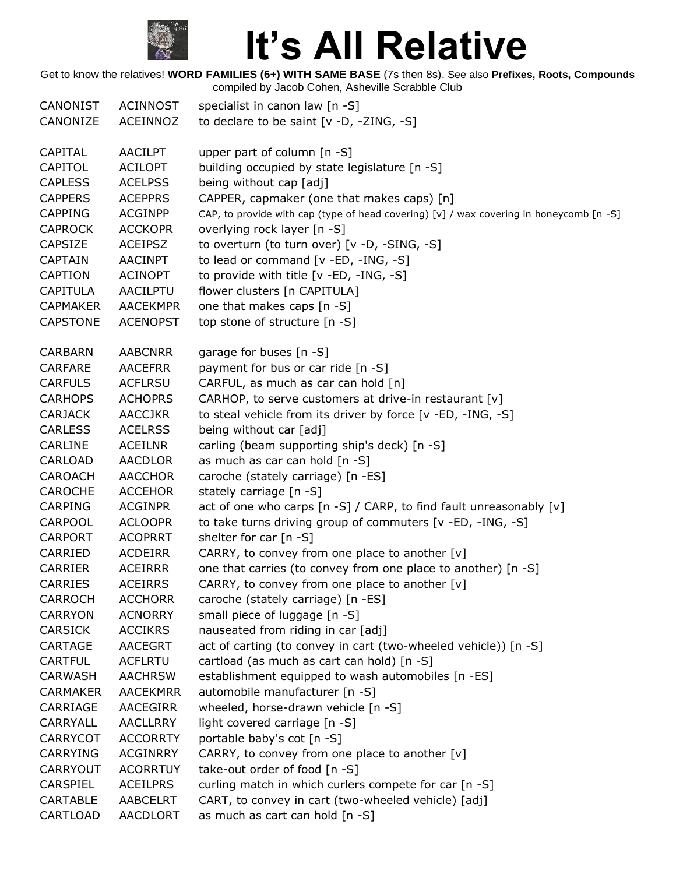

| CANONIST                           | ACINNOST                    | specialist in canon law [n -S]                                                          |
|------------------------------------|-----------------------------|-----------------------------------------------------------------------------------------|
| CANONIZE                           | ACEINNOZ                    | to declare to be saint [v -D, -ZING, -S]                                                |
| CAPITAL                            | <b>AACILPT</b>              | upper part of column [n -S]                                                             |
| CAPITOL                            | <b>ACILOPT</b>              | building occupied by state legislature [n -S]                                           |
| <b>CAPLESS</b>                     | <b>ACELPSS</b>              | being without cap [adj]                                                                 |
| <b>CAPPERS</b>                     | <b>ACEPPRS</b>              | CAPPER, capmaker (one that makes caps) [n]                                              |
| <b>CAPPING</b>                     | <b>ACGINPP</b>              | CAP, to provide with cap (type of head covering) [v] / wax covering in honeycomb [n -S] |
| <b>CAPROCK</b>                     | <b>ACCKOPR</b>              | overlying rock layer [n -S]                                                             |
| <b>CAPSIZE</b>                     | <b>ACEIPSZ</b>              | to overturn (to turn over) [v -D, -SING, -S]                                            |
| <b>CAPTAIN</b>                     | AACINPT                     | to lead or command [v -ED, -ING, -S]                                                    |
| <b>CAPTION</b>                     | <b>ACINOPT</b>              | to provide with title [v -ED, -ING, -S]                                                 |
| <b>CAPITULA</b>                    | AACILPTU                    | flower clusters [n CAPITULA]                                                            |
| <b>CAPMAKER</b>                    | <b>AACEKMPR</b>             | one that makes caps [n -S]                                                              |
| <b>CAPSTONE</b>                    | <b>ACENOPST</b>             | top stone of structure [n -S]                                                           |
| <b>CARBARN</b>                     | <b>AABCNRR</b>              | garage for buses [n -S]                                                                 |
| <b>CARFARE</b>                     | <b>AACEFRR</b>              | payment for bus or car ride [n -S]                                                      |
| <b>CARFULS</b>                     | <b>ACFLRSU</b>              | CARFUL, as much as car can hold [n]                                                     |
| <b>CARHOPS</b>                     | <b>ACHOPRS</b>              | CARHOP, to serve customers at drive-in restaurant [v]                                   |
| <b>CARJACK</b>                     | <b>AACCJKR</b>              | to steal vehicle from its driver by force [v -ED, -ING, -S]                             |
| <b>CARLESS</b>                     | <b>ACELRSS</b>              | being without car [adj]                                                                 |
| <b>CARLINE</b>                     | <b>ACEILNR</b>              | carling (beam supporting ship's deck) [n -S]                                            |
| CARLOAD                            | <b>AACDLOR</b>              | as much as car can hold [n -S]                                                          |
| <b>CAROACH</b>                     | <b>AACCHOR</b>              | caroche (stately carriage) [n -ES]                                                      |
| <b>CAROCHE</b>                     | <b>ACCEHOR</b>              | stately carriage [n -S]                                                                 |
| CARPING                            | <b>ACGINPR</b>              | act of one who carps [n -S] / CARP, to find fault unreasonably [v]                      |
| <b>CARPOOL</b>                     | <b>ACLOOPR</b>              | to take turns driving group of commuters [v -ED, -ING, -S]                              |
| <b>CARPORT</b>                     | <b>ACOPRRT</b>              | shelter for car [n -S]                                                                  |
| CARRIED                            | <b>ACDEIRR</b>              | CARRY, to convey from one place to another [v]                                          |
| <b>CARRIER</b>                     | <b>ACEIRRR</b>              | one that carries (to convey from one place to another) [n -S]                           |
| <b>CARRIES</b>                     | <b>ACEIRRS</b>              | CARRY, to convey from one place to another [v]                                          |
| <b>CARROCH</b>                     | <b>ACCHORR</b>              | caroche (stately carriage) [n -ES]                                                      |
| <b>CARRYON</b>                     | <b>ACNORRY</b>              | small piece of luggage [n -S]                                                           |
| <b>CARSICK</b>                     | <b>ACCIKRS</b>              | nauseated from riding in car [adj]                                                      |
| CARTAGE                            | <b>AACEGRT</b>              | act of carting (to convey in cart (two-wheeled vehicle)) [n -S]                         |
| <b>CARTFUL</b>                     | <b>ACFLRTU</b>              | cartload (as much as cart can hold) [n -S]                                              |
| <b>CARWASH</b>                     | <b>AACHRSW</b>              | establishment equipped to wash automobiles [n -ES]                                      |
| <b>CARMAKER</b>                    | AACEKMRR                    | automobile manufacturer [n -S]                                                          |
| CARRIAGE                           | AACEGIRR                    | wheeled, horse-drawn vehicle [n -S]                                                     |
| CARRYALL                           | <b>AACLLRRY</b>             | light covered carriage [n -S]                                                           |
| <b>CARRYCOT</b>                    | <b>ACCORRTY</b>             | portable baby's cot [n -S]                                                              |
| <b>CARRYING</b><br><b>CARRYOUT</b> | ACGINRRY<br><b>ACORRTUY</b> | CARRY, to convey from one place to another [v]                                          |
| CARSPIEL                           | <b>ACEILPRS</b>             | take-out order of food [n -S]<br>curling match in which curlers compete for car [n -S]  |
| CARTABLE                           | <b>AABCELRT</b>             | CART, to convey in cart (two-wheeled vehicle) [adj]                                     |
| CARTLOAD                           | AACDLORT                    | as much as cart can hold [n -S]                                                         |
|                                    |                             |                                                                                         |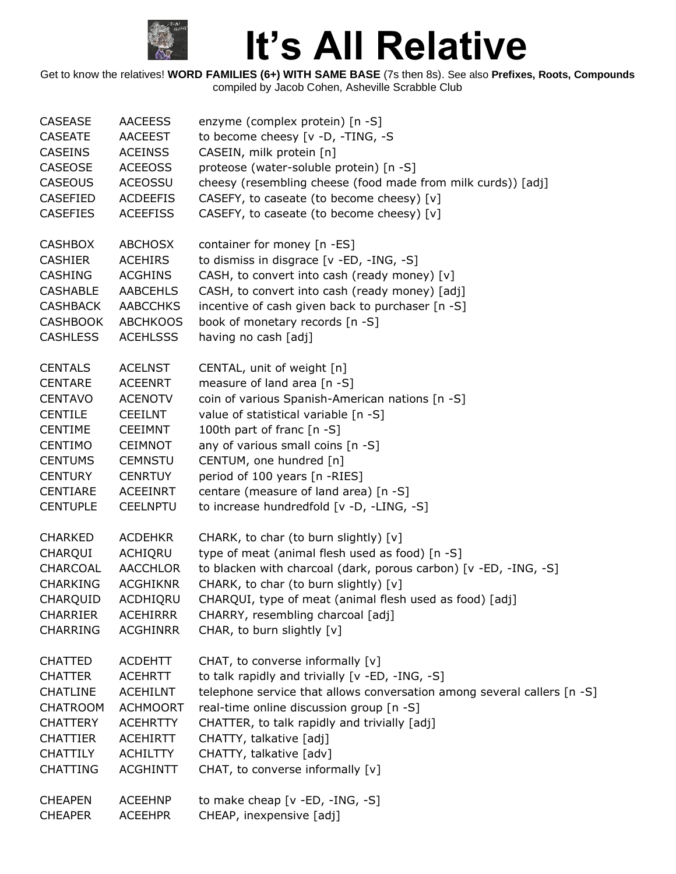

| <b>CASEASE</b>  | <b>AACEESS</b>  | enzyme (complex protein) [n -S]                                         |
|-----------------|-----------------|-------------------------------------------------------------------------|
| <b>CASEATE</b>  | <b>AACEEST</b>  | to become cheesy [v -D, -TING, -S                                       |
| <b>CASEINS</b>  | <b>ACEINSS</b>  | CASEIN, milk protein [n]                                                |
| <b>CASEOSE</b>  | <b>ACEEOSS</b>  | proteose (water-soluble protein) [n -S]                                 |
| <b>CASEOUS</b>  | <b>ACEOSSU</b>  | cheesy (resembling cheese (food made from milk curds)) [adj]            |
| <b>CASEFIED</b> | <b>ACDEEFIS</b> | CASEFY, to caseate (to become cheesy) [v]                               |
| <b>CASEFIES</b> | <b>ACEEFISS</b> | CASEFY, to caseate (to become cheesy) [v]                               |
| <b>CASHBOX</b>  | <b>ABCHOSX</b>  | container for money [n -ES]                                             |
| <b>CASHIER</b>  | <b>ACEHIRS</b>  | to dismiss in disgrace [v -ED, -ING, -S]                                |
| <b>CASHING</b>  | <b>ACGHINS</b>  | CASH, to convert into cash (ready money) [v]                            |
| <b>CASHABLE</b> | AABCEHLS        | CASH, to convert into cash (ready money) [adj]                          |
| <b>CASHBACK</b> | <b>AABCCHKS</b> | incentive of cash given back to purchaser [n -S]                        |
| <b>CASHBOOK</b> | <b>ABCHKOOS</b> | book of monetary records [n -S]                                         |
| <b>CASHLESS</b> | <b>ACEHLSSS</b> | having no cash [adj]                                                    |
| <b>CENTALS</b>  | <b>ACELNST</b>  | CENTAL, unit of weight [n]                                              |
| <b>CENTARE</b>  | <b>ACEENRT</b>  | measure of land area [n -S]                                             |
| <b>CENTAVO</b>  | <b>ACENOTV</b>  | coin of various Spanish-American nations [n -S]                         |
| <b>CENTILE</b>  | <b>CEEILNT</b>  | value of statistical variable [n -S]                                    |
| <b>CENTIME</b>  | <b>CEEIMNT</b>  | 100th part of franc [n -S]                                              |
| <b>CENTIMO</b>  | <b>CEIMNOT</b>  | any of various small coins [n -S]                                       |
| <b>CENTUMS</b>  | <b>CEMNSTU</b>  | CENTUM, one hundred [n]                                                 |
| <b>CENTURY</b>  | <b>CENRTUY</b>  | period of 100 years [n -RIES]                                           |
| <b>CENTIARE</b> | <b>ACEEINRT</b> | centare (measure of land area) [n -S]                                   |
| <b>CENTUPLE</b> | <b>CEELNPTU</b> | to increase hundredfold [v -D, -LING, -S]                               |
| <b>CHARKED</b>  | <b>ACDEHKR</b>  | CHARK, to char (to burn slightly) [v]                                   |
| CHARQUI         | ACHIQRU         | type of meat (animal flesh used as food) [n -S]                         |
| CHARCOAL        | <b>AACCHLOR</b> | to blacken with charcoal (dark, porous carbon) [v -ED, -ING, -S]        |
| <b>CHARKING</b> | <b>ACGHIKNR</b> | CHARK, to char (to burn slightly) [v]                                   |
| CHARQUID        | ACDHIQRU        | CHARQUI, type of meat (animal flesh used as food) [adj]                 |
| <b>CHARRIER</b> | <b>ACEHIRRR</b> | CHARRY, resembling charcoal [adj]                                       |
| <b>CHARRING</b> | <b>ACGHINRR</b> | CHAR, to burn slightly [v]                                              |
| <b>CHATTED</b>  | <b>ACDEHTT</b>  | CHAT, to converse informally [v]                                        |
| <b>CHATTER</b>  | <b>ACEHRTT</b>  | to talk rapidly and trivially [v -ED, -ING, -S]                         |
| <b>CHATLINE</b> | <b>ACEHILNT</b> | telephone service that allows conversation among several callers [n -S] |
| <b>CHATROOM</b> | <b>ACHMOORT</b> | real-time online discussion group [n -S]                                |
| <b>CHATTERY</b> | <b>ACEHRTTY</b> | CHATTER, to talk rapidly and trivially [adj]                            |
| <b>CHATTIER</b> | <b>ACEHIRTT</b> | CHATTY, talkative [adj]                                                 |
| <b>CHATTILY</b> | <b>ACHILTTY</b> | CHATTY, talkative [adv]                                                 |
| <b>CHATTING</b> | <b>ACGHINTT</b> | CHAT, to converse informally [v]                                        |
| <b>CHEAPEN</b>  | <b>ACEEHNP</b>  | to make cheap [v -ED, -ING, -S]                                         |
| <b>CHEAPER</b>  | <b>ACEEHPR</b>  | CHEAP, inexpensive [adj]                                                |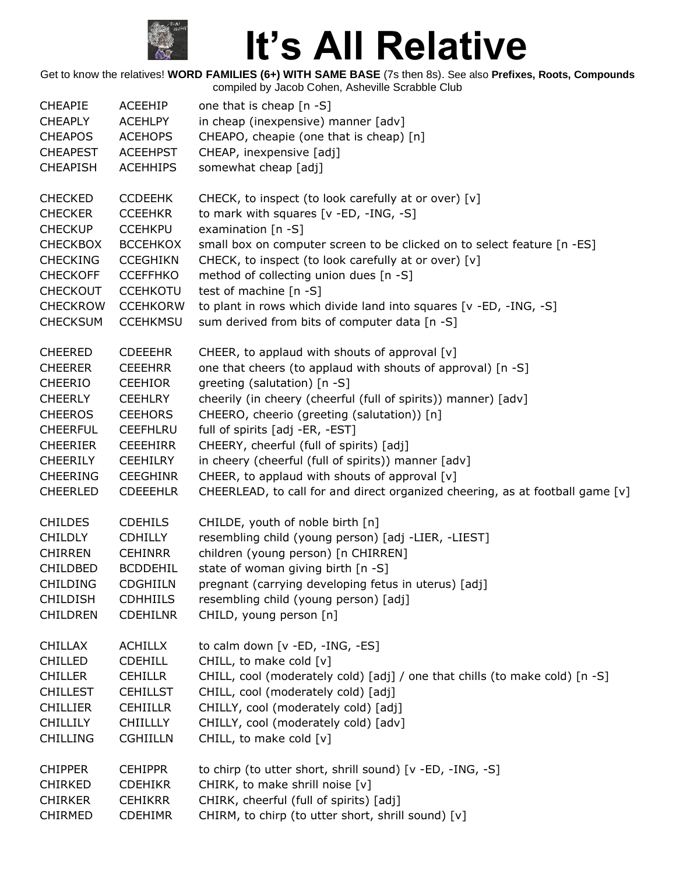

| <b>CHEAPIE</b>  | ACEEHIP         | one that is cheap $[n - S]$                                                   |
|-----------------|-----------------|-------------------------------------------------------------------------------|
| <b>CHEAPLY</b>  | <b>ACEHLPY</b>  | in cheap (inexpensive) manner [adv]                                           |
| <b>CHEAPOS</b>  | <b>ACEHOPS</b>  | CHEAPO, cheapie (one that is cheap) [n]                                       |
| <b>CHEAPEST</b> | <b>ACEEHPST</b> | CHEAP, inexpensive [adj]                                                      |
| <b>CHEAPISH</b> | <b>ACEHHIPS</b> | somewhat cheap [adj]                                                          |
| <b>CHECKED</b>  | <b>CCDEEHK</b>  | CHECK, to inspect (to look carefully at or over) [v]                          |
| <b>CHECKER</b>  | <b>CCEEHKR</b>  | to mark with squares [v -ED, -ING, -S]                                        |
| <b>CHECKUP</b>  | <b>CCEHKPU</b>  | examination [n -S]                                                            |
| <b>CHECKBOX</b> | <b>BCCEHKOX</b> | small box on computer screen to be clicked on to select feature [n -ES]       |
| <b>CHECKING</b> | <b>CCEGHIKN</b> | CHECK, to inspect (to look carefully at or over) [v]                          |
| <b>CHECKOFF</b> | <b>CCEFFHKO</b> | method of collecting union dues [n -S]                                        |
| <b>CHECKOUT</b> | <b>CCEHKOTU</b> | test of machine [n -S]                                                        |
| <b>CHECKROW</b> | <b>CCEHKORW</b> | to plant in rows which divide land into squares [v -ED, -ING, -S]             |
| <b>CHECKSUM</b> | <b>CCEHKMSU</b> | sum derived from bits of computer data [n -S]                                 |
| <b>CHEERED</b>  | <b>CDEEEHR</b>  | CHEER, to applaud with shouts of approval [v]                                 |
| <b>CHEERER</b>  | <b>CEEEHRR</b>  | one that cheers (to applaud with shouts of approval) [n -S]                   |
| <b>CHEERIO</b>  | <b>CEEHIOR</b>  | greeting (salutation) [n -S]                                                  |
| <b>CHEERLY</b>  | <b>CEEHLRY</b>  | cheerily (in cheery (cheerful (full of spirits)) manner) [adv]                |
| <b>CHEEROS</b>  | <b>CEEHORS</b>  | CHEERO, cheerio (greeting (salutation)) [n]                                   |
| <b>CHEERFUL</b> | <b>CEEFHLRU</b> | full of spirits [adj -ER, -EST]                                               |
| <b>CHEERIER</b> | <b>CEEEHIRR</b> | CHEERY, cheerful (full of spirits) [adj]                                      |
| <b>CHEERILY</b> | <b>CEEHILRY</b> | in cheery (cheerful (full of spirits)) manner [adv]                           |
| <b>CHEERING</b> | <b>CEEGHINR</b> | CHEER, to applaud with shouts of approval [v]                                 |
| <b>CHEERLED</b> | <b>CDEEEHLR</b> | CHEERLEAD, to call for and direct organized cheering, as at football game [v] |
| <b>CHILDES</b>  | <b>CDEHILS</b>  | CHILDE, youth of noble birth [n]                                              |
| <b>CHILDLY</b>  | <b>CDHILLY</b>  | resembling child (young person) [adj -LIER, -LIEST]                           |
| <b>CHIRREN</b>  | <b>CEHINRR</b>  | children (young person) [n CHIRREN]                                           |
| <b>CHILDBED</b> | <b>BCDDEHIL</b> | state of woman giving birth [n -S]                                            |
| <b>CHILDING</b> | <b>CDGHIILN</b> | pregnant (carrying developing fetus in uterus) [adj]                          |
| <b>CHILDISH</b> | <b>CDHHIILS</b> | resembling child (young person) [adj]                                         |
| <b>CHILDREN</b> | <b>CDEHILNR</b> | CHILD, young person [n]                                                       |
| <b>CHILLAX</b>  | <b>ACHILLX</b>  | to calm down [v -ED, -ING, -ES]                                               |
| <b>CHILLED</b>  | <b>CDEHILL</b>  | CHILL, to make cold [v]                                                       |
| <b>CHILLER</b>  | <b>CEHILLR</b>  | CHILL, cool (moderately cold) [adj] / one that chills (to make cold) [n -S]   |
| <b>CHILLEST</b> | <b>CEHILLST</b> | CHILL, cool (moderately cold) [adj]                                           |
| <b>CHILLIER</b> | <b>CEHIILLR</b> | CHILLY, cool (moderately cold) [adj]                                          |
| <b>CHILLILY</b> | <b>CHIILLLY</b> | CHILLY, cool (moderately cold) [adv]                                          |
| <b>CHILLING</b> | <b>CGHIILLN</b> | CHILL, to make cold [v]                                                       |
| <b>CHIPPER</b>  | <b>CEHIPPR</b>  | to chirp (to utter short, shrill sound) [v -ED, -ING, -S]                     |
| <b>CHIRKED</b>  | <b>CDEHIKR</b>  | CHIRK, to make shrill noise [v]                                               |
| <b>CHIRKER</b>  | <b>CEHIKRR</b>  | CHIRK, cheerful (full of spirits) [adj]                                       |
| <b>CHIRMED</b>  | <b>CDEHIMR</b>  | CHIRM, to chirp (to utter short, shrill sound) [v]                            |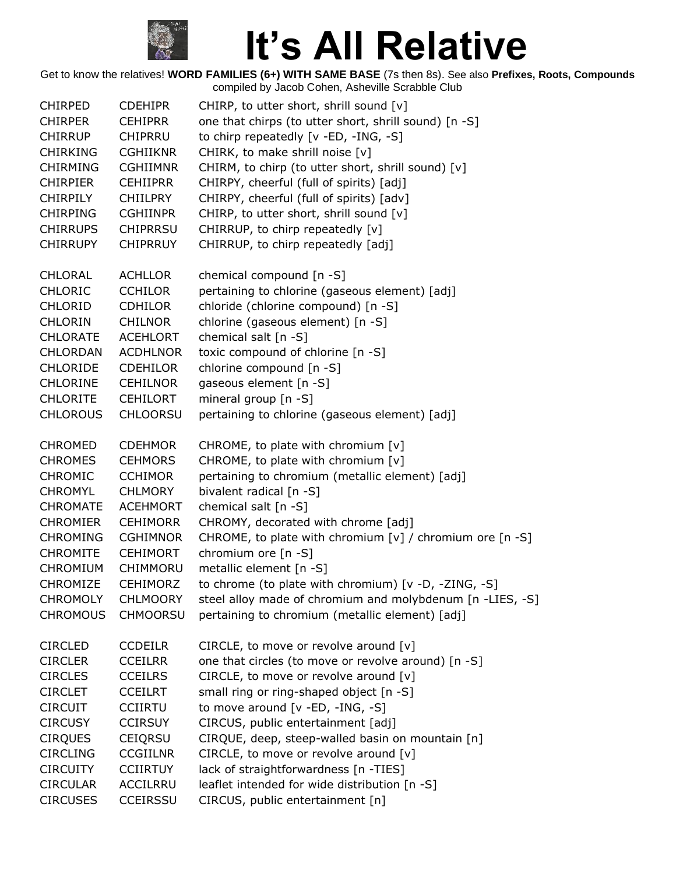

| <b>CHIRPED</b>  | <b>CDEHIPR</b>  | CHIRP, to utter short, shrill sound [v]                       |
|-----------------|-----------------|---------------------------------------------------------------|
| <b>CHIRPER</b>  | <b>CEHIPRR</b>  | one that chirps (to utter short, shrill sound) [n -S]         |
| <b>CHIRRUP</b>  | <b>CHIPRRU</b>  | to chirp repeatedly [v -ED, -ING, -S]                         |
| <b>CHIRKING</b> | <b>CGHIIKNR</b> | CHIRK, to make shrill noise [v]                               |
| <b>CHIRMING</b> | <b>CGHIIMNR</b> | CHIRM, to chirp (to utter short, shrill sound) [v]            |
| <b>CHIRPIER</b> | <b>CEHIIPRR</b> | CHIRPY, cheerful (full of spirits) [adj]                      |
| <b>CHIRPILY</b> | <b>CHIILPRY</b> | CHIRPY, cheerful (full of spirits) [adv]                      |
| <b>CHIRPING</b> | <b>CGHIINPR</b> | CHIRP, to utter short, shrill sound [v]                       |
| <b>CHIRRUPS</b> | <b>CHIPRRSU</b> | CHIRRUP, to chirp repeatedly [v]                              |
| <b>CHIRRUPY</b> | <b>CHIPRRUY</b> | CHIRRUP, to chirp repeatedly [adj]                            |
| <b>CHLORAL</b>  | <b>ACHLLOR</b>  | chemical compound [n -S]                                      |
| <b>CHLORIC</b>  | <b>CCHILOR</b>  | pertaining to chlorine (gaseous element) [adj]                |
| <b>CHLORID</b>  | <b>CDHILOR</b>  | chloride (chlorine compound) [n -S]                           |
| <b>CHLORIN</b>  | <b>CHILNOR</b>  | chlorine (gaseous element) [n -S]                             |
| <b>CHLORATE</b> | <b>ACEHLORT</b> | chemical salt [n -S]                                          |
| <b>CHLORDAN</b> | <b>ACDHLNOR</b> | toxic compound of chlorine [n -S]                             |
| <b>CHLORIDE</b> | CDEHILOR        | chlorine compound [n -S]                                      |
| <b>CHLORINE</b> | CEHILNOR        | gaseous element [n -S]                                        |
| <b>CHLORITE</b> | <b>CEHILORT</b> | mineral group [n -S]                                          |
| <b>CHLOROUS</b> | <b>CHLOORSU</b> | pertaining to chlorine (gaseous element) [adj]                |
| <b>CHROMED</b>  | <b>CDEHMOR</b>  | CHROME, to plate with chromium [v]                            |
| <b>CHROMES</b>  | <b>CEHMORS</b>  | CHROME, to plate with chromium [v]                            |
| <b>CHROMIC</b>  | <b>CCHIMOR</b>  | pertaining to chromium (metallic element) [adj]               |
| <b>CHROMYL</b>  | <b>CHLMORY</b>  | bivalent radical [n -S]                                       |
| <b>CHROMATE</b> | <b>ACEHMORT</b> | chemical salt [n -S]                                          |
| <b>CHROMIER</b> | <b>CEHIMORR</b> | CHROMY, decorated with chrome [adj]                           |
| <b>CHROMING</b> | <b>CGHIMNOR</b> | CHROME, to plate with chromium $[v]$ / chromium ore $[n - S]$ |
| <b>CHROMITE</b> | <b>CEHIMORT</b> | chromium ore [n -S]                                           |
| <b>CHROMIUM</b> | CHIMMORU        | metallic element [n -S]                                       |
| CHROMIZE        | <b>CEHIMORZ</b> | to chrome (to plate with chromium) [v -D, -ZING, -S]          |
| <b>CHROMOLY</b> | <b>CHLMOORY</b> | steel alloy made of chromium and molybdenum [n -LIES, -S]     |
| <b>CHROMOUS</b> | <b>CHMOORSU</b> | pertaining to chromium (metallic element) [adj]               |
| <b>CIRCLED</b>  | <b>CCDEILR</b>  | CIRCLE, to move or revolve around [v]                         |
| <b>CIRCLER</b>  | <b>CCEILRR</b>  | one that circles (to move or revolve around) [n -S]           |
| <b>CIRCLES</b>  | <b>CCEILRS</b>  | CIRCLE, to move or revolve around [v]                         |
| <b>CIRCLET</b>  | <b>CCEILRT</b>  | small ring or ring-shaped object [n -S]                       |
| <b>CIRCUIT</b>  | <b>CCIIRTU</b>  | to move around [v -ED, -ING, -S]                              |
| <b>CIRCUSY</b>  | <b>CCIRSUY</b>  | CIRCUS, public entertainment [adj]                            |
| <b>CIRQUES</b>  | <b>CEIQRSU</b>  | CIRQUE, deep, steep-walled basin on mountain [n]              |
| <b>CIRCLING</b> | <b>CCGIILNR</b> | CIRCLE, to move or revolve around [v]                         |
| <b>CIRCUITY</b> | <b>CCIIRTUY</b> | lack of straightforwardness [n -TIES]                         |
| <b>CIRCULAR</b> | ACCILRRU        | leaflet intended for wide distribution [n -S]                 |
| <b>CIRCUSES</b> | CCEIRSSU        | CIRCUS, public entertainment [n]                              |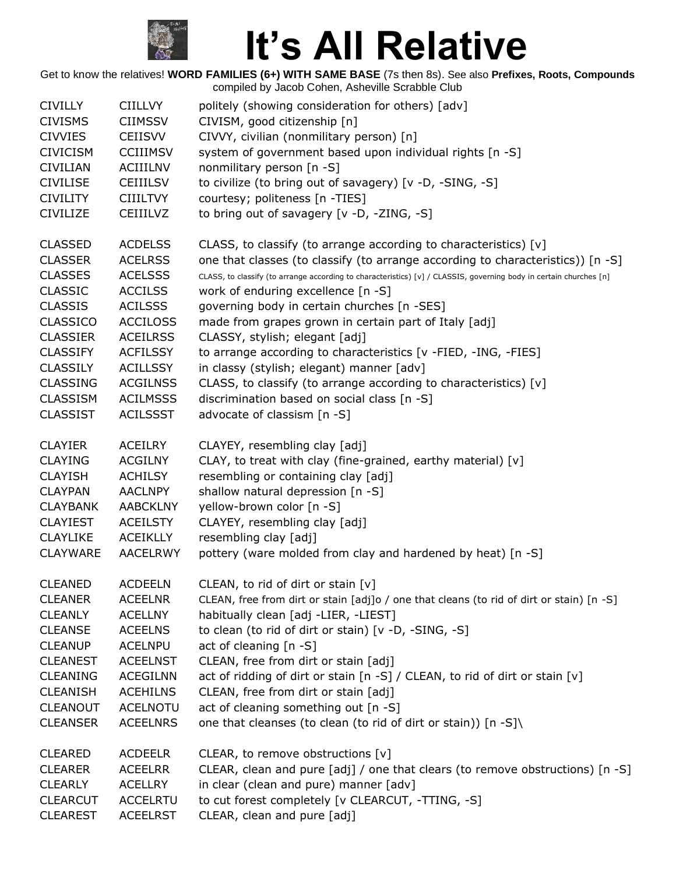

| <b>CIVILLY</b>  | <b>CIILLVY</b>  | politely (showing consideration for others) [adv]                                                                  |
|-----------------|-----------------|--------------------------------------------------------------------------------------------------------------------|
| <b>CIVISMS</b>  | <b>CIIMSSV</b>  | CIVISM, good citizenship [n]                                                                                       |
| <b>CIVVIES</b>  | <b>CEIISVV</b>  | CIVVY, civilian (nonmilitary person) [n]                                                                           |
| <b>CIVICISM</b> | <b>CCIIIMSV</b> | system of government based upon individual rights [n -S]                                                           |
| <b>CIVILIAN</b> | <b>ACIIILNV</b> | nonmilitary person [n -S]                                                                                          |
| <b>CIVILISE</b> | <b>CEIIILSV</b> | to civilize (to bring out of savagery) [v -D, -SING, -S]                                                           |
| <b>CIVILITY</b> | <b>CIIILTVY</b> | courtesy; politeness [n -TIES]                                                                                     |
| <b>CIVILIZE</b> | <b>CEIIILVZ</b> | to bring out of savagery [v -D, -ZING, -S]                                                                         |
| <b>CLASSED</b>  | <b>ACDELSS</b>  | CLASS, to classify (to arrange according to characteristics) [v]                                                   |
| <b>CLASSER</b>  | <b>ACELRSS</b>  | one that classes (to classify (to arrange according to characteristics)) [n -S]                                    |
| <b>CLASSES</b>  | <b>ACELSSS</b>  | CLASS, to classify (to arrange according to characteristics) [v] / CLASSIS, governing body in certain churches [n] |
| <b>CLASSIC</b>  | <b>ACCILSS</b>  | work of enduring excellence [n -S]                                                                                 |
| <b>CLASSIS</b>  | <b>ACILSSS</b>  | governing body in certain churches [n -SES]                                                                        |
| <b>CLASSICO</b> | <b>ACCILOSS</b> | made from grapes grown in certain part of Italy [adj]                                                              |
| <b>CLASSIER</b> | <b>ACEILRSS</b> | CLASSY, stylish; elegant [adj]                                                                                     |
| <b>CLASSIFY</b> | <b>ACFILSSY</b> | to arrange according to characteristics [v -FIED, -ING, -FIES]                                                     |
| <b>CLASSILY</b> | <b>ACILLSSY</b> | in classy (stylish; elegant) manner [adv]                                                                          |
| <b>CLASSING</b> | <b>ACGILNSS</b> | CLASS, to classify (to arrange according to characteristics) [v]                                                   |
| <b>CLASSISM</b> | <b>ACILMSSS</b> | discrimination based on social class [n -S]                                                                        |
| <b>CLASSIST</b> | <b>ACILSSST</b> | advocate of classism [n -S]                                                                                        |
|                 |                 |                                                                                                                    |
| <b>CLAYIER</b>  | <b>ACEILRY</b>  | CLAYEY, resembling clay [adj]                                                                                      |
| <b>CLAYING</b>  | <b>ACGILNY</b>  | CLAY, to treat with clay (fine-grained, earthy material) [v]                                                       |
| <b>CLAYISH</b>  | <b>ACHILSY</b>  | resembling or containing clay [adj]                                                                                |
| <b>CLAYPAN</b>  | <b>AACLNPY</b>  | shallow natural depression [n -S]                                                                                  |
| <b>CLAYBANK</b> | <b>AABCKLNY</b> | yellow-brown color [n -S]                                                                                          |
| <b>CLAYIEST</b> | <b>ACEILSTY</b> | CLAYEY, resembling clay [adj]                                                                                      |
| <b>CLAYLIKE</b> | <b>ACEIKLLY</b> | resembling clay [adj]                                                                                              |
| <b>CLAYWARE</b> | <b>AACELRWY</b> | pottery (ware molded from clay and hardened by heat) [n -S]                                                        |
|                 |                 |                                                                                                                    |
| <b>CLEANED</b>  | <b>ACDEELN</b>  | CLEAN, to rid of dirt or stain [v]                                                                                 |
| <b>CLEANER</b>  | <b>ACEELNR</b>  | CLEAN, free from dirt or stain [adj]o / one that cleans (to rid of dirt or stain) [n -S]                           |
| <b>CLEANLY</b>  | <b>ACELLNY</b>  | habitually clean [adj -LIER, -LIEST]                                                                               |
| <b>CLEANSE</b>  | <b>ACEELNS</b>  | to clean (to rid of dirt or stain) [v -D, -SING, -S]                                                               |
| <b>CLEANUP</b>  | <b>ACELNPU</b>  | act of cleaning [n -S]                                                                                             |
| <b>CLEANEST</b> | <b>ACEELNST</b> | CLEAN, free from dirt or stain [adj]                                                                               |
| <b>CLEANING</b> | <b>ACEGILNN</b> | act of ridding of dirt or stain [n -S] / CLEAN, to rid of dirt or stain [v]                                        |
| <b>CLEANISH</b> | <b>ACEHILNS</b> | CLEAN, free from dirt or stain [adj]                                                                               |
| <b>CLEANOUT</b> | <b>ACELNOTU</b> | act of cleaning something out [n -S]                                                                               |
| <b>CLEANSER</b> | <b>ACEELNRS</b> | one that cleanses (to clean (to rid of dirt or stain)) [n -S]\                                                     |
| <b>CLEARED</b>  | <b>ACDEELR</b>  | CLEAR, to remove obstructions [v]                                                                                  |
| <b>CLEARER</b>  | <b>ACEELRR</b>  | CLEAR, clean and pure [adj] / one that clears (to remove obstructions) [n -S]                                      |
| <b>CLEARLY</b>  | <b>ACELLRY</b>  | in clear (clean and pure) manner [adv]                                                                             |
| <b>CLEARCUT</b> | <b>ACCELRTU</b> | to cut forest completely [v CLEARCUT, -TTING, -S]                                                                  |
| <b>CLEAREST</b> | <b>ACEELRST</b> | CLEAR, clean and pure [adj]                                                                                        |
|                 |                 |                                                                                                                    |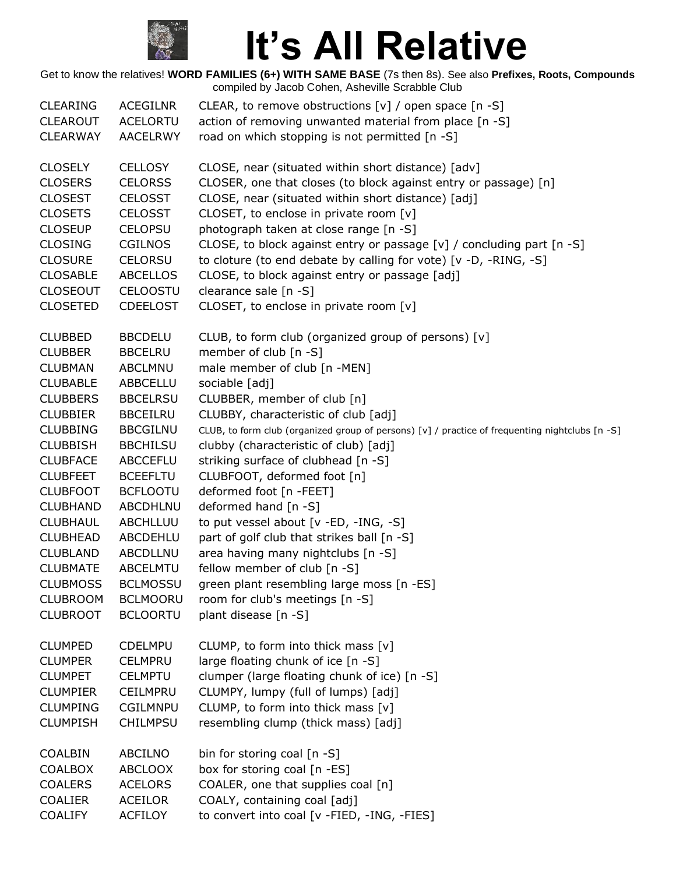

| <b>CLEARING</b><br><b>CLEAROUT</b><br><b>CLEARWAY</b>                                                                                                                               | <b>ACEGILNR</b><br><b>ACELORTU</b><br><b>AACELRWY</b>                                                                                                                        | CLEAR, to remove obstructions $[v]$ / open space $[n - S]$<br>action of removing unwanted material from place [n -S]<br>road on which stopping is not permitted [n -S]                                                                                                                                                                                                                                                                                                                                                              |
|-------------------------------------------------------------------------------------------------------------------------------------------------------------------------------------|------------------------------------------------------------------------------------------------------------------------------------------------------------------------------|-------------------------------------------------------------------------------------------------------------------------------------------------------------------------------------------------------------------------------------------------------------------------------------------------------------------------------------------------------------------------------------------------------------------------------------------------------------------------------------------------------------------------------------|
| <b>CLOSELY</b><br><b>CLOSERS</b><br><b>CLOSEST</b><br><b>CLOSETS</b><br><b>CLOSEUP</b><br><b>CLOSING</b><br><b>CLOSURE</b><br><b>CLOSABLE</b><br><b>CLOSEOUT</b><br><b>CLOSETED</b> | <b>CELLOSY</b><br><b>CELORSS</b><br><b>CELOSST</b><br><b>CELOSST</b><br><b>CELOPSU</b><br>CGILNOS<br><b>CELORSU</b><br><b>ABCELLOS</b><br><b>CELOOSTU</b><br><b>CDEELOST</b> | CLOSE, near (situated within short distance) [adv]<br>CLOSER, one that closes (to block against entry or passage) [n]<br>CLOSE, near (situated within short distance) [adj]<br>CLOSET, to enclose in private room [v]<br>photograph taken at close range [n -S]<br>CLOSE, to block against entry or passage [v] / concluding part [n -S]<br>to cloture (to end debate by calling for vote) [v -D, -RING, -S]<br>CLOSE, to block against entry or passage [adj]<br>clearance sale $[n -S]$<br>CLOSET, to enclose in private room [v] |
| <b>CLUBBED</b>                                                                                                                                                                      | <b>BBCDELU</b>                                                                                                                                                               | CLUB, to form club (organized group of persons) [v]                                                                                                                                                                                                                                                                                                                                                                                                                                                                                 |
| <b>CLUBBER</b><br><b>CLUBMAN</b>                                                                                                                                                    | <b>BBCELRU</b>                                                                                                                                                               | member of club [n -S]                                                                                                                                                                                                                                                                                                                                                                                                                                                                                                               |
| <b>CLUBABLE</b>                                                                                                                                                                     | <b>ABCLMNU</b><br>ABBCELLU                                                                                                                                                   | male member of club [n -MEN]<br>sociable [adj]                                                                                                                                                                                                                                                                                                                                                                                                                                                                                      |
| <b>CLUBBERS</b>                                                                                                                                                                     | <b>BBCELRSU</b>                                                                                                                                                              | CLUBBER, member of club [n]                                                                                                                                                                                                                                                                                                                                                                                                                                                                                                         |
| <b>CLUBBIER</b>                                                                                                                                                                     | <b>BBCEILRU</b>                                                                                                                                                              | CLUBBY, characteristic of club [adj]                                                                                                                                                                                                                                                                                                                                                                                                                                                                                                |
| <b>CLUBBING</b>                                                                                                                                                                     | <b>BBCGILNU</b>                                                                                                                                                              | CLUB, to form club (organized group of persons) [v] / practice of frequenting nightclubs [n -S]                                                                                                                                                                                                                                                                                                                                                                                                                                     |
| <b>CLUBBISH</b>                                                                                                                                                                     | <b>BBCHILSU</b>                                                                                                                                                              | clubby (characteristic of club) [adj]                                                                                                                                                                                                                                                                                                                                                                                                                                                                                               |
| <b>CLUBFACE</b><br><b>CLUBFEET</b>                                                                                                                                                  | <b>ABCCEFLU</b><br><b>BCEEFLTU</b>                                                                                                                                           | striking surface of clubhead [n -S]<br>CLUBFOOT, deformed foot [n]                                                                                                                                                                                                                                                                                                                                                                                                                                                                  |
| <b>CLUBFOOT</b>                                                                                                                                                                     | <b>BCFLOOTU</b>                                                                                                                                                              | deformed foot [n -FEET]                                                                                                                                                                                                                                                                                                                                                                                                                                                                                                             |
| <b>CLUBHAND</b>                                                                                                                                                                     | ABCDHLNU                                                                                                                                                                     | deformed hand [n -S]                                                                                                                                                                                                                                                                                                                                                                                                                                                                                                                |
| <b>CLUBHAUL</b>                                                                                                                                                                     | ABCHLLUU                                                                                                                                                                     | to put vessel about [v -ED, -ING, -S]                                                                                                                                                                                                                                                                                                                                                                                                                                                                                               |
| <b>CLUBHEAD</b>                                                                                                                                                                     | ABCDEHLU                                                                                                                                                                     | part of golf club that strikes ball [n -S]                                                                                                                                                                                                                                                                                                                                                                                                                                                                                          |
| <b>CLUBLAND</b>                                                                                                                                                                     | ABCDLLNU                                                                                                                                                                     | area having many nightclubs [n -S]                                                                                                                                                                                                                                                                                                                                                                                                                                                                                                  |
| <b>CLUBMATE</b>                                                                                                                                                                     | <b>ABCELMTU</b>                                                                                                                                                              | fellow member of club [n -S]                                                                                                                                                                                                                                                                                                                                                                                                                                                                                                        |
| <b>CLUBMOSS</b>                                                                                                                                                                     | <b>BCLMOSSU</b>                                                                                                                                                              | green plant resembling large moss [n -ES]                                                                                                                                                                                                                                                                                                                                                                                                                                                                                           |
| <b>CLUBROOM</b><br><b>CLUBROOT</b>                                                                                                                                                  | <b>BCLMOORU</b><br><b>BCLOORTU</b>                                                                                                                                           | room for club's meetings [n -S]<br>plant disease [n -S]                                                                                                                                                                                                                                                                                                                                                                                                                                                                             |
|                                                                                                                                                                                     |                                                                                                                                                                              |                                                                                                                                                                                                                                                                                                                                                                                                                                                                                                                                     |
| <b>CLUMPED</b>                                                                                                                                                                      | <b>CDELMPU</b>                                                                                                                                                               | CLUMP, to form into thick mass [v]                                                                                                                                                                                                                                                                                                                                                                                                                                                                                                  |
| <b>CLUMPER</b>                                                                                                                                                                      | <b>CELMPRU</b>                                                                                                                                                               | large floating chunk of ice [n -S]                                                                                                                                                                                                                                                                                                                                                                                                                                                                                                  |
| <b>CLUMPET</b>                                                                                                                                                                      | <b>CELMPTU</b>                                                                                                                                                               | clumper (large floating chunk of ice) [n -S]                                                                                                                                                                                                                                                                                                                                                                                                                                                                                        |
| <b>CLUMPIER</b>                                                                                                                                                                     | CEILMPRU                                                                                                                                                                     | CLUMPY, lumpy (full of lumps) [adj]                                                                                                                                                                                                                                                                                                                                                                                                                                                                                                 |
| <b>CLUMPING</b>                                                                                                                                                                     | <b>CGILMNPU</b>                                                                                                                                                              | CLUMP, to form into thick mass [v]                                                                                                                                                                                                                                                                                                                                                                                                                                                                                                  |
| <b>CLUMPISH</b>                                                                                                                                                                     | <b>CHILMPSU</b>                                                                                                                                                              | resembling clump (thick mass) [adj]                                                                                                                                                                                                                                                                                                                                                                                                                                                                                                 |
| COALBIN                                                                                                                                                                             | <b>ABCILNO</b>                                                                                                                                                               | bin for storing coal [n -S]                                                                                                                                                                                                                                                                                                                                                                                                                                                                                                         |
| <b>COALBOX</b>                                                                                                                                                                      | <b>ABCLOOX</b>                                                                                                                                                               | box for storing coal [n -ES]                                                                                                                                                                                                                                                                                                                                                                                                                                                                                                        |
| <b>COALERS</b>                                                                                                                                                                      | <b>ACELORS</b>                                                                                                                                                               | COALER, one that supplies coal [n]                                                                                                                                                                                                                                                                                                                                                                                                                                                                                                  |
| <b>COALIER</b>                                                                                                                                                                      | <b>ACEILOR</b>                                                                                                                                                               | COALY, containing coal [adj]                                                                                                                                                                                                                                                                                                                                                                                                                                                                                                        |
| <b>COALIFY</b>                                                                                                                                                                      | <b>ACFILOY</b>                                                                                                                                                               | to convert into coal [v -FIED, -ING, -FIES]                                                                                                                                                                                                                                                                                                                                                                                                                                                                                         |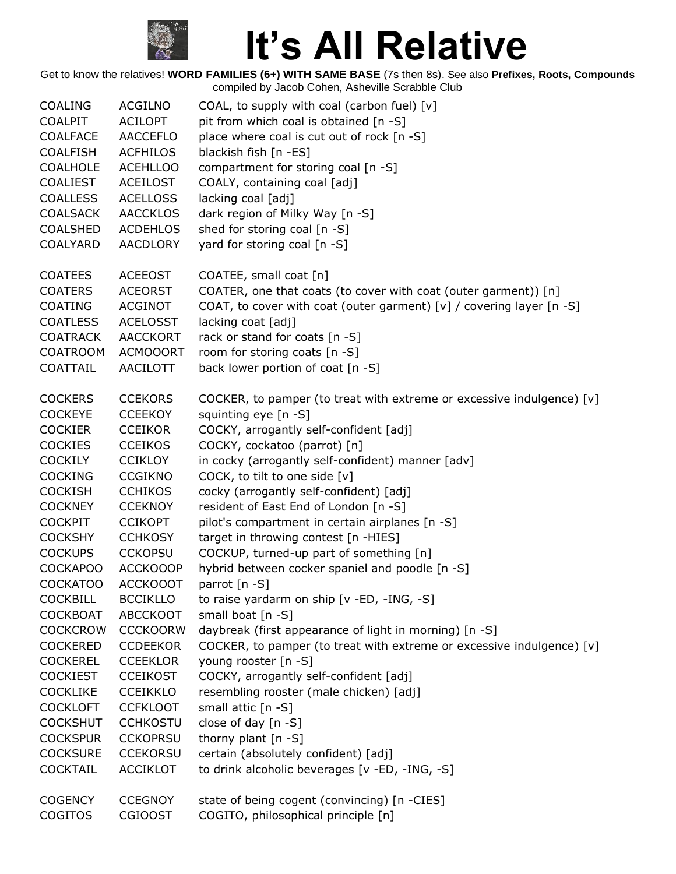

| <b>COALING</b>  | <b>ACGILNO</b>  | COAL, to supply with coal (carbon fuel) [v]                           |
|-----------------|-----------------|-----------------------------------------------------------------------|
| <b>COALPIT</b>  | <b>ACILOPT</b>  | pit from which coal is obtained [n -S]                                |
| <b>COALFACE</b> | <b>AACCEFLO</b> | place where coal is cut out of rock [n -S]                            |
| <b>COALFISH</b> | <b>ACFHILOS</b> | blackish fish [n -ES]                                                 |
| <b>COALHOLE</b> | <b>ACEHLLOO</b> | compartment for storing coal [n -S]                                   |
| <b>COALIEST</b> | <b>ACEILOST</b> | COALY, containing coal [adj]                                          |
| <b>COALLESS</b> | <b>ACELLOSS</b> | lacking coal [adj]                                                    |
| <b>COALSACK</b> | <b>AACCKLOS</b> | dark region of Milky Way [n -S]                                       |
| <b>COALSHED</b> | <b>ACDEHLOS</b> | shed for storing coal [n -S]                                          |
| COALYARD        | <b>AACDLORY</b> | yard for storing coal [n -S]                                          |
|                 |                 |                                                                       |
| <b>COATEES</b>  | <b>ACEEOST</b>  | COATEE, small coat [n]                                                |
| <b>COATERS</b>  | <b>ACEORST</b>  | COATER, one that coats (to cover with coat (outer garment)) [n]       |
| <b>COATING</b>  | ACGINOT         | COAT, to cover with coat (outer garment) [v] / covering layer [n -S]  |
| <b>COATLESS</b> | <b>ACELOSST</b> | lacking coat [adj]                                                    |
| <b>COATRACK</b> | <b>AACCKORT</b> | rack or stand for coats [n -S]                                        |
| <b>COATROOM</b> | <b>ACMOOORT</b> | room for storing coats [n -S]                                         |
| COATTAIL        | <b>AACILOTT</b> | back lower portion of coat [n -S]                                     |
|                 |                 |                                                                       |
| <b>COCKERS</b>  | <b>CCEKORS</b>  | COCKER, to pamper (to treat with extreme or excessive indulgence) [v] |
| <b>COCKEYE</b>  | <b>CCEEKOY</b>  | squinting eye [n -S]                                                  |
| <b>COCKIER</b>  | <b>CCEIKOR</b>  | COCKY, arrogantly self-confident [adj]                                |
| <b>COCKIES</b>  | <b>CCEIKOS</b>  | COCKY, cockatoo (parrot) [n]                                          |
| <b>COCKILY</b>  | <b>CCIKLOY</b>  | in cocky (arrogantly self-confident) manner [adv]                     |
| <b>COCKING</b>  | <b>CCGIKNO</b>  | COCK, to tilt to one side [v]                                         |
| <b>COCKISH</b>  | <b>CCHIKOS</b>  | cocky (arrogantly self-confident) [adj]                               |
| <b>COCKNEY</b>  | <b>CCEKNOY</b>  | resident of East End of London [n -S]                                 |
| <b>COCKPIT</b>  | <b>CCIKOPT</b>  | pilot's compartment in certain airplanes [n -S]                       |
| <b>COCKSHY</b>  | <b>CCHKOSY</b>  | target in throwing contest [n -HIES]                                  |
| <b>COCKUPS</b>  | <b>CCKOPSU</b>  | COCKUP, turned-up part of something [n]                               |
| <b>COCKAPOO</b> | ACCKOOOP        | hybrid between cocker spaniel and poodle [n -S]                       |
| <b>COCKATOO</b> | <b>ACCKOOOT</b> | parrot [n -S]                                                         |
| <b>COCKBILL</b> | <b>BCCIKLLO</b> | to raise yardarm on ship [v -ED, -ING, -S]                            |
| <b>COCKBOAT</b> | <b>ABCCKOOT</b> | small boat [n -S]                                                     |
| <b>COCKCROW</b> | <b>CCCKOORW</b> | daybreak (first appearance of light in morning) [n -S]                |
| <b>COCKERED</b> | <b>CCDEEKOR</b> | COCKER, to pamper (to treat with extreme or excessive indulgence) [v] |
| <b>COCKEREL</b> | <b>CCEEKLOR</b> | young rooster [n -S]                                                  |
| <b>COCKIEST</b> | <b>CCEIKOST</b> | COCKY, arrogantly self-confident [adj]                                |
| <b>COCKLIKE</b> | <b>CCEIKKLO</b> | resembling rooster (male chicken) [adj]                               |
| <b>COCKLOFT</b> | <b>CCFKLOOT</b> | small attic [n -S]                                                    |
| <b>COCKSHUT</b> | <b>CCHKOSTU</b> | close of day $[n - S]$                                                |
| <b>COCKSPUR</b> | <b>CCKOPRSU</b> | thorny plant $[n - S]$                                                |
| <b>COCKSURE</b> | <b>CCEKORSU</b> | certain (absolutely confident) [adj]                                  |
| <b>COCKTAIL</b> | <b>ACCIKLOT</b> | to drink alcoholic beverages [v -ED, -ING, -S]                        |
|                 |                 |                                                                       |
| <b>COGENCY</b>  | <b>CCEGNOY</b>  | state of being cogent (convincing) [n -CIES]                          |
| COGITOS         | <b>CGIOOST</b>  | COGITO, philosophical principle [n]                                   |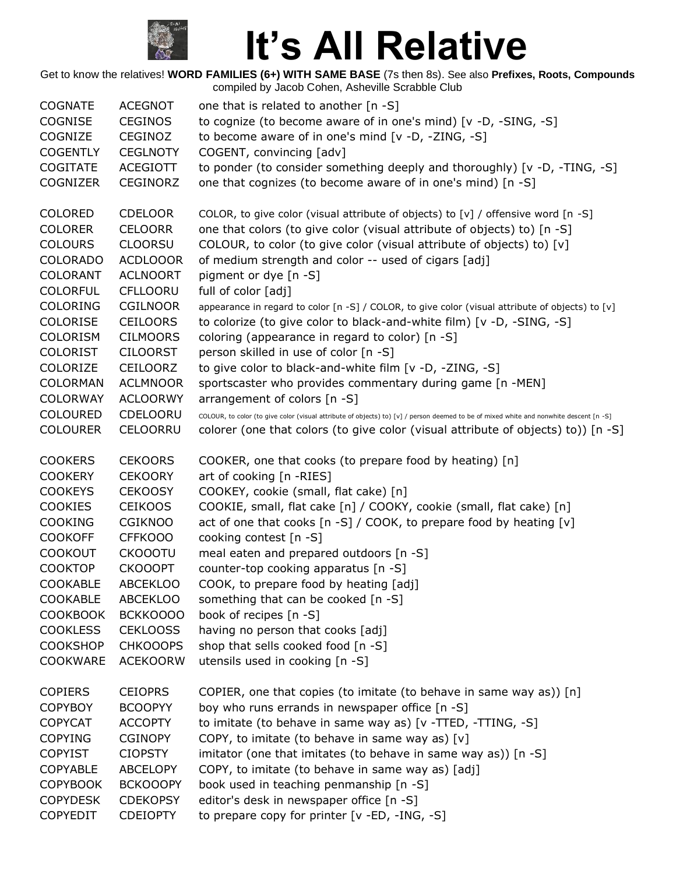

| <b>COGNATE</b>  | <b>ACEGNOT</b>  | one that is related to another [n -S]                                                                                                  |
|-----------------|-----------------|----------------------------------------------------------------------------------------------------------------------------------------|
| <b>COGNISE</b>  | <b>CEGINOS</b>  | to cognize (to become aware of in one's mind) [v -D, -SING, -S]                                                                        |
| COGNIZE         | CEGINOZ         | to become aware of in one's mind [v -D, -ZING, -S]                                                                                     |
| <b>COGENTLY</b> | <b>CEGLNOTY</b> | COGENT, convincing [adv]                                                                                                               |
| <b>COGITATE</b> | <b>ACEGIOTT</b> | to ponder (to consider something deeply and thoroughly) [v -D, -TING, -S]                                                              |
| COGNIZER        | CEGINORZ        | one that cognizes (to become aware of in one's mind) [n -S]                                                                            |
| <b>COLORED</b>  | <b>CDELOOR</b>  | COLOR, to give color (visual attribute of objects) to [v] / offensive word [n -S]                                                      |
| <b>COLORER</b>  | <b>CELOORR</b>  | one that colors (to give color (visual attribute of objects) to) [n -S]                                                                |
| <b>COLOURS</b>  | <b>CLOORSU</b>  | COLOUR, to color (to give color (visual attribute of objects) to) [v]                                                                  |
| <b>COLORADO</b> | <b>ACDLOOOR</b> | of medium strength and color -- used of cigars [adj]                                                                                   |
| <b>COLORANT</b> | <b>ACLNOORT</b> | pigment or dye [n -S]                                                                                                                  |
| <b>COLORFUL</b> | <b>CFLLOORU</b> | full of color [adj]                                                                                                                    |
| <b>COLORING</b> | CGILNOOR        | appearance in regard to color [n -S] / COLOR, to give color (visual attribute of objects) to [v]                                       |
| COLORISE        | <b>CEILOORS</b> | to colorize (to give color to black-and-white film) [v -D, -SING, -S]                                                                  |
| <b>COLORISM</b> | <b>CILMOORS</b> | coloring (appearance in regard to color) [n -S]                                                                                        |
| <b>COLORIST</b> | <b>CILOORST</b> | person skilled in use of color [n -S]                                                                                                  |
| COLORIZE        | CEILOORZ        | to give color to black-and-white film [v -D, -ZING, -S]                                                                                |
| <b>COLORMAN</b> | <b>ACLMNOOR</b> | sportscaster who provides commentary during game [n -MEN]                                                                              |
| <b>COLORWAY</b> | <b>ACLOORWY</b> | arrangement of colors [n -S]                                                                                                           |
| <b>COLOURED</b> | CDELOORU        | COLOUR, to color (to give color (visual attribute of objects) to) [v] / person deemed to be of mixed white and nonwhite descent [n -S] |
| <b>COLOURER</b> | <b>CELOORRU</b> | colorer (one that colors (to give color (visual attribute of objects) to)) [n -S]                                                      |
| <b>COOKERS</b>  | <b>CEKOORS</b>  | COOKER, one that cooks (to prepare food by heating) [n]                                                                                |
| <b>COOKERY</b>  | <b>CEKOORY</b>  | art of cooking [n -RIES]                                                                                                               |
| <b>COOKEYS</b>  | <b>CEKOOSY</b>  | COOKEY, cookie (small, flat cake) [n]                                                                                                  |
| <b>COOKIES</b>  | <b>CEIKOOS</b>  | COOKIE, small, flat cake [n] / COOKY, cookie (small, flat cake) [n]                                                                    |
| <b>COOKING</b>  | <b>CGIKNOO</b>  | act of one that cooks [n -S] / COOK, to prepare food by heating [v]                                                                    |
| <b>COOKOFF</b>  | <b>CFFKOOO</b>  | cooking contest [n -S]                                                                                                                 |
| <b>COOKOUT</b>  | <b>CKOOOTU</b>  | meal eaten and prepared outdoors [n -S]                                                                                                |
| <b>COOKTOP</b>  | <b>CKOOOPT</b>  | counter-top cooking apparatus [n -S]                                                                                                   |
| <b>COOKABLE</b> | <b>ABCEKLOO</b> | COOK, to prepare food by heating [adj]                                                                                                 |
| <b>COOKABLE</b> | <b>ABCEKLOO</b> | something that can be cooked [n -S]                                                                                                    |
| <b>COOKBOOK</b> | BCKKOOOO        | book of recipes [n -S]                                                                                                                 |
| <b>COOKLESS</b> | <b>CEKLOOSS</b> | having no person that cooks [adj]                                                                                                      |
| <b>COOKSHOP</b> | <b>CHKOOOPS</b> | shop that sells cooked food [n -S]                                                                                                     |
| <b>COOKWARE</b> | <b>ACEKOORW</b> | utensils used in cooking [n -S]                                                                                                        |
| <b>COPIERS</b>  | <b>CEIOPRS</b>  | COPIER, one that copies (to imitate (to behave in same way as)) [n]                                                                    |
| <b>COPYBOY</b>  | <b>BCOOPYY</b>  | boy who runs errands in newspaper office [n -S]                                                                                        |
| <b>COPYCAT</b>  | <b>ACCOPTY</b>  | to imitate (to behave in same way as) [v -TTED, -TTING, -S]                                                                            |
| <b>COPYING</b>  | <b>CGINOPY</b>  | COPY, to imitate (to behave in same way as) [v]                                                                                        |
| <b>COPYIST</b>  | <b>CIOPSTY</b>  | imitator (one that imitates (to behave in same way as)) [n -S]                                                                         |
| <b>COPYABLE</b> | <b>ABCELOPY</b> | COPY, to imitate (to behave in same way as) [adj]                                                                                      |
| <b>COPYBOOK</b> | <b>BCKOOOPY</b> | book used in teaching penmanship [n -S]                                                                                                |
| <b>COPYDESK</b> | <b>CDEKOPSY</b> | editor's desk in newspaper office [n -S]                                                                                               |
| <b>COPYEDIT</b> | <b>CDEIOPTY</b> | to prepare copy for printer [v -ED, -ING, -S]                                                                                          |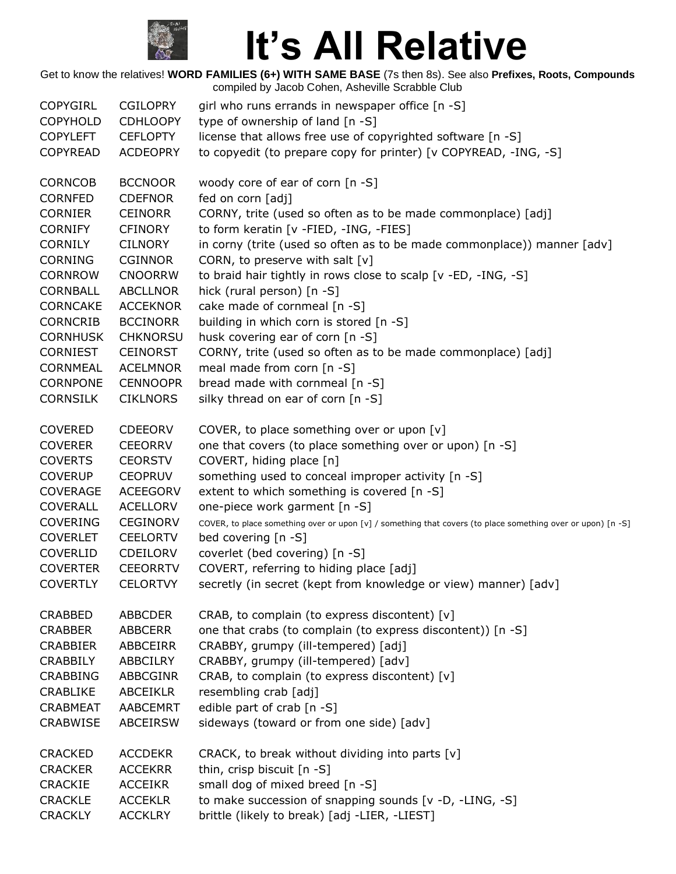

| <b>COPYGIRL</b> | <b>CGILOPRY</b> | girl who runs errands in newspaper office [n -S]                                                            |
|-----------------|-----------------|-------------------------------------------------------------------------------------------------------------|
| <b>COPYHOLD</b> | <b>CDHLOOPY</b> | type of ownership of land [n -S]                                                                            |
| <b>COPYLEFT</b> | <b>CEFLOPTY</b> | license that allows free use of copyrighted software [n -S]                                                 |
| <b>COPYREAD</b> | <b>ACDEOPRY</b> | to copyedit (to prepare copy for printer) [v COPYREAD, -ING, -S]                                            |
| CORNCOB         | <b>BCCNOOR</b>  | woody core of ear of corn [n -S]                                                                            |
| CORNFED         | <b>CDEFNOR</b>  | fed on corn [adj]                                                                                           |
| <b>CORNIER</b>  | <b>CEINORR</b>  | CORNY, trite (used so often as to be made commonplace) [adj]                                                |
| <b>CORNIFY</b>  | <b>CFINORY</b>  | to form keratin [v -FIED, -ING, -FIES]                                                                      |
| <b>CORNILY</b>  | <b>CILNORY</b>  | in corny (trite (used so often as to be made commonplace)) manner [adv]                                     |
| <b>CORNING</b>  | <b>CGINNOR</b>  | CORN, to preserve with salt $[v]$                                                                           |
| CORNROW         | <b>CNOORRW</b>  | to braid hair tightly in rows close to scalp [v -ED, -ING, -S]                                              |
| <b>CORNBALL</b> | <b>ABCLLNOR</b> | hick (rural person) [n -S]                                                                                  |
| <b>CORNCAKE</b> | <b>ACCEKNOR</b> | cake made of cornmeal [n -S]                                                                                |
| <b>CORNCRIB</b> | <b>BCCINORR</b> | building in which corn is stored [n -S]                                                                     |
| <b>CORNHUSK</b> | <b>CHKNORSU</b> | husk covering ear of corn [n -S]                                                                            |
| <b>CORNIEST</b> | <b>CEINORST</b> | CORNY, trite (used so often as to be made commonplace) [adj]                                                |
| CORNMEAL        | <b>ACELMNOR</b> | meal made from corn [n -S]                                                                                  |
| CORNPONE        | <b>CENNOOPR</b> | bread made with cornmeal [n -S]                                                                             |
| <b>CORNSILK</b> | <b>CIKLNORS</b> | silky thread on ear of corn [n -S]                                                                          |
| <b>COVERED</b>  | <b>CDEEORV</b>  | COVER, to place something over or upon [v]                                                                  |
| <b>COVERER</b>  | <b>CEEORRV</b>  | one that covers (to place something over or upon) [n -S]                                                    |
| <b>COVERTS</b>  | <b>CEORSTV</b>  | COVERT, hiding place [n]                                                                                    |
| <b>COVERUP</b>  | <b>CEOPRUV</b>  | something used to conceal improper activity [n -S]                                                          |
| <b>COVERAGE</b> | <b>ACEEGORV</b> | extent to which something is covered [n -S]                                                                 |
| <b>COVERALL</b> | <b>ACELLORV</b> | one-piece work garment [n -S]                                                                               |
| <b>COVERING</b> | <b>CEGINORV</b> | COVER, to place something over or upon [v] / something that covers (to place something over or upon) [n -S] |
| <b>COVERLET</b> | <b>CEELORTV</b> | bed covering [n -S]                                                                                         |
| <b>COVERLID</b> | CDEILORV        | coverlet (bed covering) [n -S]                                                                              |
| <b>COVERTER</b> | <b>CEEORRTV</b> | COVERT, referring to hiding place [adj]                                                                     |
| <b>COVERTLY</b> | <b>CELORTVY</b> | secretly (in secret (kept from knowledge or view) manner) [adv]                                             |
| <b>CRABBED</b>  | <b>ABBCDER</b>  | CRAB, to complain (to express discontent) [v]                                                               |
| <b>CRABBER</b>  | ABBCERR         | one that crabs (to complain (to express discontent)) [n -S]                                                 |
| <b>CRABBIER</b> | ABBCEIRR        | CRABBY, grumpy (ill-tempered) [adj]                                                                         |
| <b>CRABBILY</b> | ABBCILRY        | CRABBY, grumpy (ill-tempered) [adv]                                                                         |
| <b>CRABBING</b> | <b>ABBCGINR</b> | CRAB, to complain (to express discontent) [v]                                                               |
| <b>CRABLIKE</b> | <b>ABCEIKLR</b> | resembling crab [adj]                                                                                       |
| <b>CRABMEAT</b> | AABCEMRT        | edible part of crab [n -S]                                                                                  |
| <b>CRABWISE</b> | <b>ABCEIRSW</b> | sideways (toward or from one side) [adv]                                                                    |
| <b>CRACKED</b>  | <b>ACCDEKR</b>  | CRACK, to break without dividing into parts [v]                                                             |
| <b>CRACKER</b>  | <b>ACCEKRR</b>  | thin, crisp biscuit [n -S]                                                                                  |
| <b>CRACKIE</b>  | <b>ACCEIKR</b>  | small dog of mixed breed [n -S]                                                                             |
| <b>CRACKLE</b>  | <b>ACCEKLR</b>  | to make succession of snapping sounds [v -D, -LING, -S]                                                     |
| <b>CRACKLY</b>  | <b>ACCKLRY</b>  | brittle (likely to break) [adj -LIER, -LIEST]                                                               |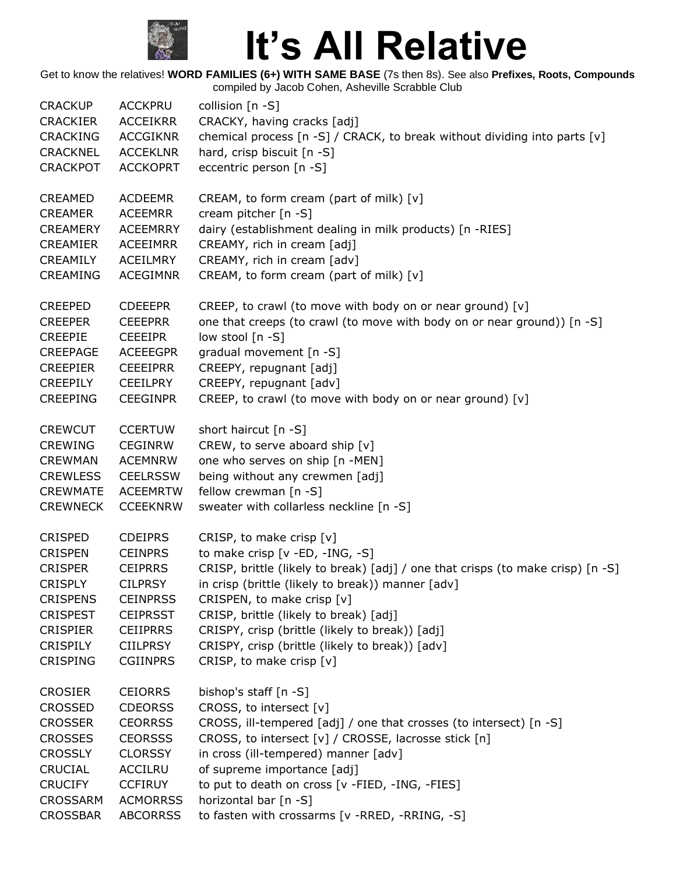

| <b>CRACKUP</b>  | <b>ACCKPRU</b>  | collision $[n - S]$                                                             |
|-----------------|-----------------|---------------------------------------------------------------------------------|
| <b>CRACKIER</b> | <b>ACCEIKRR</b> | CRACKY, having cracks [adj]                                                     |
| <b>CRACKING</b> | <b>ACCGIKNR</b> | chemical process [n -S] / CRACK, to break without dividing into parts [v]       |
| <b>CRACKNEL</b> | <b>ACCEKLNR</b> | hard, crisp biscuit [n -S]                                                      |
| <b>CRACKPOT</b> | <b>ACCKOPRT</b> | eccentric person [n -S]                                                         |
| <b>CREAMED</b>  | <b>ACDEEMR</b>  | CREAM, to form cream (part of milk) [v]                                         |
| <b>CREAMER</b>  | <b>ACEEMRR</b>  | cream pitcher [n -S]                                                            |
| <b>CREAMERY</b> | <b>ACEEMRRY</b> | dairy (establishment dealing in milk products) [n -RIES]                        |
| <b>CREAMIER</b> | <b>ACEEIMRR</b> | CREAMY, rich in cream [adj]                                                     |
| CREAMILY        | ACEILMRY        | CREAMY, rich in cream [adv]                                                     |
| <b>CREAMING</b> | <b>ACEGIMNR</b> | CREAM, to form cream (part of milk) [v]                                         |
| <b>CREEPED</b>  | <b>CDEEEPR</b>  | CREEP, to crawl (to move with body on or near ground) [v]                       |
| <b>CREEPER</b>  | <b>CEEEPRR</b>  | one that creeps (to crawl (to move with body on or near ground)) [n -S]         |
| <b>CREEPIE</b>  | <b>CEEEIPR</b>  | low stool [n -S]                                                                |
| <b>CREEPAGE</b> | <b>ACEEEGPR</b> | gradual movement [n -S]                                                         |
| <b>CREEPIER</b> | <b>CEEEIPRR</b> | CREEPY, repugnant [adj]                                                         |
| <b>CREEPILY</b> | <b>CEEILPRY</b> | CREEPY, repugnant [adv]                                                         |
| <b>CREEPING</b> | <b>CEEGINPR</b> | CREEP, to crawl (to move with body on or near ground) [v]                       |
| <b>CREWCUT</b>  | <b>CCERTUW</b>  | short haircut [n -S]                                                            |
| <b>CREWING</b>  | <b>CEGINRW</b>  | CREW, to serve aboard ship [v]                                                  |
| <b>CREWMAN</b>  | <b>ACEMNRW</b>  | one who serves on ship [n -MEN]                                                 |
| <b>CREWLESS</b> | <b>CEELRSSW</b> | being without any crewmen [adj]                                                 |
| <b>CREWMATE</b> | <b>ACEEMRTW</b> | fellow crewman [n -S]                                                           |
| <b>CREWNECK</b> | <b>CCEEKNRW</b> | sweater with collarless neckline [n -S]                                         |
| <b>CRISPED</b>  | <b>CDEIPRS</b>  | CRISP, to make crisp [v]                                                        |
| <b>CRISPEN</b>  | <b>CEINPRS</b>  | to make crisp [v -ED, -ING, -S]                                                 |
| <b>CRISPER</b>  | <b>CEIPRRS</b>  | CRISP, brittle (likely to break) [adj] / one that crisps (to make crisp) [n -S] |
| <b>CRISPLY</b>  | <b>CILPRSY</b>  | in crisp (brittle (likely to break)) manner [adv]                               |
| <b>CRISPENS</b> | <b>CEINPRSS</b> | CRISPEN, to make crisp [v]                                                      |
| <b>CRISPEST</b> | <b>CEIPRSST</b> | CRISP, brittle (likely to break) [adj]                                          |
| <b>CRISPIER</b> | <b>CEIIPRRS</b> | CRISPY, crisp (brittle (likely to break)) [adj]                                 |
| <b>CRISPILY</b> | <b>CIILPRSY</b> | CRISPY, crisp (brittle (likely to break)) [adv]                                 |
| <b>CRISPING</b> | <b>CGIINPRS</b> | CRISP, to make crisp [v]                                                        |
| <b>CROSIER</b>  | <b>CEIORRS</b>  | bishop's staff [n -S]                                                           |
| <b>CROSSED</b>  | <b>CDEORSS</b>  | CROSS, to intersect [v]                                                         |
| <b>CROSSER</b>  | <b>CEORRSS</b>  | CROSS, ill-tempered [adj] / one that crosses (to intersect) [n -S]              |
| <b>CROSSES</b>  | <b>CEORSSS</b>  | CROSS, to intersect [v] / CROSSE, lacrosse stick [n]                            |
| <b>CROSSLY</b>  | <b>CLORSSY</b>  | in cross (ill-tempered) manner [adv]                                            |
| <b>CRUCIAL</b>  | <b>ACCILRU</b>  | of supreme importance [adj]                                                     |
| <b>CRUCIFY</b>  | <b>CCFIRUY</b>  | to put to death on cross [v -FIED, -ING, -FIES]                                 |
| <b>CROSSARM</b> | <b>ACMORRSS</b> | horizontal bar [n -S]                                                           |
| <b>CROSSBAR</b> | <b>ABCORRSS</b> | to fasten with crossarms [v -RRED, -RRING, -S]                                  |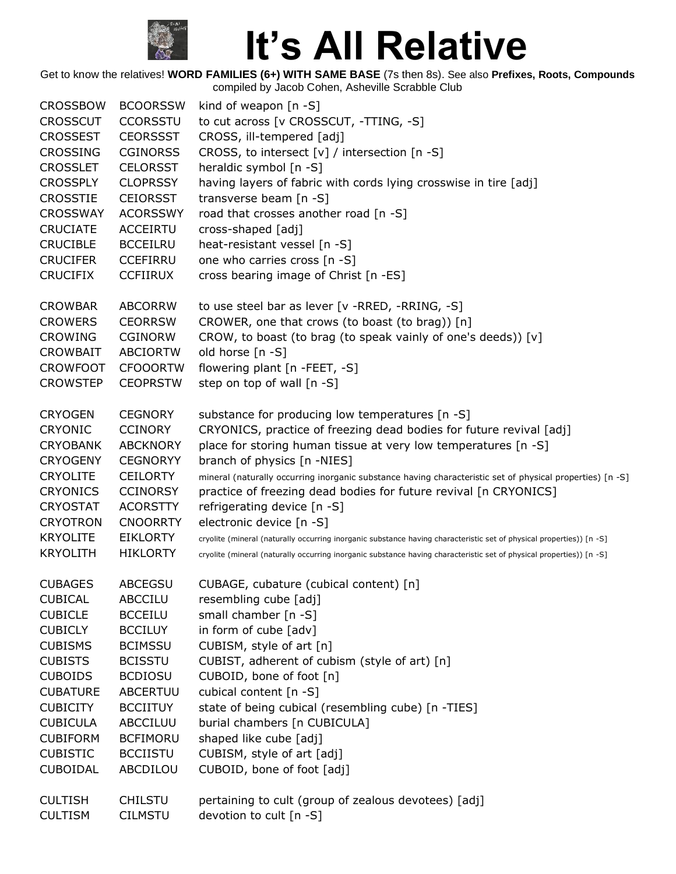

| <b>CROSSBOW</b> | <b>BCOORSSW</b> | kind of weapon $[n - S]$                                                                                             |
|-----------------|-----------------|----------------------------------------------------------------------------------------------------------------------|
| <b>CROSSCUT</b> | <b>CCORSSTU</b> | to cut across [v CROSSCUT, -TTING, -S]                                                                               |
| <b>CROSSEST</b> | <b>CEORSSST</b> | CROSS, ill-tempered [adj]                                                                                            |
| <b>CROSSING</b> | <b>CGINORSS</b> | CROSS, to intersect [v] / intersection [n -S]                                                                        |
| <b>CROSSLET</b> | <b>CELORSST</b> | heraldic symbol [n -S]                                                                                               |
| <b>CROSSPLY</b> | <b>CLOPRSSY</b> | having layers of fabric with cords lying crosswise in tire [adj]                                                     |
| <b>CROSSTIE</b> | <b>CEIORSST</b> | transverse beam [n -S]                                                                                               |
| <b>CROSSWAY</b> | <b>ACORSSWY</b> | road that crosses another road [n -S]                                                                                |
| <b>CRUCIATE</b> | <b>ACCEIRTU</b> | cross-shaped [adj]                                                                                                   |
| <b>CRUCIBLE</b> | <b>BCCEILRU</b> | heat-resistant vessel [n -S]                                                                                         |
| <b>CRUCIFER</b> | <b>CCEFIRRU</b> | one who carries cross [n -S]                                                                                         |
| <b>CRUCIFIX</b> | <b>CCFIIRUX</b> | cross bearing image of Christ [n -ES]                                                                                |
| <b>CROWBAR</b>  | <b>ABCORRW</b>  | to use steel bar as lever [v -RRED, -RRING, -S]                                                                      |
| <b>CROWERS</b>  | <b>CEORRSW</b>  | CROWER, one that crows (to boast (to brag)) [n]                                                                      |
| <b>CROWING</b>  | <b>CGINORW</b>  | CROW, to boast (to brag (to speak vainly of one's deeds)) [v]                                                        |
| <b>CROWBAIT</b> | <b>ABCIORTW</b> | old horse [n -S]                                                                                                     |
| <b>CROWFOOT</b> | <b>CFOOORTW</b> | flowering plant [n -FEET, -S]                                                                                        |
| <b>CROWSTEP</b> | <b>CEOPRSTW</b> | step on top of wall [n -S]                                                                                           |
| <b>CRYOGEN</b>  | <b>CEGNORY</b>  | substance for producing low temperatures [n -S]                                                                      |
| <b>CRYONIC</b>  | <b>CCINORY</b>  | CRYONICS, practice of freezing dead bodies for future revival [adj]                                                  |
| <b>CRYOBANK</b> | <b>ABCKNORY</b> | place for storing human tissue at very low temperatures [n -S]                                                       |
| <b>CRYOGENY</b> | <b>CEGNORYY</b> | branch of physics [n -NIES]                                                                                          |
| <b>CRYOLITE</b> | <b>CEILORTY</b> | mineral (naturally occurring inorganic substance having characteristic set of physical properties) [n -S]            |
| <b>CRYONICS</b> | <b>CCINORSY</b> | practice of freezing dead bodies for future revival [n CRYONICS]                                                     |
| <b>CRYOSTAT</b> | <b>ACORSTTY</b> | refrigerating device [n -S]                                                                                          |
| <b>CRYOTRON</b> | <b>CNOORRTY</b> | electronic device [n -S]                                                                                             |
| <b>KRYOLITE</b> | <b>EIKLORTY</b> | cryolite (mineral (naturally occurring inorganic substance having characteristic set of physical properties)) [n -S] |
| <b>KRYOLITH</b> | <b>HIKLORTY</b> | cryolite (mineral (naturally occurring inorganic substance having characteristic set of physical properties)) [n -S] |
| <b>CUBAGES</b>  | <b>ABCEGSU</b>  | CUBAGE, cubature (cubical content) [n]                                                                               |
| <b>CUBICAL</b>  | <b>ABCCILU</b>  | resembling cube [adj]                                                                                                |
| <b>CUBICLE</b>  | <b>BCCEILU</b>  | small chamber [n -S]                                                                                                 |
| <b>CUBICLY</b>  | <b>BCCILUY</b>  | in form of cube [adv]                                                                                                |
| <b>CUBISMS</b>  | <b>BCIMSSU</b>  | CUBISM, style of art [n]                                                                                             |
| <b>CUBISTS</b>  | <b>BCISSTU</b>  | CUBIST, adherent of cubism (style of art) [n]                                                                        |
| <b>CUBOIDS</b>  | <b>BCDIOSU</b>  | CUBOID, bone of foot [n]                                                                                             |
| <b>CUBATURE</b> | ABCERTUU        | cubical content [n -S]                                                                                               |
| <b>CUBICITY</b> | <b>BCCIITUY</b> | state of being cubical (resembling cube) [n -TIES]                                                                   |
| <b>CUBICULA</b> | ABCCILUU        | burial chambers [n CUBICULA]                                                                                         |
| <b>CUBIFORM</b> | <b>BCFIMORU</b> | shaped like cube [adj]                                                                                               |
| <b>CUBISTIC</b> | <b>BCCIISTU</b> | CUBISM, style of art [adj]                                                                                           |
| <b>CUBOIDAL</b> | ABCDILOU        | CUBOID, bone of foot [adj]                                                                                           |
| <b>CULTISH</b>  | <b>CHILSTU</b>  | pertaining to cult (group of zealous devotees) [adj]                                                                 |
| <b>CULTISM</b>  | <b>CILMSTU</b>  | devotion to cult [n -S]                                                                                              |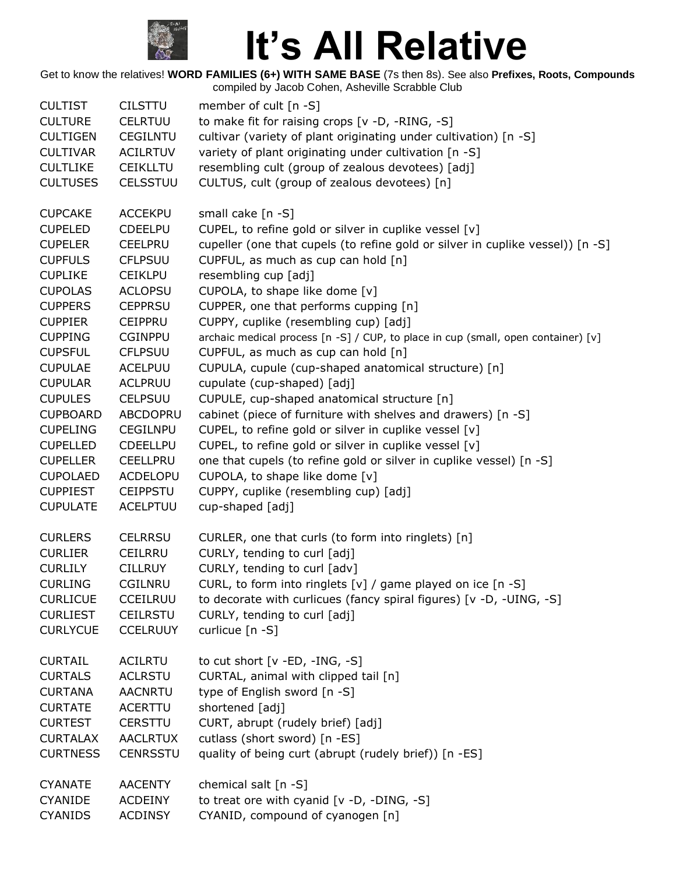

| <b>CULTIST</b>  | <b>CILSTTU</b>  | member of cult $[n - S]$                                                          |
|-----------------|-----------------|-----------------------------------------------------------------------------------|
| <b>CULTURE</b>  | CELRTUU         | to make fit for raising crops [v -D, -RING, -S]                                   |
| <b>CULTIGEN</b> | <b>CEGILNTU</b> | cultivar (variety of plant originating under cultivation) [n -S]                  |
| <b>CULTIVAR</b> | <b>ACILRTUV</b> | variety of plant originating under cultivation [n -S]                             |
| <b>CULTLIKE</b> | <b>CEIKLLTU</b> | resembling cult (group of zealous devotees) [adj]                                 |
| <b>CULTUSES</b> | <b>CELSSTUU</b> | CULTUS, cult (group of zealous devotees) [n]                                      |
| <b>CUPCAKE</b>  | <b>ACCEKPU</b>  | small cake [n -S]                                                                 |
| <b>CUPELED</b>  | <b>CDEELPU</b>  | CUPEL, to refine gold or silver in cuplike vessel [v]                             |
| <b>CUPELER</b>  | <b>CEELPRU</b>  | cupeller (one that cupels (to refine gold or silver in cuplike vessel)) [n -S]    |
| <b>CUPFULS</b>  | <b>CFLPSUU</b>  | CUPFUL, as much as cup can hold [n]                                               |
| <b>CUPLIKE</b>  | <b>CEIKLPU</b>  | resembling cup [adj]                                                              |
| <b>CUPOLAS</b>  | <b>ACLOPSU</b>  | CUPOLA, to shape like dome [v]                                                    |
| <b>CUPPERS</b>  | <b>CEPPRSU</b>  | CUPPER, one that performs cupping [n]                                             |
| <b>CUPPIER</b>  | <b>CEIPPRU</b>  | CUPPY, cuplike (resembling cup) [adj]                                             |
| <b>CUPPING</b>  | <b>CGINPPU</b>  | archaic medical process [n -S] / CUP, to place in cup (small, open container) [v] |
| <b>CUPSFUL</b>  | <b>CFLPSUU</b>  | CUPFUL, as much as cup can hold [n]                                               |
| <b>CUPULAE</b>  | ACELPUU         | CUPULA, cupule (cup-shaped anatomical structure) [n]                              |
| <b>CUPULAR</b>  | <b>ACLPRUU</b>  | cupulate (cup-shaped) [adj]                                                       |
| <b>CUPULES</b>  | <b>CELPSUU</b>  | CUPULE, cup-shaped anatomical structure [n]                                       |
| <b>CUPBOARD</b> | ABCDOPRU        | cabinet (piece of furniture with shelves and drawers) [n -S]                      |
| <b>CUPELING</b> | <b>CEGILNPU</b> | CUPEL, to refine gold or silver in cuplike vessel [v]                             |
| <b>CUPELLED</b> | <b>CDEELLPU</b> | CUPEL, to refine gold or silver in cuplike vessel [v]                             |
| <b>CUPELLER</b> | <b>CEELLPRU</b> | one that cupels (to refine gold or silver in cuplike vessel) [n -S]               |
| <b>CUPOLAED</b> | ACDELOPU        | CUPOLA, to shape like dome [v]                                                    |
| <b>CUPPIEST</b> | <b>CEIPPSTU</b> | CUPPY, cuplike (resembling cup) [adj]                                             |
| <b>CUPULATE</b> | <b>ACELPTUU</b> | cup-shaped [adj]                                                                  |
| <b>CURLERS</b>  | <b>CELRRSU</b>  | CURLER, one that curls (to form into ringlets) [n]                                |
| <b>CURLIER</b>  | <b>CEILRRU</b>  | CURLY, tending to curl [adj]                                                      |
| <b>CURLILY</b>  | <b>CILLRUY</b>  | CURLY, tending to curl [adv]                                                      |
| <b>CURLING</b>  | CGILNRU         | CURL, to form into ringlets $[v]$ / game played on ice $[n -S]$                   |
| <b>CURLICUE</b> | <b>CCEILRUU</b> | to decorate with curlicues (fancy spiral figures) [v -D, -UING, -S]               |
| <b>CURLIEST</b> | <b>CEILRSTU</b> | CURLY, tending to curl [adj]                                                      |
| <b>CURLYCUE</b> | <b>CCELRUUY</b> | curlicue [n -S]                                                                   |
| <b>CURTAIL</b>  | <b>ACILRTU</b>  | to cut short $[v - ED, -ING, -S]$                                                 |
| <b>CURTALS</b>  | <b>ACLRSTU</b>  | CURTAL, animal with clipped tail [n]                                              |
| <b>CURTANA</b>  | <b>AACNRTU</b>  | type of English sword [n -S]                                                      |
| <b>CURTATE</b>  | <b>ACERTTU</b>  | shortened [adj]                                                                   |
| <b>CURTEST</b>  | CERSTTU         | CURT, abrupt (rudely brief) [adj]                                                 |
| <b>CURTALAX</b> | <b>AACLRTUX</b> | cutlass (short sword) [n -ES]                                                     |
| <b>CURTNESS</b> | <b>CENRSSTU</b> | quality of being curt (abrupt (rudely brief)) [n -ES]                             |
| <b>CYANATE</b>  | <b>AACENTY</b>  | chemical salt [n -S]                                                              |
| <b>CYANIDE</b>  | <b>ACDEINY</b>  | to treat ore with cyanid [v -D, -DING, -S]                                        |
| <b>CYANIDS</b>  | <b>ACDINSY</b>  | CYANID, compound of cyanogen [n]                                                  |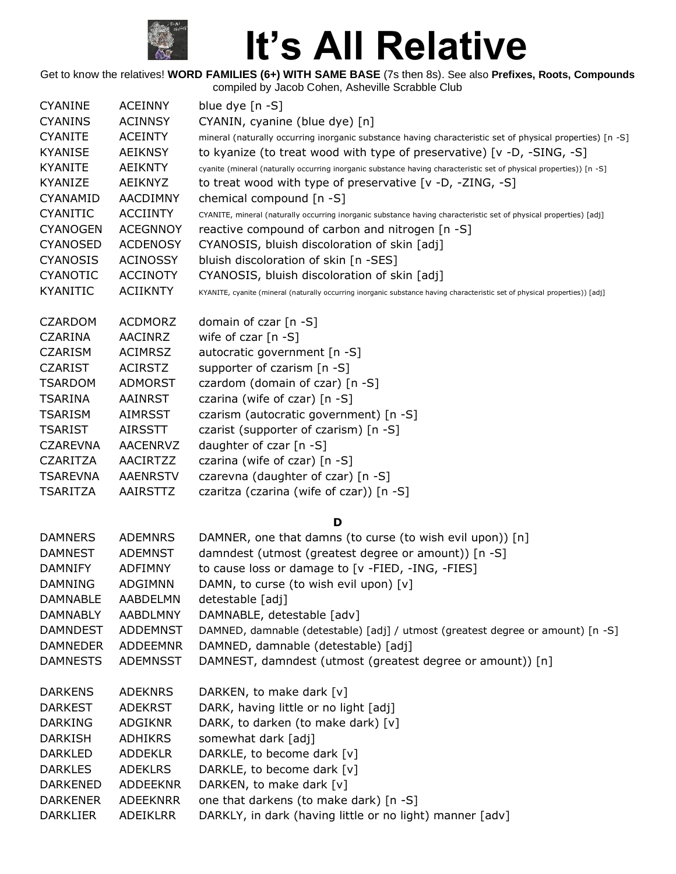

| <b>CYANINE</b>  | <b>ACEINNY</b>  | blue dye $[n -S]$                                                                                                           |  |  |
|-----------------|-----------------|-----------------------------------------------------------------------------------------------------------------------------|--|--|
| <b>CYANINS</b>  | <b>ACINNSY</b>  | CYANIN, cyanine (blue dye) [n]                                                                                              |  |  |
| <b>CYANITE</b>  | <b>ACEINTY</b>  | mineral (naturally occurring inorganic substance having characteristic set of physical properties) [n -S]                   |  |  |
| <b>KYANISE</b>  | <b>AEIKNSY</b>  | to kyanize (to treat wood with type of preservative) [v -D, -SING, -S]                                                      |  |  |
| <b>KYANITE</b>  | AEIKNTY         | cyanite (mineral (naturally occurring inorganic substance having characteristic set of physical properties)) [n -S]         |  |  |
| KYANIZE         | AEIKNYZ         | to treat wood with type of preservative [v -D, -ZING, -S]                                                                   |  |  |
| CYANAMID        | <b>AACDIMNY</b> | chemical compound [n -S]                                                                                                    |  |  |
| <b>CYANITIC</b> | <b>ACCIINTY</b> | CYANITE, mineral (naturally occurring inorganic substance having characteristic set of physical properties) [adj]           |  |  |
| <b>CYANOGEN</b> | <b>ACEGNNOY</b> | reactive compound of carbon and nitrogen [n -S]                                                                             |  |  |
| <b>CYANOSED</b> | <b>ACDENOSY</b> | CYANOSIS, bluish discoloration of skin [adj]                                                                                |  |  |
| <b>CYANOSIS</b> | <b>ACINOSSY</b> | bluish discoloration of skin [n -SES]                                                                                       |  |  |
| <b>CYANOTIC</b> | <b>ACCINOTY</b> | CYANOSIS, bluish discoloration of skin [adj]                                                                                |  |  |
| <b>KYANITIC</b> | <b>ACIIKNTY</b> | KYANITE, cyanite (mineral (naturally occurring inorganic substance having characteristic set of physical properties)) [adj] |  |  |
| <b>CZARDOM</b>  | <b>ACDMORZ</b>  | domain of czar [n -S]                                                                                                       |  |  |
| <b>CZARINA</b>  | <b>AACINRZ</b>  | wife of czar $[n - S]$                                                                                                      |  |  |
| <b>CZARISM</b>  | <b>ACIMRSZ</b>  | autocratic government [n -S]                                                                                                |  |  |
| <b>CZARIST</b>  | <b>ACIRSTZ</b>  | supporter of czarism [n -S]                                                                                                 |  |  |
| <b>TSARDOM</b>  | <b>ADMORST</b>  | czardom (domain of czar) [n -S]                                                                                             |  |  |
| TSARINA         | <b>AAINRST</b>  | czarina (wife of czar) [n -S]                                                                                               |  |  |
| <b>TSARISM</b>  | <b>AIMRSST</b>  | czarism (autocratic government) [n -S]                                                                                      |  |  |
| <b>TSARIST</b>  | <b>AIRSSTT</b>  | czarist (supporter of czarism) [n -S]                                                                                       |  |  |
| <b>CZAREVNA</b> | <b>AACENRVZ</b> | daughter of czar [n -S]                                                                                                     |  |  |
| <b>CZARITZA</b> | AACIRTZZ        | czarina (wife of czar) [n -S]                                                                                               |  |  |
| <b>TSAREVNA</b> | <b>AAENRSTV</b> | czarevna (daughter of czar) [n -S]                                                                                          |  |  |
|                 | AAIRSTTZ        |                                                                                                                             |  |  |
| TSARITZA        |                 | czaritza (czarina (wife of czar)) [n -S]                                                                                    |  |  |
|                 |                 | D                                                                                                                           |  |  |
| <b>DAMNERS</b>  | <b>ADEMNRS</b>  | DAMNER, one that damns (to curse (to wish evil upon)) [n]                                                                   |  |  |
| <b>DAMNEST</b>  | <b>ADEMNST</b>  | damndest (utmost (greatest degree or amount)) [n -S]                                                                        |  |  |
| <b>DAMNIFY</b>  | <b>ADFIMNY</b>  | to cause loss or damage to [v -FIED, -ING, -FIES]                                                                           |  |  |
| DAMNING         | <b>ADGIMNN</b>  | DAMN, to curse (to wish evil upon) [v]                                                                                      |  |  |
| <b>DAMNABLE</b> | AABDELMN        | detestable [adj]                                                                                                            |  |  |
| <b>DAMNABLY</b> | AABDLMNY        | DAMNABLE, detestable [adv]                                                                                                  |  |  |
| <b>DAMNDEST</b> | <b>ADDEMNST</b> | DAMNED, damnable (detestable) [adj] / utmost (greatest degree or amount) [n -S]                                             |  |  |
| <b>DAMNEDER</b> | ADDEEMNR        | DAMNED, damnable (detestable) [adj]                                                                                         |  |  |
| <b>DAMNESTS</b> | ADEMNSST        | DAMNEST, damndest (utmost (greatest degree or amount)) [n]                                                                  |  |  |
| <b>DARKENS</b>  | <b>ADEKNRS</b>  | DARKEN, to make dark [v]                                                                                                    |  |  |
| <b>DARKEST</b>  | <b>ADEKRST</b>  | DARK, having little or no light [adj]                                                                                       |  |  |
| <b>DARKING</b>  | <b>ADGIKNR</b>  | DARK, to darken (to make dark) [v]                                                                                          |  |  |
| DARKISH         | <b>ADHIKRS</b>  | somewhat dark [adj]                                                                                                         |  |  |
| <b>DARKLED</b>  | <b>ADDEKLR</b>  | DARKLE, to become dark [v]                                                                                                  |  |  |
| <b>DARKLES</b>  | <b>ADEKLRS</b>  | DARKLE, to become dark [v]                                                                                                  |  |  |
| DARKENED        | ADDEEKNR        | DARKEN, to make dark [v]                                                                                                    |  |  |
| <b>DARKENER</b> | <b>ADEEKNRR</b> | one that darkens (to make dark) [n -S]                                                                                      |  |  |
| <b>DARKLIER</b> | ADEIKLRR        | DARKLY, in dark (having little or no light) manner [adv]                                                                    |  |  |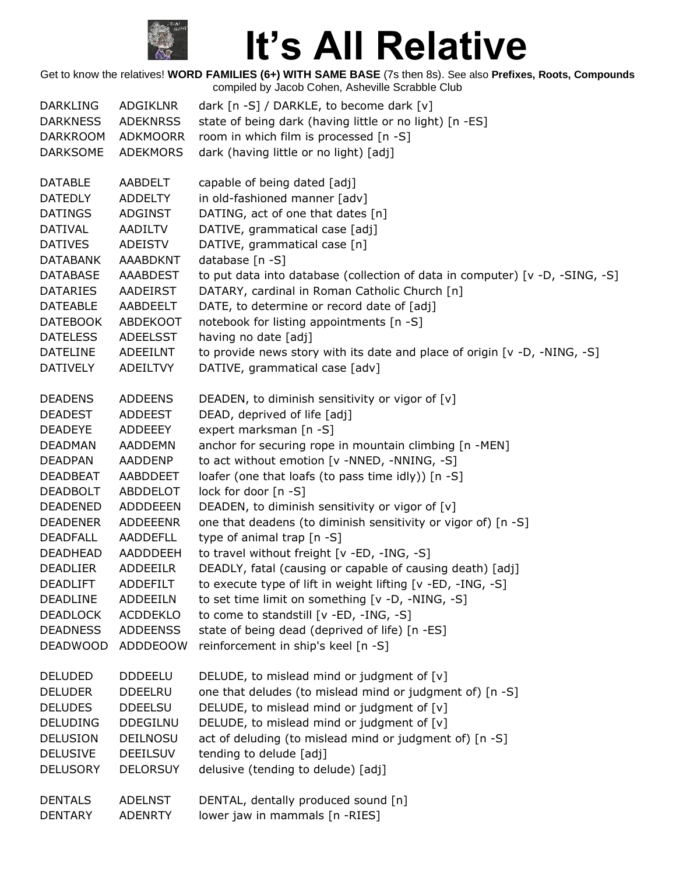

| <b>DARKLING</b>                                                                        | ADGIKLNR                                                       | dark [n -S] / DARKLE, to become dark [v]                                                                                                                                                                                       |
|----------------------------------------------------------------------------------------|----------------------------------------------------------------|--------------------------------------------------------------------------------------------------------------------------------------------------------------------------------------------------------------------------------|
| <b>DARKNESS</b>                                                                        | <b>ADEKNRSS</b>                                                | state of being dark (having little or no light) [n -ES]                                                                                                                                                                        |
| <b>DARKROOM</b>                                                                        | <b>ADKMOORR</b>                                                | room in which film is processed [n -S]                                                                                                                                                                                         |
| <b>DARKSOME</b>                                                                        | ADEKMORS                                                       | dark (having little or no light) [adj]                                                                                                                                                                                         |
| <b>DATABLE</b><br><b>DATEDLY</b><br><b>DATINGS</b><br><b>DATIVAL</b><br><b>DATIVES</b> | AABDELT<br><b>ADDELTY</b><br><b>ADGINST</b><br><b>AADILTV</b>  | capable of being dated [adj]<br>in old-fashioned manner [adv]<br>DATING, act of one that dates [n]<br>DATIVE, grammatical case [adj]                                                                                           |
| <b>DATABANK</b><br><b>DATABASE</b><br><b>DATARIES</b><br><b>DATEABLE</b>               | <b>ADEISTV</b><br>AAABDKNT<br>AAABDEST<br>AADEIRST<br>AABDEELT | DATIVE, grammatical case [n]<br>database [n -S]<br>to put data into database (collection of data in computer) [v -D, -SING, -S]<br>DATARY, cardinal in Roman Catholic Church [n]<br>DATE, to determine or record date of [adj] |
| <b>DATEBOOK</b>                                                                        | <b>ABDEKOOT</b>                                                | notebook for listing appointments [n -S]                                                                                                                                                                                       |
| <b>DATELESS</b>                                                                        | ADEELSST                                                       | having no date [adj]                                                                                                                                                                                                           |
| <b>DATELINE</b>                                                                        | ADEEILNT                                                       | to provide news story with its date and place of origin [v -D, -NING, -S]                                                                                                                                                      |
| <b>DATIVELY</b>                                                                        | ADEILTVY                                                       | DATIVE, grammatical case [adv]                                                                                                                                                                                                 |
| <b>DEADENS</b>                                                                         | <b>ADDEENS</b>                                                 | DEADEN, to diminish sensitivity or vigor of [v]                                                                                                                                                                                |
| <b>DEADEST</b>                                                                         | <b>ADDEEST</b>                                                 | DEAD, deprived of life [adj]                                                                                                                                                                                                   |
| <b>DEADEYE</b>                                                                         | ADDEEEY                                                        | expert marksman [n -S]                                                                                                                                                                                                         |
| <b>DEADMAN</b>                                                                         | <b>AADDEMN</b>                                                 | anchor for securing rope in mountain climbing [n -MEN]                                                                                                                                                                         |
| <b>DEADPAN</b>                                                                         | AADDENP                                                        | to act without emotion [v -NNED, -NNING, -S]                                                                                                                                                                                   |
| <b>DEADBEAT</b>                                                                        | AABDDEET                                                       | loafer (one that loafs (to pass time idly)) [n -S]                                                                                                                                                                             |
| <b>DEADBOLT</b>                                                                        | ABDDELOT                                                       | lock for door [n -S]                                                                                                                                                                                                           |
| <b>DEADENED</b>                                                                        | <b>ADDDEEEN</b>                                                | DEADEN, to diminish sensitivity or vigor of [v]                                                                                                                                                                                |
| <b>DEADENER</b>                                                                        | <b>ADDEEENR</b>                                                | one that deadens (to diminish sensitivity or vigor of) [n -S]                                                                                                                                                                  |
| <b>DEADFALL</b>                                                                        | AADDEFLL                                                       | type of animal trap [n -S]                                                                                                                                                                                                     |
| DEADHEAD                                                                               | AADDDEEH                                                       | to travel without freight [v -ED, -ING, -S]                                                                                                                                                                                    |
| <b>DEADLIER</b>                                                                        | <b>ADDEEILR</b>                                                | DEADLY, fatal (causing or capable of causing death) [adj]                                                                                                                                                                      |
| <b>DEADLIFT</b>                                                                        | ADDEFILT                                                       | to execute type of lift in weight lifting [v -ED, -ING, -S]                                                                                                                                                                    |
| DEADLINE                                                                               | ADDEEILN                                                       | to set time limit on something [v -D, -NING, -S]                                                                                                                                                                               |
| <b>DEADLOCK</b>                                                                        | <b>ACDDEKLO</b>                                                | to come to standstill [v -ED, -ING, -S]                                                                                                                                                                                        |
| <b>DEADNESS</b>                                                                        | <b>ADDEENSS</b>                                                | state of being dead (deprived of life) [n -ES]                                                                                                                                                                                 |
| <b>DEADWOOD</b>                                                                        | ADDDEOOW                                                       | reinforcement in ship's keel [n -S]                                                                                                                                                                                            |
| <b>DELUDED</b>                                                                         | <b>DDDEELU</b>                                                 | DELUDE, to mislead mind or judgment of [v]                                                                                                                                                                                     |
| <b>DELUDER</b>                                                                         | <b>DDEELRU</b>                                                 | one that deludes (to mislead mind or judgment of) [n -S]                                                                                                                                                                       |
| <b>DELUDES</b>                                                                         | <b>DDEELSU</b>                                                 | DELUDE, to mislead mind or judgment of [v]                                                                                                                                                                                     |
| <b>DELUDING</b>                                                                        | <b>DDEGILNU</b>                                                | DELUDE, to mislead mind or judgment of [v]                                                                                                                                                                                     |
| <b>DELUSION</b>                                                                        | DEILNOSU                                                       | act of deluding (to mislead mind or judgment of) [n -S]                                                                                                                                                                        |
| <b>DELUSIVE</b>                                                                        | <b>DEEILSUV</b>                                                | tending to delude [adj]                                                                                                                                                                                                        |
| <b>DELUSORY</b>                                                                        | <b>DELORSUY</b>                                                | delusive (tending to delude) [adj]                                                                                                                                                                                             |
| <b>DENTALS</b>                                                                         | <b>ADELNST</b>                                                 | DENTAL, dentally produced sound [n]                                                                                                                                                                                            |
| <b>DENTARY</b>                                                                         | <b>ADENRTY</b>                                                 | lower jaw in mammals [n -RIES]                                                                                                                                                                                                 |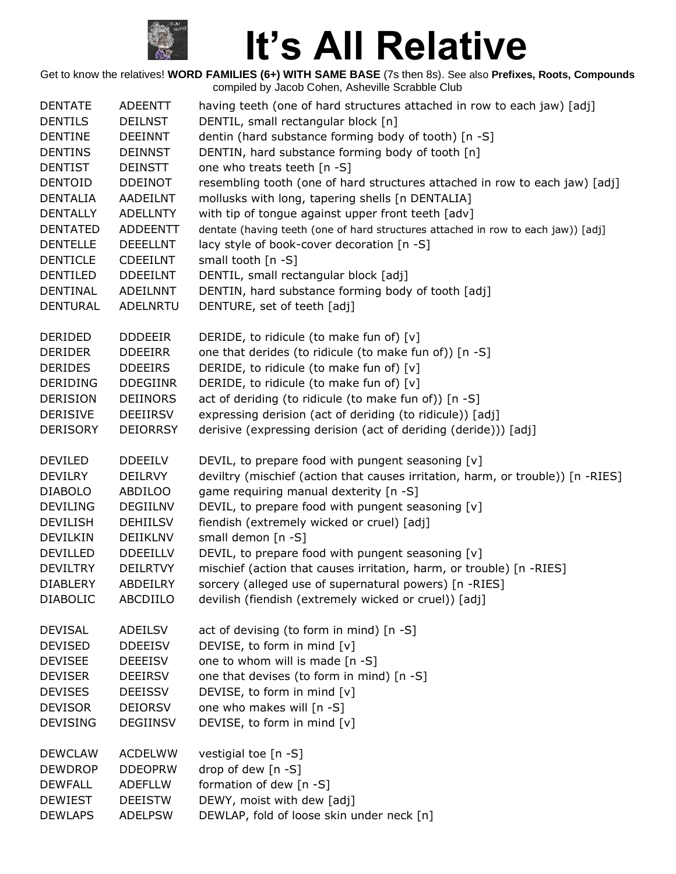

| <b>DENTATE</b>  | <b>ADEENTT</b>  | having teeth (one of hard structures attached in row to each jaw) [adj]           |
|-----------------|-----------------|-----------------------------------------------------------------------------------|
| <b>DENTILS</b>  | <b>DEILNST</b>  | DENTIL, small rectangular block [n]                                               |
| <b>DENTINE</b>  | <b>DEEINNT</b>  | dentin (hard substance forming body of tooth) [n -S]                              |
| <b>DENTINS</b>  | <b>DEINNST</b>  | DENTIN, hard substance forming body of tooth [n]                                  |
| <b>DENTIST</b>  | <b>DEINSTT</b>  | one who treats teeth [n -S]                                                       |
| <b>DENTOID</b>  | <b>DDEINOT</b>  | resembling tooth (one of hard structures attached in row to each jaw) [adj]       |
| <b>DENTALIA</b> | AADEILNT        | mollusks with long, tapering shells [n DENTALIA]                                  |
| <b>DENTALLY</b> | <b>ADELLNTY</b> | with tip of tongue against upper front teeth [adv]                                |
| <b>DENTATED</b> | <b>ADDEENTT</b> | dentate (having teeth (one of hard structures attached in row to each jaw)) [adj] |
| <b>DENTELLE</b> | <b>DEEELLNT</b> | lacy style of book-cover decoration [n -S]                                        |
| <b>DENTICLE</b> | <b>CDEEILNT</b> | small tooth [n -S]                                                                |
| <b>DENTILED</b> | <b>DDEEILNT</b> | DENTIL, small rectangular block [adj]                                             |
| <b>DENTINAL</b> | <b>ADEILNNT</b> | DENTIN, hard substance forming body of tooth [adj]                                |
| <b>DENTURAL</b> | ADELNRTU        | DENTURE, set of teeth [adj]                                                       |
| DERIDED         | <b>DDDEEIR</b>  | DERIDE, to ridicule (to make fun of) [v]                                          |
| <b>DERIDER</b>  | <b>DDEEIRR</b>  | one that derides (to ridicule (to make fun of)) [n -S]                            |
| <b>DERIDES</b>  | <b>DDEEIRS</b>  | DERIDE, to ridicule (to make fun of) [v]                                          |
| <b>DERIDING</b> | <b>DDEGIINR</b> | DERIDE, to ridicule (to make fun of) [v]                                          |
| <b>DERISION</b> | <b>DEIINORS</b> | act of deriding (to ridicule (to make fun of)) [n -S]                             |
| <b>DERISIVE</b> | <b>DEEIIRSV</b> | expressing derision (act of deriding (to ridicule)) [adj]                         |
| <b>DERISORY</b> | <b>DEIORRSY</b> | derisive (expressing derision (act of deriding (deride))) [adj]                   |
| <b>DEVILED</b>  | <b>DDEEILV</b>  | DEVIL, to prepare food with pungent seasoning [v]                                 |
| <b>DEVILRY</b>  | <b>DEILRVY</b>  | deviltry (mischief (action that causes irritation, harm, or trouble)) [n -RIES]   |
| <b>DIABOLO</b>  | <b>ABDILOO</b>  | game requiring manual dexterity [n -S]                                            |
| <b>DEVILING</b> | <b>DEGIILNV</b> | DEVIL, to prepare food with pungent seasoning [v]                                 |
| <b>DEVILISH</b> | <b>DEHIILSV</b> | fiendish (extremely wicked or cruel) [adj]                                        |
| <b>DEVILKIN</b> | DEIIKLNV        | small demon [n -S]                                                                |
| <b>DEVILLED</b> | <b>DDEEILLV</b> | DEVIL, to prepare food with pungent seasoning [v]                                 |
| <b>DEVILTRY</b> | <b>DEILRTVY</b> | mischief (action that causes irritation, harm, or trouble) [n -RIES]              |
| <b>DIABLERY</b> | ABDEILRY        | sorcery (alleged use of supernatural powers) [n -RIES]                            |
| <b>DIABOLIC</b> | ABCDIILO        | devilish (fiendish (extremely wicked or cruel)) [adj]                             |
| <b>DEVISAL</b>  | ADEILSV         | act of devising (to form in mind) [n -S]                                          |
| <b>DEVISED</b>  | <b>DDEEISV</b>  | DEVISE, to form in mind [v]                                                       |
| <b>DEVISEE</b>  | <b>DEEEISV</b>  | one to whom will is made [n -S]                                                   |
| <b>DEVISER</b>  | <b>DEEIRSV</b>  | one that devises (to form in mind) [n -S]                                         |
| <b>DEVISES</b>  | <b>DEEISSV</b>  | DEVISE, to form in mind [v]                                                       |
| <b>DEVISOR</b>  | <b>DEIORSV</b>  | one who makes will [n -S]                                                         |
| <b>DEVISING</b> | <b>DEGIINSV</b> | DEVISE, to form in mind [v]                                                       |
| <b>DEWCLAW</b>  | <b>ACDELWW</b>  | vestigial toe [n -S]                                                              |
| <b>DEWDROP</b>  | <b>DDEOPRW</b>  | drop of dew [n -S]                                                                |
| <b>DEWFALL</b>  | <b>ADEFLLW</b>  | formation of dew [n -S]                                                           |
| <b>DEWIEST</b>  | <b>DEEISTW</b>  | DEWY, moist with dew [adj]                                                        |
| <b>DEWLAPS</b>  | <b>ADELPSW</b>  | DEWLAP, fold of loose skin under neck [n]                                         |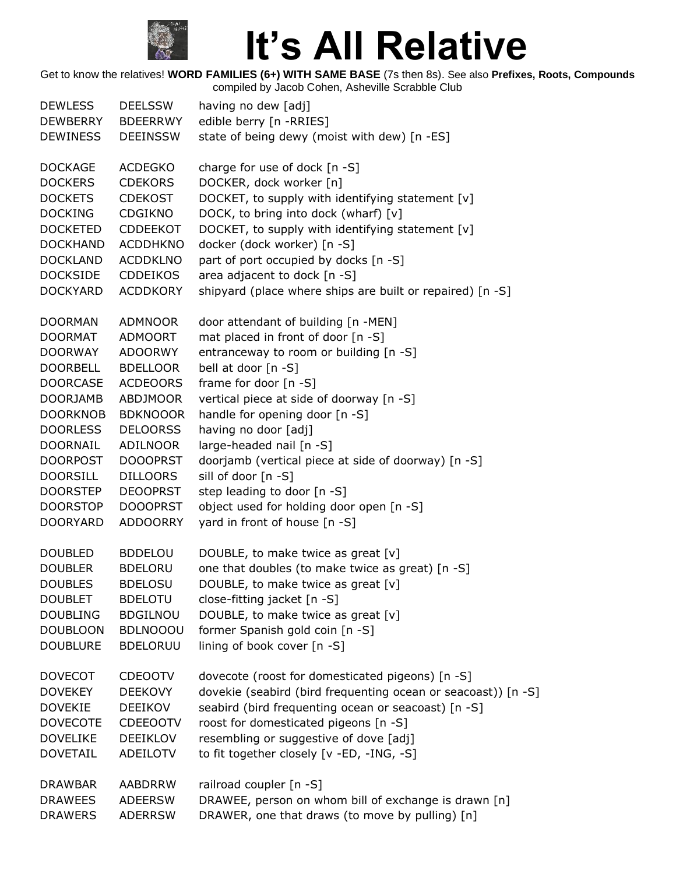

| <b>DEWLESS</b>  | <b>DEELSSW</b>  | having no dew [adj]                                           |
|-----------------|-----------------|---------------------------------------------------------------|
| <b>DEWBERRY</b> | <b>BDEERRWY</b> | edible berry [n -RRIES]                                       |
| <b>DEWINESS</b> | <b>DEEINSSW</b> | state of being dewy (moist with dew) [n -ES]                  |
| <b>DOCKAGE</b>  | <b>ACDEGKO</b>  | charge for use of dock [n -S]                                 |
| <b>DOCKERS</b>  | <b>CDEKORS</b>  | DOCKER, dock worker [n]                                       |
| <b>DOCKETS</b>  | <b>CDEKOST</b>  | DOCKET, to supply with identifying statement [v]              |
| <b>DOCKING</b>  | CDGIKNO         | DOCK, to bring into dock (wharf) [v]                          |
| <b>DOCKETED</b> | <b>CDDEEKOT</b> | DOCKET, to supply with identifying statement [v]              |
| <b>DOCKHAND</b> | <b>ACDDHKNO</b> | docker (dock worker) [n -S]                                   |
| <b>DOCKLAND</b> | <b>ACDDKLNO</b> | part of port occupied by docks [n -S]                         |
| <b>DOCKSIDE</b> | <b>CDDEIKOS</b> | area adjacent to dock [n -S]                                  |
| <b>DOCKYARD</b> | <b>ACDDKORY</b> | shipyard (place where ships are built or repaired) [n -S]     |
| <b>DOORMAN</b>  | <b>ADMNOOR</b>  | door attendant of building [n -MEN]                           |
| <b>DOORMAT</b>  | <b>ADMOORT</b>  | mat placed in front of door [n -S]                            |
| <b>DOORWAY</b>  | <b>ADOORWY</b>  | entranceway to room or building [n -S]                        |
| <b>DOORBELL</b> | <b>BDELLOOR</b> | bell at door [n -S]                                           |
| <b>DOORCASE</b> | <b>ACDEOORS</b> | frame for door [n -S]                                         |
| <b>DOORJAMB</b> | <b>ABDJMOOR</b> | vertical piece at side of doorway [n -S]                      |
| <b>DOORKNOB</b> | <b>BDKNOOOR</b> | handle for opening door [n -S]                                |
| <b>DOORLESS</b> | <b>DELOORSS</b> | having no door [adj]                                          |
| <b>DOORNAIL</b> | ADILNOOR        | large-headed nail [n -S]                                      |
| <b>DOORPOST</b> | <b>DOOOPRST</b> | doorjamb (vertical piece at side of doorway) [n -S]           |
| <b>DOORSILL</b> | <b>DILLOORS</b> | sill of door [n -S]                                           |
| <b>DOORSTEP</b> | <b>DEOOPRST</b> | step leading to door [n -S]                                   |
| <b>DOORSTOP</b> | <b>DOOOPRST</b> | object used for holding door open [n -S]                      |
| <b>DOORYARD</b> | <b>ADDOORRY</b> | yard in front of house [n -S]                                 |
| <b>DOUBLED</b>  | <b>BDDELOU</b>  | DOUBLE, to make twice as great [v]                            |
| <b>DOUBLER</b>  | <b>BDELORU</b>  | one that doubles (to make twice as great) [n -S]              |
| <b>DOUBLES</b>  | <b>BDELOSU</b>  | DOUBLE, to make twice as great [v]                            |
| <b>DOUBLET</b>  | <b>BDELOTU</b>  | close-fitting jacket [n -S]                                   |
| <b>DOUBLING</b> | <b>BDGILNOU</b> | DOUBLE, to make twice as great [v]                            |
| <b>DOUBLOON</b> | <b>BDLNOOOU</b> | former Spanish gold coin [n -S]                               |
| <b>DOUBLURE</b> | <b>BDELORUU</b> | lining of book cover [n -S]                                   |
| <b>DOVECOT</b>  | <b>CDEOOTV</b>  | dovecote (roost for domesticated pigeons) [n -S]              |
| <b>DOVEKEY</b>  | <b>DEEKOVY</b>  | dovekie (seabird (bird frequenting ocean or seacoast)) [n -S] |
| <b>DOVEKIE</b>  | <b>DEEIKOV</b>  | seabird (bird frequenting ocean or seacoast) [n -S]           |
| <b>DOVECOTE</b> | <b>CDEEOOTV</b> | roost for domesticated pigeons [n -S]                         |
| <b>DOVELIKE</b> | <b>DEEIKLOV</b> | resembling or suggestive of dove [adj]                        |
| <b>DOVETAIL</b> | <b>ADEILOTV</b> | to fit together closely [v -ED, -ING, -S]                     |
| <b>DRAWBAR</b>  | <b>AABDRRW</b>  | railroad coupler [n -S]                                       |
| <b>DRAWEES</b>  | <b>ADEERSW</b>  | DRAWEE, person on whom bill of exchange is drawn [n]          |
| <b>DRAWERS</b>  | <b>ADERRSW</b>  | DRAWER, one that draws (to move by pulling) [n]               |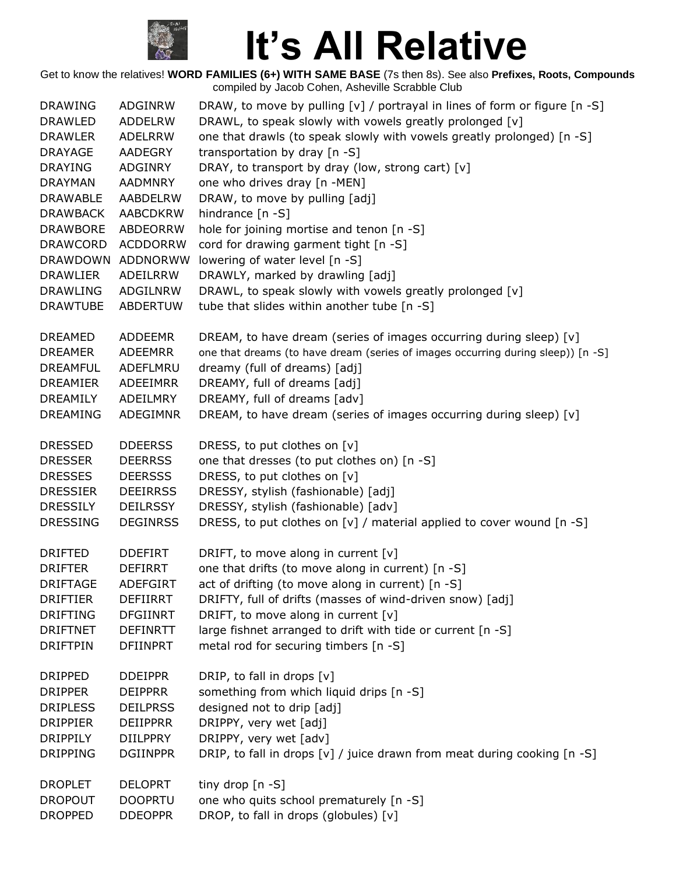

| <b>DRAWING</b>                   | ADGINRW                   | DRAW, to move by pulling [v] / portrayal in lines of form or figure $[n -S]$     |
|----------------------------------|---------------------------|----------------------------------------------------------------------------------|
| <b>DRAWLED</b>                   | <b>ADDELRW</b>            | DRAWL, to speak slowly with vowels greatly prolonged [v]                         |
| <b>DRAWLER</b><br><b>DRAYAGE</b> | <b>ADELRRW</b><br>AADEGRY | one that drawls (to speak slowly with vowels greatly prolonged) [n -S]           |
|                                  |                           | transportation by dray [n -S]                                                    |
| <b>DRAYING</b>                   | ADGINRY                   | DRAY, to transport by dray (low, strong cart) [v]                                |
| <b>DRAYMAN</b>                   | AADMNRY                   | one who drives dray [n -MEN]                                                     |
| <b>DRAWABLE</b>                  | AABDELRW                  | DRAW, to move by pulling [adj]                                                   |
| <b>DRAWBACK</b>                  | <b>AABCDKRW</b>           | hindrance [n -S]                                                                 |
| <b>DRAWBORE</b>                  | <b>ABDEORRW</b>           | hole for joining mortise and tenon [n -S]                                        |
| <b>DRAWCORD</b>                  | <b>ACDDORRW</b>           | cord for drawing garment tight [n -S]                                            |
| DRAWDOWN                         | ADDNORWW                  | lowering of water level [n -S]                                                   |
| <b>DRAWLIER</b>                  | ADEILRRW                  | DRAWLY, marked by drawling [adj]                                                 |
| <b>DRAWLING</b>                  | ADGILNRW                  | DRAWL, to speak slowly with vowels greatly prolonged [v]                         |
| <b>DRAWTUBE</b>                  | <b>ABDERTUW</b>           | tube that slides within another tube [n -S]                                      |
| <b>DREAMED</b>                   | <b>ADDEEMR</b>            | DREAM, to have dream (series of images occurring during sleep) [v]               |
| <b>DREAMER</b>                   | <b>ADEEMRR</b>            | one that dreams (to have dream (series of images occurring during sleep)) [n -S] |
| <b>DREAMFUL</b>                  | ADEFLMRU                  | dreamy (full of dreams) [adj]                                                    |
| <b>DREAMIER</b>                  | ADEEIMRR                  | DREAMY, full of dreams [adj]                                                     |
| DREAMILY                         | ADEILMRY                  | DREAMY, full of dreams [adv]                                                     |
| <b>DREAMING</b>                  | ADEGIMNR                  | DREAM, to have dream (series of images occurring during sleep) [v]               |
| <b>DRESSED</b>                   | <b>DDEERSS</b>            | DRESS, to put clothes on [v]                                                     |
| <b>DRESSER</b>                   | <b>DEERRSS</b>            | one that dresses (to put clothes on) [n -S]                                      |
| <b>DRESSES</b>                   | <b>DEERSSS</b>            | DRESS, to put clothes on [v]                                                     |
| <b>DRESSIER</b>                  | <b>DEEIRRSS</b>           | DRESSY, stylish (fashionable) [adj]                                              |
| <b>DRESSILY</b>                  | <b>DEILRSSY</b>           | DRESSY, stylish (fashionable) [adv]                                              |
| <b>DRESSING</b>                  | <b>DEGINRSS</b>           | DRESS, to put clothes on [v] / material applied to cover wound [n -S]            |
| <b>DRIFTED</b>                   | <b>DDEFIRT</b>            | DRIFT, to move along in current [v]                                              |
| <b>DRIFTER</b>                   | <b>DEFIRRT</b>            | one that drifts (to move along in current) [n -S]                                |
| <b>DRIFTAGE</b>                  | <b>ADEFGIRT</b>           | act of drifting (to move along in current) [n -S]                                |
| <b>DRIFTIER</b>                  | <b>DEFIIRRT</b>           | DRIFTY, full of drifts (masses of wind-driven snow) [adj]                        |
| <b>DRIFTING</b>                  | <b>DFGIINRT</b>           | DRIFT, to move along in current [v]                                              |
| <b>DRIFTNET</b>                  | <b>DEFINRTT</b>           | large fishnet arranged to drift with tide or current [n -S]                      |
| <b>DRIFTPIN</b>                  | <b>DFIINPRT</b>           | metal rod for securing timbers [n -S]                                            |
| <b>DRIPPED</b>                   | <b>DDEIPPR</b>            | DRIP, to fall in drops [v]                                                       |
| <b>DRIPPER</b>                   | <b>DEIPPRR</b>            | something from which liquid drips [n -S]                                         |
| <b>DRIPLESS</b>                  | <b>DEILPRSS</b>           | designed not to drip [adj]                                                       |
| <b>DRIPPIER</b>                  | <b>DEIIPPRR</b>           | DRIPPY, very wet [adj]                                                           |
| <b>DRIPPILY</b>                  | <b>DIILPPRY</b>           | DRIPPY, very wet [adv]                                                           |
|                                  |                           |                                                                                  |
| <b>DRIPPING</b>                  | <b>DGIINPPR</b>           | DRIP, to fall in drops [v] / juice drawn from meat during cooking [n -S]         |
| <b>DROPLET</b>                   | <b>DELOPRT</b>            | tiny drop $[n - S]$                                                              |
| <b>DROPOUT</b>                   | <b>DOOPRTU</b>            | one who quits school prematurely [n -S]                                          |
| <b>DROPPED</b>                   | <b>DDEOPPR</b>            | DROP, to fall in drops (globules) [v]                                            |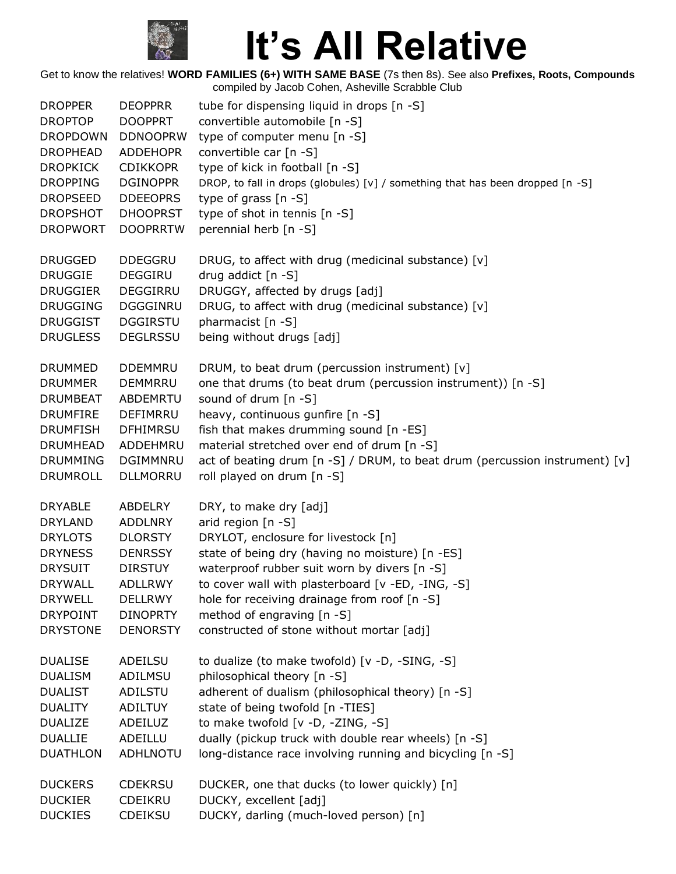

| <b>DROPPER</b>  | <b>DEOPPRR</b>  | tube for dispensing liquid in drops [n -S]                                     |  |
|-----------------|-----------------|--------------------------------------------------------------------------------|--|
| <b>DROPTOP</b>  | <b>DOOPPRT</b>  | convertible automobile [n -S]                                                  |  |
| <b>DROPDOWN</b> | <b>DDNOOPRW</b> | type of computer menu [n -S]                                                   |  |
| <b>DROPHEAD</b> | <b>ADDEHOPR</b> | convertible car [n -S]                                                         |  |
| <b>DROPKICK</b> | <b>CDIKKOPR</b> | type of kick in football [n -S]                                                |  |
| <b>DROPPING</b> | <b>DGINOPPR</b> | DROP, to fall in drops (globules) [v] / something that has been dropped [n -S] |  |
| <b>DROPSEED</b> | <b>DDEEOPRS</b> | type of grass $[n - S]$                                                        |  |
| <b>DROPSHOT</b> | <b>DHOOPRST</b> | type of shot in tennis [n -S]                                                  |  |
| <b>DROPWORT</b> | <b>DOOPRRTW</b> | perennial herb [n -S]                                                          |  |
| <b>DRUGGED</b>  | <b>DDEGGRU</b>  | DRUG, to affect with drug (medicinal substance) [v]                            |  |
| <b>DRUGGIE</b>  | <b>DEGGIRU</b>  | drug addict $[n -S]$                                                           |  |
| <b>DRUGGIER</b> | DEGGIRRU        | DRUGGY, affected by drugs [adj]                                                |  |
| <b>DRUGGING</b> | DGGGINRU        | DRUG, to affect with drug (medicinal substance) [v]                            |  |
| <b>DRUGGIST</b> | <b>DGGIRSTU</b> | pharmacist [n -S]                                                              |  |
| <b>DRUGLESS</b> | <b>DEGLRSSU</b> | being without drugs [adj]                                                      |  |
| <b>DRUMMED</b>  | <b>DDEMMRU</b>  | DRUM, to beat drum (percussion instrument) [v]                                 |  |
| <b>DRUMMER</b>  | <b>DEMMRRU</b>  | one that drums (to beat drum (percussion instrument)) [n -S]                   |  |
| <b>DRUMBEAT</b> | ABDEMRTU        | sound of drum [n -S]                                                           |  |
| <b>DRUMFIRE</b> | DEFIMRRU        | heavy, continuous gunfire [n -S]                                               |  |
| <b>DRUMFISH</b> | <b>DFHIMRSU</b> | fish that makes drumming sound [n -ES]                                         |  |
| <b>DRUMHEAD</b> | ADDEHMRU        | material stretched over end of drum [n -S]                                     |  |
| <b>DRUMMING</b> | DGIMMNRU        | act of beating drum [n -S] / DRUM, to beat drum (percussion instrument) [v]    |  |
| <b>DRUMROLL</b> | <b>DLLMORRU</b> | roll played on drum [n -S]                                                     |  |
| <b>DRYABLE</b>  | <b>ABDELRY</b>  | DRY, to make dry [adj]                                                         |  |
| <b>DRYLAND</b>  | <b>ADDLNRY</b>  | arid region [n -S]                                                             |  |
| <b>DRYLOTS</b>  | <b>DLORSTY</b>  | DRYLOT, enclosure for livestock [n]                                            |  |
| <b>DRYNESS</b>  | <b>DENRSSY</b>  | state of being dry (having no moisture) [n -ES]                                |  |
| <b>DRYSUIT</b>  | <b>DIRSTUY</b>  | waterproof rubber suit worn by divers [n -S]                                   |  |
| DRYWALL         | <b>ADLLRWY</b>  | to cover wall with plasterboard [v -ED, -ING, -S]                              |  |
| <b>DRYWELL</b>  | <b>DELLRWY</b>  | hole for receiving drainage from roof [n -S]                                   |  |
| <b>DRYPOINT</b> | <b>DINOPRTY</b> | method of engraving [n -S]                                                     |  |
| <b>DRYSTONE</b> | <b>DENORSTY</b> | constructed of stone without mortar [adj]                                      |  |
| <b>DUALISE</b>  | ADEILSU         | to dualize (to make twofold) [v -D, -SING, -S]                                 |  |
| <b>DUALISM</b>  | ADILMSU         | philosophical theory [n -S]                                                    |  |
| <b>DUALIST</b>  | ADILSTU         | adherent of dualism (philosophical theory) [n -S]                              |  |
| <b>DUALITY</b>  | <b>ADILTUY</b>  | state of being twofold [n -TIES]                                               |  |
| <b>DUALIZE</b>  | ADEILUZ         | to make twofold [v -D, -ZING, -S]                                              |  |
| <b>DUALLIE</b>  | ADEILLU         | dually (pickup truck with double rear wheels) [n -S]                           |  |
| <b>DUATHLON</b> | ADHLNOTU        | long-distance race involving running and bicycling [n -S]                      |  |
| <b>DUCKERS</b>  | <b>CDEKRSU</b>  | DUCKER, one that ducks (to lower quickly) [n]                                  |  |
| <b>DUCKIER</b>  | <b>CDEIKRU</b>  | DUCKY, excellent [adj]                                                         |  |
| <b>DUCKIES</b>  | CDEIKSU         | DUCKY, darling (much-loved person) [n]                                         |  |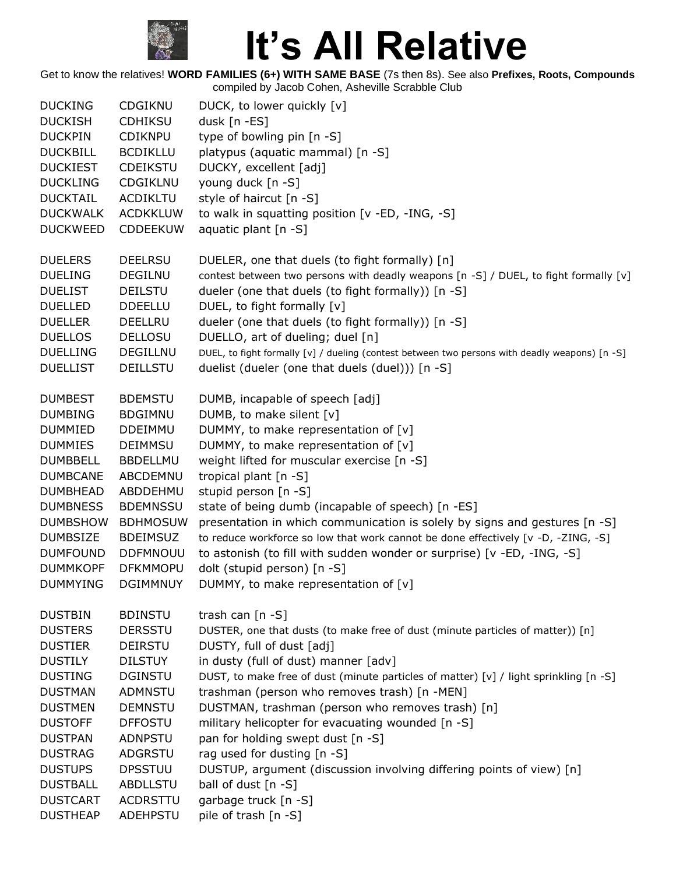

| <b>DUCKING</b>  | <b>CDGIKNU</b>  | DUCK, to lower quickly [v]                                                                     |  |
|-----------------|-----------------|------------------------------------------------------------------------------------------------|--|
| <b>DUCKISH</b>  | <b>CDHIKSU</b>  | dusk [n -ES]                                                                                   |  |
| <b>DUCKPIN</b>  | <b>CDIKNPU</b>  | type of bowling pin [n -S]                                                                     |  |
| <b>DUCKBILL</b> | <b>BCDIKLLU</b> | platypus (aquatic mammal) [n -S]                                                               |  |
| <b>DUCKIEST</b> | <b>CDEIKSTU</b> | DUCKY, excellent [adj]                                                                         |  |
| <b>DUCKLING</b> | CDGIKLNU        | young duck [n -S]                                                                              |  |
| <b>DUCKTAIL</b> | <b>ACDIKLTU</b> | style of haircut [n -S]                                                                        |  |
| <b>DUCKWALK</b> | <b>ACDKKLUW</b> | to walk in squatting position [v -ED, -ING, -S]                                                |  |
| <b>DUCKWEED</b> | <b>CDDEEKUW</b> | aquatic plant [n -S]                                                                           |  |
| <b>DUELERS</b>  | <b>DEELRSU</b>  | DUELER, one that duels (to fight formally) [n]                                                 |  |
| <b>DUELING</b>  | <b>DEGILNU</b>  | contest between two persons with deadly weapons [n -S] / DUEL, to fight formally [v]           |  |
| <b>DUELIST</b>  | <b>DEILSTU</b>  | dueler (one that duels (to fight formally)) [n -S]                                             |  |
| <b>DUELLED</b>  | <b>DDEELLU</b>  | DUEL, to fight formally [v]                                                                    |  |
| <b>DUELLER</b>  | <b>DEELLRU</b>  | dueler (one that duels (to fight formally)) [n -S]                                             |  |
| <b>DUELLOS</b>  | <b>DELLOSU</b>  | DUELLO, art of dueling; duel [n]                                                               |  |
| <b>DUELLING</b> | DEGILLNU        | DUEL, to fight formally [v] / dueling (contest between two persons with deadly weapons) [n -S] |  |
| <b>DUELLIST</b> | <b>DEILLSTU</b> | duelist (dueler (one that duels (duel))) [n -S]                                                |  |
| <b>DUMBEST</b>  | <b>BDEMSTU</b>  | DUMB, incapable of speech [adj]                                                                |  |
| <b>DUMBING</b>  | <b>BDGIMNU</b>  | DUMB, to make silent [v]                                                                       |  |
| <b>DUMMIED</b>  | <b>DDEIMMU</b>  | DUMMY, to make representation of [v]                                                           |  |
| <b>DUMMIES</b>  | <b>DEIMMSU</b>  | DUMMY, to make representation of [v]                                                           |  |
| <b>DUMBBELL</b> | <b>BBDELLMU</b> | weight lifted for muscular exercise [n -S]                                                     |  |
| <b>DUMBCANE</b> | ABCDEMNU        | tropical plant [n -S]                                                                          |  |
| <b>DUMBHEAD</b> | ABDDEHMU        | stupid person [n -S]                                                                           |  |
| <b>DUMBNESS</b> | <b>BDEMNSSU</b> | state of being dumb (incapable of speech) [n -ES]                                              |  |
| <b>DUMBSHOW</b> | <b>BDHMOSUW</b> | presentation in which communication is solely by signs and gestures [n -S]                     |  |
| <b>DUMBSIZE</b> | <b>BDEIMSUZ</b> | to reduce workforce so low that work cannot be done effectively [v -D, -ZING, -S]              |  |
| <b>DUMFOUND</b> | <b>DDFMNOUU</b> | to astonish (to fill with sudden wonder or surprise) [v -ED, -ING, -S]                         |  |
| <b>DUMMKOPF</b> | <b>DFKMMOPU</b> | dolt (stupid person) [n -S]                                                                    |  |
| <b>DUMMYING</b> | <b>DGIMMNUY</b> | DUMMY, to make representation of [v]                                                           |  |
| <b>DUSTBIN</b>  | <b>BDINSTU</b>  | trash can [n -S]                                                                               |  |
| <b>DUSTERS</b>  | <b>DERSSTU</b>  | DUSTER, one that dusts (to make free of dust (minute particles of matter)) [n]                 |  |
| <b>DUSTIER</b>  | <b>DEIRSTU</b>  | DUSTY, full of dust [adj]                                                                      |  |
| <b>DUSTILY</b>  | <b>DILSTUY</b>  | in dusty (full of dust) manner [adv]                                                           |  |
| <b>DUSTING</b>  | <b>DGINSTU</b>  | DUST, to make free of dust (minute particles of matter) [v] / light sprinkling [n -S]          |  |
| <b>DUSTMAN</b>  | <b>ADMNSTU</b>  | trashman (person who removes trash) [n -MEN]                                                   |  |
| <b>DUSTMEN</b>  | <b>DEMNSTU</b>  | DUSTMAN, trashman (person who removes trash) [n]                                               |  |
| <b>DUSTOFF</b>  | <b>DFFOSTU</b>  | military helicopter for evacuating wounded [n -S]                                              |  |
| <b>DUSTPAN</b>  | <b>ADNPSTU</b>  | pan for holding swept dust [n -S]                                                              |  |
| <b>DUSTRAG</b>  | <b>ADGRSTU</b>  | rag used for dusting [n -S]                                                                    |  |
| <b>DUSTUPS</b>  | <b>DPSSTUU</b>  | DUSTUP, argument (discussion involving differing points of view) [n]                           |  |
| <b>DUSTBALL</b> | ABDLLSTU        | ball of dust [n -S]                                                                            |  |
| <b>DUSTCART</b> | <b>ACDRSTTU</b> | garbage truck [n -S]                                                                           |  |
| <b>DUSTHEAP</b> | ADEHPSTU        | pile of trash [n -S]                                                                           |  |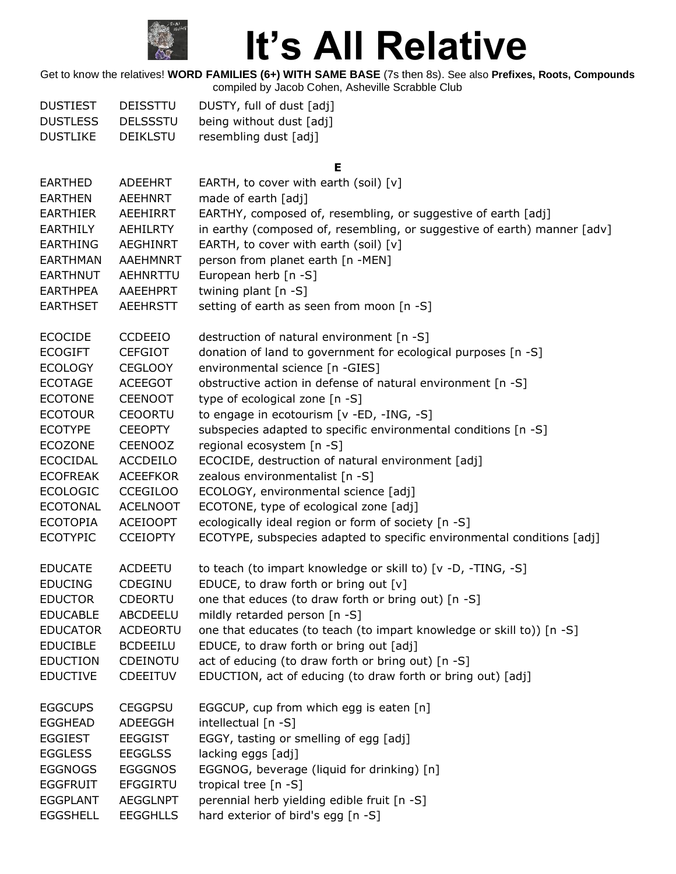

Get to know the relatives! **WORD FAMILIES (6+) WITH SAME BASE** (7s then 8s). See also **Prefixes, Roots, Compounds** compiled by Jacob Cohen, Asheville Scrabble Club

| <b>DUSTIEST</b> | <b>DEISSTTU</b> | DUSTY, full of dust [adj] |
|-----------------|-----------------|---------------------------|
| <b>DUSTLESS</b> | <b>DELSSSTU</b> | being without dust [adj]  |
| <b>DUSTLIKE</b> | <b>DEIKLSTU</b> | resembling dust [adj]     |

**E**

| <b>EARTHED</b><br>ADEEHRT          | EARTH, to cover with earth (soil) $[v]$                                  |
|------------------------------------|--------------------------------------------------------------------------|
| <b>EARTHEN</b><br><b>AEEHNRT</b>   | made of earth [adj]                                                      |
| <b>EARTHIER</b><br>AEEHIRRT        | EARTHY, composed of, resembling, or suggestive of earth [adj]            |
| <b>EARTHILY</b><br><b>AEHILRTY</b> | in earthy (composed of, resembling, or suggestive of earth) manner [adv] |
| <b>EARTHING</b><br>AEGHINRT        | EARTH, to cover with earth (soil) [v]                                    |
| <b>EARTHMAN</b><br>AAEHMNRT        | person from planet earth [n -MEN]                                        |
| <b>EARTHNUT</b><br>AEHNRTTU        | European herb $[n -S]$                                                   |
| <b>EARTHPEA</b><br>AAEEHPRT        | twining plant [n -S]                                                     |
| <b>EARTHSET</b><br><b>AEEHRSTT</b> | setting of earth as seen from moon [n -S]                                |
| <b>ECOCIDE</b><br><b>CCDEEIO</b>   | destruction of natural environment [n -S]                                |
| <b>ECOGIFT</b><br><b>CEFGIOT</b>   | donation of land to government for ecological purposes [n -S]            |
| <b>ECOLOGY</b><br><b>CEGLOOY</b>   | environmental science [n -GIES]                                          |
| <b>ECOTAGE</b><br><b>ACEEGOT</b>   | obstructive action in defense of natural environment [n -S]              |
| <b>ECOTONE</b><br><b>CEENOOT</b>   | type of ecological zone [n -S]                                           |
| <b>ECOTOUR</b><br><b>CEOORTU</b>   | to engage in ecotourism [v -ED, -ING, -S]                                |
| <b>ECOTYPE</b><br><b>CEEOPTY</b>   | subspecies adapted to specific environmental conditions [n -S]           |
| <b>ECOZONE</b><br><b>CEENOOZ</b>   | regional ecosystem [n -S]                                                |
| <b>ECOCIDAL</b><br><b>ACCDEILO</b> | ECOCIDE, destruction of natural environment [adj]                        |
| <b>ECOFREAK</b><br><b>ACEEFKOR</b> | zealous environmentalist [n -S]                                          |
| <b>ECOLOGIC</b><br><b>CCEGILOO</b> | ECOLOGY, environmental science [adj]                                     |
| <b>ECOTONAL</b><br><b>ACELNOOT</b> | ECOTONE, type of ecological zone [adj]                                   |
| <b>ECOTOPIA</b><br><b>ACEIOOPT</b> | ecologically ideal region or form of society [n -S]                      |
| <b>ECOTYPIC</b><br><b>CCEIOPTY</b> | ECOTYPE, subspecies adapted to specific environmental conditions [adj]   |
| <b>EDUCATE</b><br><b>ACDEETU</b>   | to teach (to impart knowledge or skill to) [v -D, -TING, -S]             |
| <b>EDUCING</b><br>CDEGINU          | EDUCE, to draw forth or bring out [v]                                    |
| <b>EDUCTOR</b><br><b>CDEORTU</b>   | one that educes (to draw forth or bring out) [n -S]                      |
| <b>EDUCABLE</b><br>ABCDEELU        | mildly retarded person [n -S]                                            |
| <b>EDUCATOR</b><br><b>ACDEORTU</b> | one that educates (to teach (to impart knowledge or skill to)) [n -S]    |
| <b>EDUCIBLE</b><br><b>BCDEEILU</b> | EDUCE, to draw forth or bring out [adj]                                  |
| <b>EDUCTION</b><br><b>CDEINOTU</b> | act of educing (to draw forth or bring out) [n -S]                       |
| <b>EDUCTIVE</b><br>CDEEITUV        | EDUCTION, act of educing (to draw forth or bring out) [adj]              |
| <b>CEGGPSU</b><br><b>EGGCUPS</b>   | EGGCUP, cup from which egg is eaten [n]                                  |
| <b>EGGHEAD</b><br>ADEEGGH          | intellectual [n -S]                                                      |
| <b>EGGIEST</b><br><b>EEGGIST</b>   | EGGY, tasting or smelling of egg [adj]                                   |
| <b>EGGLESS</b><br><b>EEGGLSS</b>   | lacking eggs [adj]                                                       |
| <b>EGGNOGS</b><br><b>EGGGNOS</b>   | EGGNOG, beverage (liquid for drinking) [n]                               |
| <b>EGGFRUIT</b><br><b>EFGGIRTU</b> | tropical tree [n -S]                                                     |
| <b>EGGPLANT</b><br><b>AEGGLNPT</b> | perennial herb yielding edible fruit [n -S]                              |
| <b>EEGGHLLS</b><br><b>EGGSHELL</b> | hard exterior of bird's egg [n -S]                                       |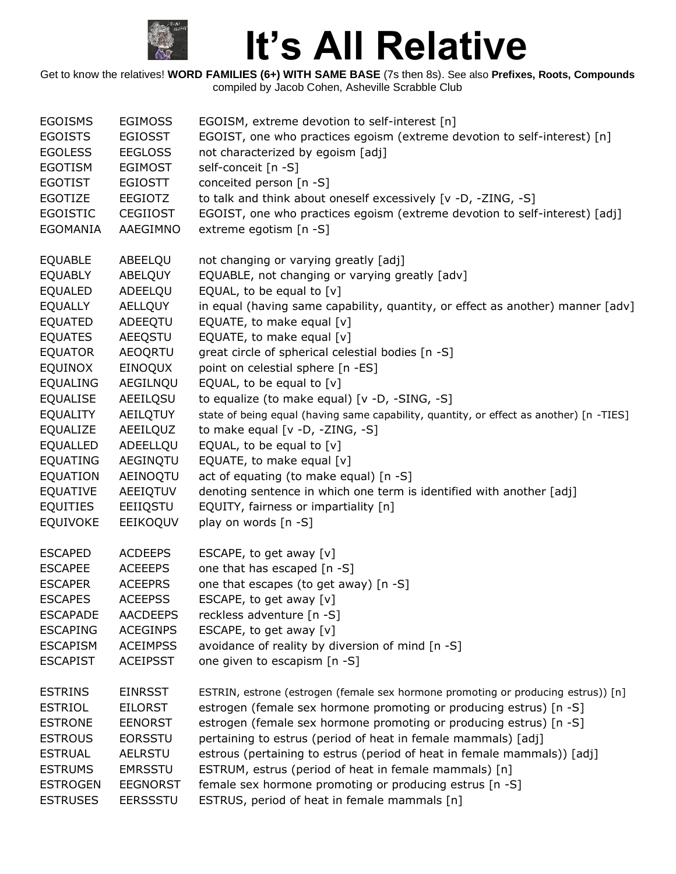

| <b>EGOISMS</b>  | <b>EGIMOSS</b>  | EGOISM, extreme devotion to self-interest [n]                                           |
|-----------------|-----------------|-----------------------------------------------------------------------------------------|
| <b>EGOISTS</b>  | <b>EGIOSST</b>  | EGOIST, one who practices egoism (extreme devotion to self-interest) [n]                |
| <b>EGOLESS</b>  | <b>EEGLOSS</b>  | not characterized by egoism [adj]                                                       |
| <b>EGOTISM</b>  | <b>EGIMOST</b>  | self-conceit [n -S]                                                                     |
| <b>EGOTIST</b>  | <b>EGIOSTT</b>  | conceited person [n -S]                                                                 |
| <b>EGOTIZE</b>  | EEGIOTZ         | to talk and think about oneself excessively [v -D, -ZING, -S]                           |
| <b>EGOISTIC</b> | <b>CEGIIOST</b> | EGOIST, one who practices egoism (extreme devotion to self-interest) [adj]              |
| <b>EGOMANIA</b> | AAEGIMNO        | extreme egotism [n -S]                                                                  |
|                 |                 |                                                                                         |
| <b>EQUABLE</b>  | ABEELQU         | not changing or varying greatly [adj]                                                   |
| <b>EQUABLY</b>  | ABELQUY         | EQUABLE, not changing or varying greatly [adv]                                          |
| <b>EQUALED</b>  | ADEELQU         | EQUAL, to be equal to [v]                                                               |
| <b>EQUALLY</b>  | <b>AELLQUY</b>  | in equal (having same capability, quantity, or effect as another) manner [adv]          |
| <b>EQUATED</b>  | ADEEQTU         | EQUATE, to make equal [v]                                                               |
| <b>EQUATES</b>  | <b>AEEQSTU</b>  | EQUATE, to make equal [v]                                                               |
| <b>EQUATOR</b>  | <b>AEOQRTU</b>  | great circle of spherical celestial bodies [n -S]                                       |
| <b>EQUINOX</b>  | EINOQUX         | point on celestial sphere [n -ES]                                                       |
|                 |                 |                                                                                         |
| <b>EQUALING</b> | AEGILNQU        | EQUAL, to be equal to [v]                                                               |
| <b>EQUALISE</b> | AEEILQSU        | to equalize (to make equal) [v -D, -SING, -S]                                           |
| EQUALITY        | AEILQTUY        | state of being equal (having same capability, quantity, or effect as another) [n -TIES] |
| EQUALIZE        | AEEILQUZ        | to make equal [v -D, -ZING, -S]                                                         |
| <b>EQUALLED</b> | ADEELLQU        | EQUAL, to be equal to $[v]$                                                             |
| <b>EQUATING</b> | AEGINQTU        | EQUATE, to make equal [v]                                                               |
| <b>EQUATION</b> | AEINOQTU        | act of equating (to make equal) [n -S]                                                  |
| <b>EQUATIVE</b> | AEEIQTUV        | denoting sentence in which one term is identified with another [adj]                    |
| <b>EQUITIES</b> | EEIIQSTU        | EQUITY, fairness or impartiality [n]                                                    |
| <b>EQUIVOKE</b> | EEIKOQUV        | play on words [n -S]                                                                    |
| <b>ESCAPED</b>  | <b>ACDEEPS</b>  | ESCAPE, to get away [v]                                                                 |
| <b>ESCAPEE</b>  | <b>ACEEEPS</b>  | one that has escaped [n -S]                                                             |
| <b>ESCAPER</b>  | <b>ACEEPRS</b>  | one that escapes (to get away) [n -S]                                                   |
| <b>ESCAPES</b>  | <b>ACEEPSS</b>  | ESCAPE, to get away [v]                                                                 |
| <b>ESCAPADE</b> | <b>AACDEEPS</b> | reckless adventure [n -S]                                                               |
| <b>ESCAPING</b> | <b>ACEGINPS</b> | ESCAPE, to get away [v]                                                                 |
| <b>ESCAPISM</b> | <b>ACEIMPSS</b> | avoidance of reality by diversion of mind [n -S]                                        |
| <b>ESCAPIST</b> | <b>ACEIPSST</b> | one given to escapism [n -S]                                                            |
|                 |                 |                                                                                         |
| <b>ESTRINS</b>  | <b>EINRSST</b>  | ESTRIN, estrone (estrogen (female sex hormone promoting or producing estrus)) [n]       |
| <b>ESTRIOL</b>  | <b>EILORST</b>  | estrogen (female sex hormone promoting or producing estrus) [n -S]                      |
| <b>ESTRONE</b>  | <b>EENORST</b>  | estrogen (female sex hormone promoting or producing estrus) [n -S]                      |
| <b>ESTROUS</b>  | <b>EORSSTU</b>  | pertaining to estrus (period of heat in female mammals) [adj]                           |
| <b>ESTRUAL</b>  | <b>AELRSTU</b>  | estrous (pertaining to estrus (period of heat in female mammals)) [adj]                 |
| <b>ESTRUMS</b>  | <b>EMRSSTU</b>  | ESTRUM, estrus (period of heat in female mammals) [n]                                   |
| <b>ESTROGEN</b> | <b>EEGNORST</b> | female sex hormone promoting or producing estrus [n -S]                                 |
| <b>ESTRUSES</b> | <b>EERSSSTU</b> | ESTRUS, period of heat in female mammals [n]                                            |